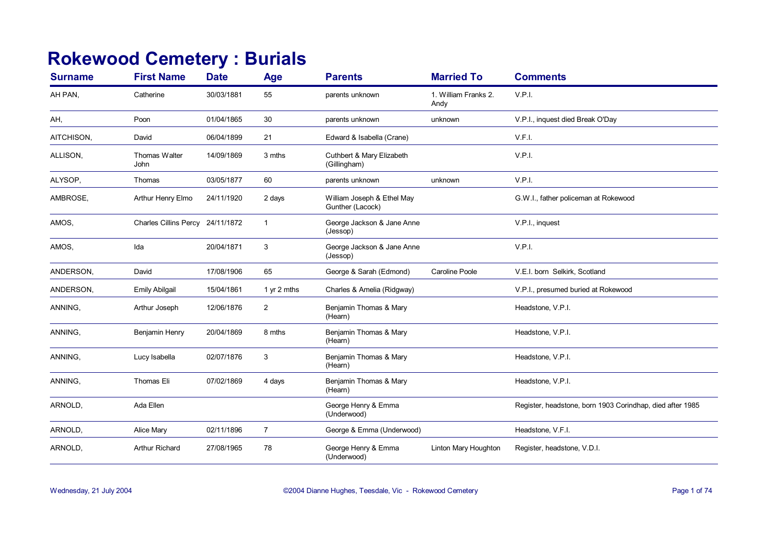## **Rokewood Cemetery : Burials**

| <b>Surname</b> | <b>First Name</b>                | <b>Date</b> | Age            | <b>Parents</b>                                 | <b>Married To</b>            | <b>Comments</b>                                           |
|----------------|----------------------------------|-------------|----------------|------------------------------------------------|------------------------------|-----------------------------------------------------------|
| AH PAN,        | Catherine                        | 30/03/1881  | 55             | parents unknown                                | 1. William Franks 2.<br>Andy | V.P.I.                                                    |
| AH,            | Poon                             | 01/04/1865  | 30             | parents unknown                                | unknown                      | V.P.I., inquest died Break O'Day                          |
| AITCHISON,     | David                            | 06/04/1899  | 21             | Edward & Isabella (Crane)                      |                              | V.F.I.                                                    |
| ALLISON,       | Thomas Walter<br>John            | 14/09/1869  | 3 mths         | Cuthbert & Mary Elizabeth<br>(Gillingham)      |                              | V.P.I.                                                    |
| ALYSOP,        | Thomas                           | 03/05/1877  | 60             | parents unknown                                | unknown                      | V.P.I.                                                    |
| AMBROSE,       | Arthur Henry Elmo                | 24/11/1920  | 2 days         | William Joseph & Ethel May<br>Gunther (Lacock) |                              | G.W.I., father policeman at Rokewood                      |
| AMOS,          | Charles Cillins Percy 24/11/1872 |             | $\overline{1}$ | George Jackson & Jane Anne<br>(Jessop)         |                              | V.P.I., inquest                                           |
| AMOS,          | Ida                              | 20/04/1871  | 3              | George Jackson & Jane Anne<br>(Jessop)         |                              | V.P.I.                                                    |
| ANDERSON,      | David                            | 17/08/1906  | 65             | George & Sarah (Edmond)                        | Caroline Poole               | V.E.I. born Selkirk, Scotland                             |
| ANDERSON,      | <b>Emily Abilgail</b>            | 15/04/1861  | 1 yr 2 mths    | Charles & Amelia (Ridgway)                     |                              | V.P.I., presumed buried at Rokewood                       |
| ANNING,        | Arthur Joseph                    | 12/06/1876  | 2              | Benjamin Thomas & Mary<br>(Hearn)              |                              | Headstone, V.P.I.                                         |
| ANNING,        | Benjamin Henry                   | 20/04/1869  | 8 mths         | Benjamin Thomas & Mary<br>(Hearn)              |                              | Headstone, V.P.I.                                         |
| ANNING,        | Lucy Isabella                    | 02/07/1876  | 3              | Benjamin Thomas & Mary<br>(Hearn)              |                              | Headstone, V.P.I.                                         |
| ANNING,        | Thomas Eli                       | 07/02/1869  | 4 days         | Benjamin Thomas & Mary<br>(Hearn)              |                              | Headstone, V.P.I.                                         |
| ARNOLD,        | Ada Ellen                        |             |                | George Henry & Emma<br>(Underwood)             |                              | Register, headstone, born 1903 Corindhap, died after 1985 |
| ARNOLD,        | Alice Mary                       | 02/11/1896  | $\overline{7}$ | George & Emma (Underwood)                      |                              | Headstone, V.F.I.                                         |
| ARNOLD,        | Arthur Richard                   | 27/08/1965  | 78             | George Henry & Emma<br>(Underwood)             | Linton Mary Houghton         | Register, headstone, V.D.I.                               |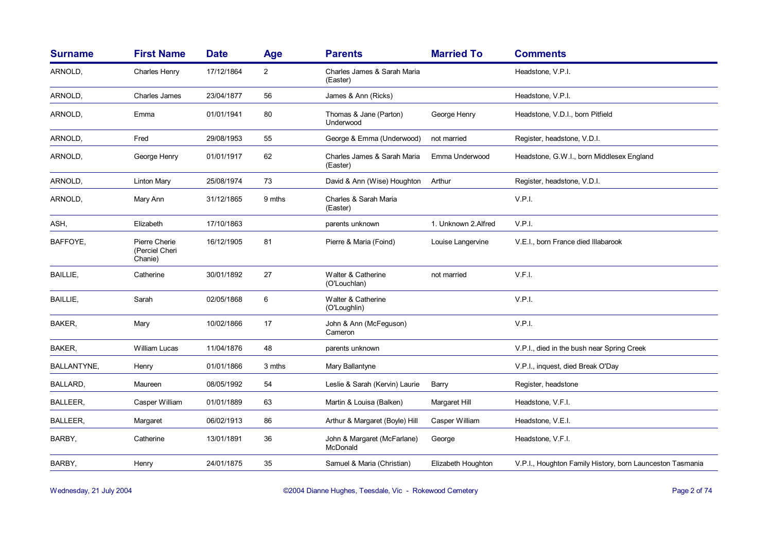| <b>Surname</b>  | <b>First Name</b>                          | <b>Date</b> | Age            | <b>Parents</b>                          | <b>Married To</b>   | <b>Comments</b>                                           |
|-----------------|--------------------------------------------|-------------|----------------|-----------------------------------------|---------------------|-----------------------------------------------------------|
| ARNOLD,         | <b>Charles Henry</b>                       | 17/12/1864  | $\overline{2}$ | Charles James & Sarah Maria<br>(Easter) |                     | Headstone, V.P.I.                                         |
| ARNOLD,         | Charles James                              | 23/04/1877  | 56             | James & Ann (Ricks)                     |                     | Headstone, V.P.I.                                         |
| ARNOLD,         | Emma                                       | 01/01/1941  | 80             | Thomas & Jane (Parton)<br>Underwood     | George Henry        | Headstone, V.D.I., born Pitfield                          |
| ARNOLD,         | Fred                                       | 29/08/1953  | 55             | George & Emma (Underwood)               | not married         | Register, headstone, V.D.I.                               |
| ARNOLD,         | George Henry                               | 01/01/1917  | 62             | Charles James & Sarah Maria<br>(Easter) | Emma Underwood      | Headstone, G.W.I., born Middlesex England                 |
| ARNOLD,         | <b>Linton Mary</b>                         | 25/08/1974  | 73             | David & Ann (Wise) Houghton             | Arthur              | Register, headstone, V.D.I.                               |
| ARNOLD,         | Mary Ann                                   | 31/12/1865  | 9 mths         | Charles & Sarah Maria<br>(Easter)       |                     | V.P.I.                                                    |
| ASH,            | Elizabeth                                  | 17/10/1863  |                | parents unknown                         | 1. Unknown 2.Alfred | V.P.I.                                                    |
| BAFFOYE,        | Pierre Cherie<br>(Perciel Cheri<br>Chanie) | 16/12/1905  | 81             | Pierre & Maria (Foind)                  | Louise Langervine   | V.E.I., born France died Illabarook                       |
| <b>BAILLIE,</b> | Catherine                                  | 30/01/1892  | 27             | Walter & Catherine<br>(O'Louchlan)      | not married         | V.F.I.                                                    |
| BAILLIE,        | Sarah                                      | 02/05/1868  | 6              | Walter & Catherine<br>(O'Loughlin)      |                     | V.P.I.                                                    |
| BAKER,          | Mary                                       | 10/02/1866  | 17             | John & Ann (McFeguson)<br>Cameron       |                     | V.P.I.                                                    |
| BAKER,          | William Lucas                              | 11/04/1876  | 48             | parents unknown                         |                     | V.P.I., died in the bush near Spring Creek                |
| BALLANTYNE,     | Henry                                      | 01/01/1866  | 3 mths         | Mary Ballantyne                         |                     | V.P.I., inquest, died Break O'Day                         |
| <b>BALLARD,</b> | Maureen                                    | 08/05/1992  | 54             | Leslie & Sarah (Kervin) Laurie          | Barry               | Register, headstone                                       |
| BALLEER,        | Casper William                             | 01/01/1889  | 63             | Martin & Louisa (Balken)                | Margaret Hill       | Headstone, V.F.I.                                         |
| BALLEER,        | Margaret                                   | 06/02/1913  | 86             | Arthur & Margaret (Boyle) Hill          | Casper William      | Headstone, V.E.I.                                         |
| BARBY,          | Catherine                                  | 13/01/1891  | 36             | John & Margaret (McFarlane)<br>McDonald | George              | Headstone, V.F.I.                                         |
| BARBY,          | Henry                                      | 24/01/1875  | 35             | Samuel & Maria (Christian)              | Elizabeth Houghton  | V.P.I., Houghton Family History, born Launceston Tasmania |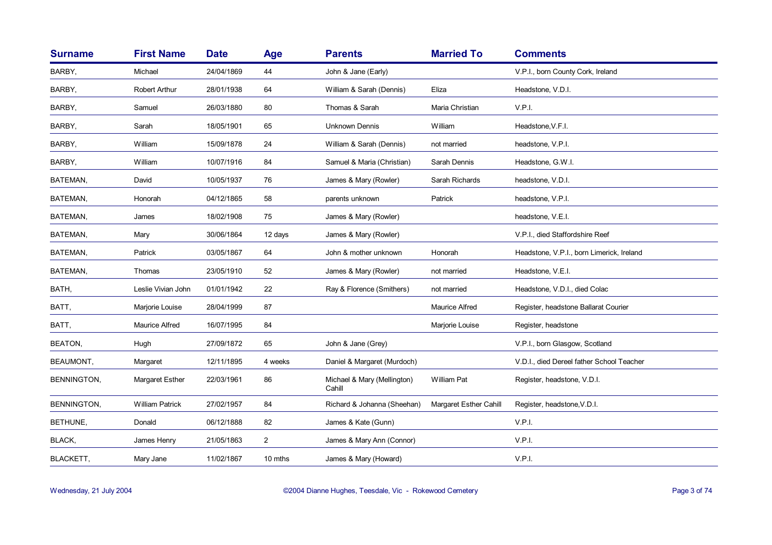| <b>Surname</b>     | <b>First Name</b>      | <b>Date</b> | Age            | <b>Parents</b>                        | <b>Married To</b>      | <b>Comments</b>                           |
|--------------------|------------------------|-------------|----------------|---------------------------------------|------------------------|-------------------------------------------|
| BARBY,             | Michael                | 24/04/1869  | 44             | John & Jane (Early)                   |                        | V.P.I., born County Cork, Ireland         |
| BARBY,             | Robert Arthur          | 28/01/1938  | 64             | William & Sarah (Dennis)              | Eliza                  | Headstone, V.D.I.                         |
| BARBY,             | Samuel                 | 26/03/1880  | 80             | Thomas & Sarah                        | Maria Christian        | V.P.I.                                    |
| BARBY,             | Sarah                  | 18/05/1901  | 65             | Unknown Dennis                        | William                | Headstone, V.F.I.                         |
| BARBY,             | William                | 15/09/1878  | 24             | William & Sarah (Dennis)              | not married            | headstone, V.P.I.                         |
| BARBY,             | William                | 10/07/1916  | 84             | Samuel & Maria (Christian)            | Sarah Dennis           | Headstone, G.W.I.                         |
| BATEMAN,           | David                  | 10/05/1937  | 76             | James & Mary (Rowler)                 | Sarah Richards         | headstone, V.D.I.                         |
| BATEMAN,           | Honorah                | 04/12/1865  | 58             | parents unknown                       | Patrick                | headstone, V.P.I.                         |
| BATEMAN,           | James                  | 18/02/1908  | 75             | James & Mary (Rowler)                 |                        | headstone, V.E.I.                         |
| BATEMAN,           | Mary                   | 30/06/1864  | 12 days        | James & Mary (Rowler)                 |                        | V.P.I., died Staffordshire Reef           |
| BATEMAN,           | <b>Patrick</b>         | 03/05/1867  | 64             | John & mother unknown                 | Honorah                | Headstone, V.P.I., born Limerick, Ireland |
| BATEMAN,           | Thomas                 | 23/05/1910  | 52             | James & Mary (Rowler)                 | not married            | Headstone, V.E.I.                         |
| BATH,              | Leslie Vivian John     | 01/01/1942  | 22             | Ray & Florence (Smithers)             | not married            | Headstone, V.D.I., died Colac             |
| BATT,              | Marjorie Louise        | 28/04/1999  | 87             |                                       | <b>Maurice Alfred</b>  | Register, headstone Ballarat Courier      |
| BATT.              | <b>Maurice Alfred</b>  | 16/07/1995  | 84             |                                       | Marjorie Louise        | Register, headstone                       |
| BEATON,            | Hugh                   | 27/09/1872  | 65             | John & Jane (Grey)                    |                        | V.P.I., born Glasgow, Scotland            |
| BEAUMONT,          | Margaret               | 12/11/1895  | 4 weeks        | Daniel & Margaret (Murdoch)           |                        | V.D.I., died Dereel father School Teacher |
| BENNINGTON,        | Margaret Esther        | 22/03/1961  | 86             | Michael & Mary (Mellington)<br>Cahill | <b>William Pat</b>     | Register, headstone, V.D.I.               |
| <b>BENNINGTON,</b> | <b>William Patrick</b> | 27/02/1957  | 84             | Richard & Johanna (Sheehan)           | Margaret Esther Cahill | Register, headstone, V.D.I.               |
| BETHUNE,           | Donald                 | 06/12/1888  | 82             | James & Kate (Gunn)                   |                        | V.P.I.                                    |
| BLACK,             | James Henry            | 21/05/1863  | $\overline{2}$ | James & Mary Ann (Connor)             |                        | V.P.I.                                    |
| BLACKETT,          | Mary Jane              | 11/02/1867  | 10 mths        | James & Mary (Howard)                 |                        | V.P.I.                                    |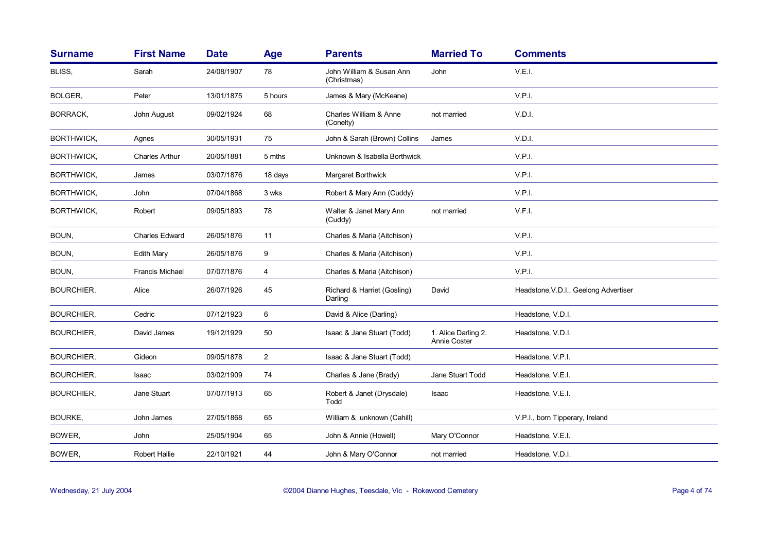| <b>Surname</b>    | <b>First Name</b>      | <b>Date</b> | <b>Age</b>     | <b>Parents</b>                          | <b>Married To</b>                   | <b>Comments</b>                       |
|-------------------|------------------------|-------------|----------------|-----------------------------------------|-------------------------------------|---------------------------------------|
| BLISS,            | Sarah                  | 24/08/1907  | 78             | John William & Susan Ann<br>(Christmas) | John                                | V.E.I.                                |
| BOLGER,           | Peter                  | 13/01/1875  | 5 hours        | James & Mary (McKeane)                  |                                     | V.P.I.                                |
| BORRACK,          | John August            | 09/02/1924  | 68             | Charles William & Anne<br>(Conelty)     | not married                         | V.D.I.                                |
| BORTHWICK,        | Agnes                  | 30/05/1931  | 75             | John & Sarah (Brown) Collins            | James                               | V.D.I.                                |
| BORTHWICK,        | <b>Charles Arthur</b>  | 20/05/1881  | 5 mths         | Unknown & Isabella Borthwick            |                                     | V.P.I.                                |
| BORTHWICK,        | James                  | 03/07/1876  | 18 days        | Margaret Borthwick                      |                                     | V.P.I.                                |
| BORTHWICK,        | John                   | 07/04/1868  | 3 wks          | Robert & Mary Ann (Cuddy)               |                                     | V.P.I.                                |
| <b>BORTHWICK,</b> | Robert                 | 09/05/1893  | 78             | Walter & Janet Mary Ann<br>(Cuddy)      | not married                         | V.F.I.                                |
| BOUN,             | Charles Edward         | 26/05/1876  | 11             | Charles & Maria (Aitchison)             |                                     | V.P.I.                                |
| BOUN,             | <b>Edith Mary</b>      | 26/05/1876  | 9              | Charles & Maria (Aitchison)             |                                     | V.P.I.                                |
| BOUN,             | <b>Francis Michael</b> | 07/07/1876  | 4              | Charles & Maria (Aitchison)             |                                     | V.P.I.                                |
| <b>BOURCHIER,</b> | Alice                  | 26/07/1926  | 45             | Richard & Harriet (Gosling)<br>Darling  | David                               | Headstone, V.D.I., Geelong Advertiser |
| <b>BOURCHIER,</b> | Cedric                 | 07/12/1923  | 6              | David & Alice (Darling)                 |                                     | Headstone, V.D.I.                     |
| <b>BOURCHIER,</b> | David James            | 19/12/1929  | 50             | Isaac & Jane Stuart (Todd)              | 1. Alice Darling 2.<br>Annie Coster | Headstone, V.D.I.                     |
| <b>BOURCHIER,</b> | Gideon                 | 09/05/1878  | $\overline{2}$ | Isaac & Jane Stuart (Todd)              |                                     | Headstone, V.P.I.                     |
| <b>BOURCHIER,</b> | Isaac                  | 03/02/1909  | 74             | Charles & Jane (Brady)                  | Jane Stuart Todd                    | Headstone, V.E.I.                     |
| <b>BOURCHIER,</b> | Jane Stuart            | 07/07/1913  | 65             | Robert & Janet (Drysdale)<br>Todd       | Isaac                               | Headstone, V.E.I.                     |
| <b>BOURKE,</b>    | John James             | 27/05/1868  | 65             | William & unknown (Cahill)              |                                     | V.P.I., born Tipperary, Ireland       |
| BOWER,            | John                   | 25/05/1904  | 65             | John & Annie (Howell)                   | Mary O'Connor                       | Headstone, V.E.I.                     |
| BOWER,            | <b>Robert Hallie</b>   | 22/10/1921  | 44             | John & Mary O'Connor                    | not married                         | Headstone, V.D.I.                     |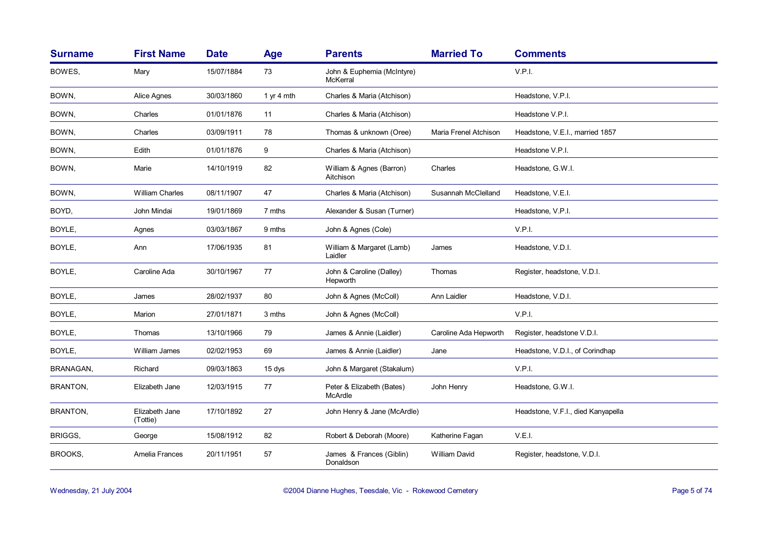| <b>Surname</b>  | <b>First Name</b>          | <b>Date</b> | Age        | <b>Parents</b>                         | <b>Married To</b>     | <b>Comments</b>                    |
|-----------------|----------------------------|-------------|------------|----------------------------------------|-----------------------|------------------------------------|
| BOWES,          | Mary                       | 15/07/1884  | 73         | John & Euphemia (McIntyre)<br>McKerral |                       | V.P.I.                             |
| BOWN,           | Alice Agnes                | 30/03/1860  | 1 yr 4 mth | Charles & Maria (Atchison)             |                       | Headstone, V.P.I.                  |
| BOWN.           | Charles                    | 01/01/1876  | 11         | Charles & Maria (Atchison)             |                       | Headstone V.P.I.                   |
| BOWN,           | Charles                    | 03/09/1911  | 78         | Thomas & unknown (Oree)                | Maria Frenel Atchison | Headstone, V.E.I., married 1857    |
| BOWN,           | Edith                      | 01/01/1876  | 9          | Charles & Maria (Atchison)             |                       | Headstone V.P.I.                   |
| BOWN,           | Marie                      | 14/10/1919  | 82         | William & Agnes (Barron)<br>Aitchison  | Charles               | Headstone, G.W.I.                  |
| BOWN,           | <b>William Charles</b>     | 08/11/1907  | 47         | Charles & Maria (Atchison)             | Susannah McClelland   | Headstone, V.E.I.                  |
| BOYD,           | John Mindai                | 19/01/1869  | 7 mths     | Alexander & Susan (Turner)             |                       | Headstone, V.P.I.                  |
| BOYLE,          | Agnes                      | 03/03/1867  | 9 mths     | John & Agnes (Cole)                    |                       | V.P.I.                             |
| BOYLE,          | Ann                        | 17/06/1935  | 81         | William & Margaret (Lamb)<br>Laidler   | James                 | Headstone, V.D.I.                  |
| BOYLE,          | Caroline Ada               | 30/10/1967  | 77         | John & Caroline (Dalley)<br>Hepworth   | Thomas                | Register, headstone, V.D.I.        |
| BOYLE,          | James                      | 28/02/1937  | 80         | John & Agnes (McColl)                  | Ann Laidler           | Headstone, V.D.I.                  |
| BOYLE,          | Marion                     | 27/01/1871  | 3 mths     | John & Agnes (McColl)                  |                       | V.P.I.                             |
| BOYLE,          | Thomas                     | 13/10/1966  | 79         | James & Annie (Laidler)                | Caroline Ada Hepworth | Register, headstone V.D.I.         |
| BOYLE,          | William James              | 02/02/1953  | 69         | James & Annie (Laidler)                | Jane                  | Headstone, V.D.I., of Corindhap    |
| BRANAGAN,       | Richard                    | 09/03/1863  | 15 dys     | John & Margaret (Stakalum)             |                       | V.P.I.                             |
| <b>BRANTON,</b> | Elizabeth Jane             | 12/03/1915  | 77         | Peter & Elizabeth (Bates)<br>McArdle   | John Henry            | Headstone, G.W.I.                  |
| <b>BRANTON,</b> | Elizabeth Jane<br>(Tottie) | 17/10/1892  | 27         | John Henry & Jane (McArdle)            |                       | Headstone, V.F.I., died Kanyapella |
| BRIGGS,         | George                     | 15/08/1912  | 82         | Robert & Deborah (Moore)               | Katherine Fagan       | V.E.I.                             |
| BROOKS,         | Amelia Frances             | 20/11/1951  | 57         | James & Frances (Giblin)<br>Donaldson  | William David         | Register, headstone, V.D.I.        |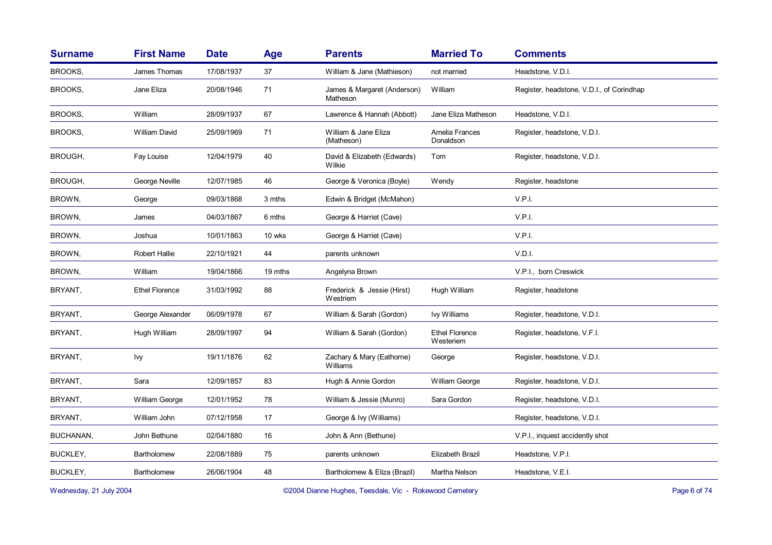| <b>Surname</b>  | <b>First Name</b>     | <b>Date</b> | Age     | <b>Parents</b>                          | <b>Married To</b>                  | <b>Comments</b>                           |
|-----------------|-----------------------|-------------|---------|-----------------------------------------|------------------------------------|-------------------------------------------|
| BROOKS,         | James Thomas          | 17/08/1937  | 37      | William & Jane (Mathieson)              | not married                        | Headstone, V.D.I.                         |
| BROOKS,         | Jane Eliza            | 20/08/1946  | 71      | James & Margaret (Anderson)<br>Matheson | William                            | Register, headstone, V.D.I., of Corindhap |
| BROOKS,         | William               | 28/09/1937  | 67      | Lawrence & Hannah (Abbott)              | Jane Eliza Matheson                | Headstone, V.D.I.                         |
| BROOKS,         | William David         | 25/09/1969  | 71      | William & Jane Eliza<br>(Matheson)      | Amelia Frances<br>Donaldson        | Register, headstone, V.D.I.               |
| BROUGH,         | Fay Louise            | 12/04/1979  | 40      | David & Elizabeth (Edwards)<br>Wilkie   | Tom                                | Register, headstone, V.D.I.               |
| BROUGH,         | George Neville        | 12/07/1985  | 46      | George & Veronica (Boyle)               | Wendy                              | Register, headstone                       |
| BROWN,          | George                | 09/03/1868  | 3 mths  | Edwin & Bridget (McMahon)               |                                    | V.P.I.                                    |
| BROWN,          | James                 | 04/03/1867  | 6 mths  | George & Harriet (Cave)                 |                                    | V.P.I.                                    |
| BROWN,          | Joshua                | 10/01/1863  | 10 wks  | George & Harriet (Cave)                 |                                    | V.P.I.                                    |
| BROWN,          | <b>Robert Hallie</b>  | 22/10/1921  | 44      | parents unknown                         |                                    | V.D.I.                                    |
| BROWN,          | William               | 19/04/1866  | 19 mths | Angelyna Brown                          |                                    | V.P.I., born Creswick                     |
| BRYANT,         | <b>Ethel Florence</b> | 31/03/1992  | 88      | Frederick & Jessie (Hirst)<br>Westriem  | Hugh William                       | Register, headstone                       |
| BRYANT,         | George Alexander      | 06/09/1978  | 67      | William & Sarah (Gordon)                | Ivy Williams                       | Register, headstone, V.D.I.               |
| BRYANT,         | Hugh William          | 28/09/1997  | 94      | William & Sarah (Gordon)                | <b>Ethel Florence</b><br>Westeriem | Register, headstone, V.F.I.               |
| BRYANT,         | Ivy                   | 19/11/1876  | 62      | Zachary & Mary (Eathorne)<br>Williams   | George                             | Register, headstone, V.D.I.               |
| BRYANT,         | Sara                  | 12/09/1857  | 83      | Hugh & Annie Gordon                     | William George                     | Register, headstone, V.D.I.               |
| BRYANT,         | William George        | 12/01/1952  | 78      | William & Jessie (Munro)                | Sara Gordon                        | Register, headstone, V.D.I.               |
| BRYANT,         | William John          | 07/12/1958  | 17      | George & Ivy (Williams)                 |                                    | Register, headstone, V.D.I.               |
| BUCHANAN,       | John Bethune          | 02/04/1880  | 16      | John & Ann (Bethune)                    |                                    | V.P.I., inquest accidently shot           |
| <b>BUCKLEY,</b> | Bartholomew           | 22/08/1889  | 75      | parents unknown                         | Elizabeth Brazil                   | Headstone, V.P.I.                         |
| <b>BUCKLEY,</b> | Bartholomew           | 26/06/1904  | 48      | Bartholomew & Eliza (Brazil)            | Martha Nelson                      | Headstone, V.E.I.                         |
|                 |                       |             |         |                                         |                                    |                                           |

Wednesday, 21 July 2004 **Dianne Hughes, Teesdale, Vic - Rokewood Cemetery** Page 6 of 74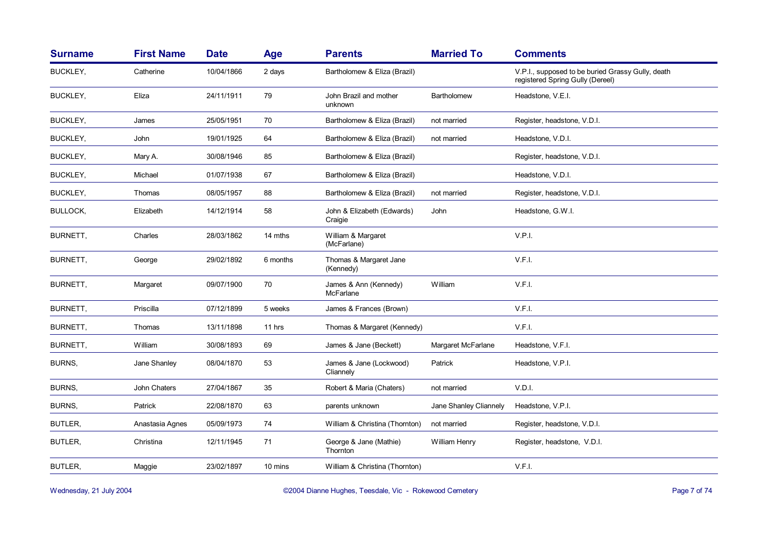| <b>Surname</b>  | <b>First Name</b> | <b>Date</b> | <b>Age</b> | <b>Parents</b>                        | <b>Married To</b>      | <b>Comments</b>                                                                       |
|-----------------|-------------------|-------------|------------|---------------------------------------|------------------------|---------------------------------------------------------------------------------------|
| <b>BUCKLEY,</b> | Catherine         | 10/04/1866  | 2 days     | Bartholomew & Eliza (Brazil)          |                        | V.P.I., supposed to be buried Grassy Gully, death<br>registered Spring Gully (Dereel) |
| <b>BUCKLEY,</b> | Eliza             | 24/11/1911  | 79         | John Brazil and mother<br>unknown     | Bartholomew            | Headstone, V.E.I.                                                                     |
| <b>BUCKLEY,</b> | James             | 25/05/1951  | 70         | Bartholomew & Eliza (Brazil)          | not married            | Register, headstone, V.D.I.                                                           |
| <b>BUCKLEY,</b> | John              | 19/01/1925  | 64         | Bartholomew & Eliza (Brazil)          | not married            | Headstone, V.D.I.                                                                     |
| <b>BUCKLEY,</b> | Mary A.           | 30/08/1946  | 85         | Bartholomew & Eliza (Brazil)          |                        | Register, headstone, V.D.I.                                                           |
| <b>BUCKLEY,</b> | Michael           | 01/07/1938  | 67         | Bartholomew & Eliza (Brazil)          |                        | Headstone, V.D.I.                                                                     |
| <b>BUCKLEY,</b> | Thomas            | 08/05/1957  | 88         | Bartholomew & Eliza (Brazil)          | not married            | Register, headstone, V.D.I.                                                           |
| <b>BULLOCK,</b> | Elizabeth         | 14/12/1914  | 58         | John & Elizabeth (Edwards)<br>Craigie | John                   | Headstone, G.W.I.                                                                     |
| BURNETT,        | Charles           | 28/03/1862  | 14 mths    | William & Margaret<br>(McFarlane)     |                        | V.P.I.                                                                                |
| BURNETT,        | George            | 29/02/1892  | 6 months   | Thomas & Margaret Jane<br>(Kennedy)   |                        | V.F.I.                                                                                |
| BURNETT,        | Margaret          | 09/07/1900  | 70         | James & Ann (Kennedy)<br>McFarlane    | William                | V.F.I.                                                                                |
| BURNETT,        | Priscilla         | 07/12/1899  | 5 weeks    | James & Frances (Brown)               |                        | V.F.I.                                                                                |
| BURNETT,        | Thomas            | 13/11/1898  | 11 hrs     | Thomas & Margaret (Kennedy)           |                        | V.F.I.                                                                                |
| BURNETT,        | William           | 30/08/1893  | 69         | James & Jane (Beckett)                | Margaret McFarlane     | Headstone, V.F.I.                                                                     |
| <b>BURNS.</b>   | Jane Shanley      | 08/04/1870  | 53         | James & Jane (Lockwood)<br>Cliannely  | Patrick                | Headstone, V.P.I.                                                                     |
| <b>BURNS.</b>   | John Chaters      | 27/04/1867  | 35         | Robert & Maria (Chaters)              | not married            | V.D.I.                                                                                |
| BURNS,          | Patrick           | 22/08/1870  | 63         | parents unknown                       | Jane Shanley Cliannely | Headstone, V.P.I.                                                                     |
| BUTLER,         | Anastasia Agnes   | 05/09/1973  | 74         | William & Christina (Thornton)        | not married            | Register, headstone, V.D.I.                                                           |
| BUTLER,         | Christina         | 12/11/1945  | 71         | George & Jane (Mathie)<br>Thornton    | William Henry          | Register, headstone, V.D.I.                                                           |
| BUTLER,         | Maggie            | 23/02/1897  | 10 mins    | William & Christina (Thornton)        |                        | V.F.I.                                                                                |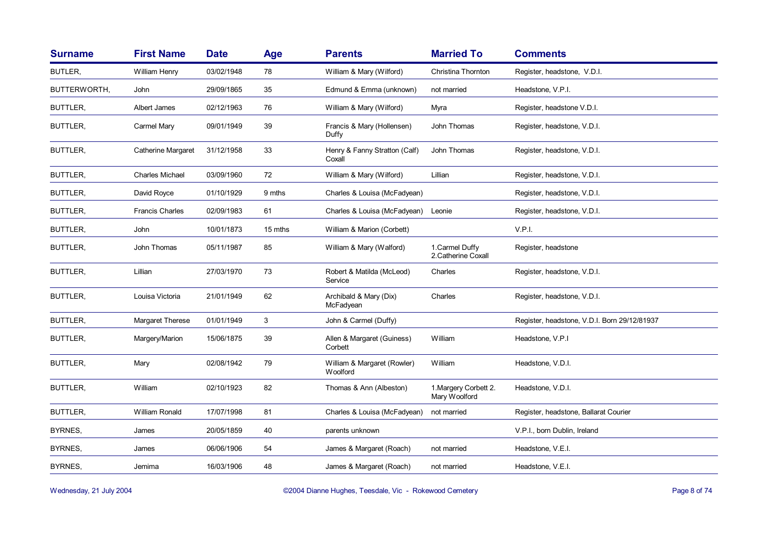| <b>Surname</b>  | <b>First Name</b>         | <b>Date</b> | Age     | <b>Parents</b>                          | <b>Married To</b>                      | <b>Comments</b>                              |
|-----------------|---------------------------|-------------|---------|-----------------------------------------|----------------------------------------|----------------------------------------------|
| BUTLER,         | William Henry             | 03/02/1948  | 78      | William & Mary (Wilford)                | Christina Thornton                     | Register, headstone, V.D.I.                  |
| BUTTERWORTH,    | John                      | 29/09/1865  | 35      | Edmund & Emma (unknown)                 | not married                            | Headstone, V.P.I.                            |
| <b>BUTTLER,</b> | Albert James              | 02/12/1963  | 76      | William & Mary (Wilford)                | Myra                                   | Register, headstone V.D.I.                   |
| <b>BUTTLER,</b> | Carmel Mary               | 09/01/1949  | 39      | Francis & Mary (Hollensen)<br>Duffy     | John Thomas                            | Register, headstone, V.D.I.                  |
| BUTTLER,        | <b>Catherine Margaret</b> | 31/12/1958  | 33      | Henry & Fanny Stratton (Calf)<br>Coxall | John Thomas                            | Register, headstone, V.D.I.                  |
| BUTTLER,        | <b>Charles Michael</b>    | 03/09/1960  | 72      | William & Mary (Wilford)                | Lillian                                | Register, headstone, V.D.I.                  |
| BUTTLER,        | David Royce               | 01/10/1929  | 9 mths  | Charles & Louisa (McFadyean)            |                                        | Register, headstone, V.D.I.                  |
| <b>BUTTLER,</b> | <b>Francis Charles</b>    | 02/09/1983  | 61      | Charles & Louisa (McFadyean)            | Leonie                                 | Register, headstone, V.D.I.                  |
| BUTTLER,        | John                      | 10/01/1873  | 15 mths | William & Marion (Corbett)              |                                        | V.P.I.                                       |
| BUTTLER,        | John Thomas               | 05/11/1987  | 85      | William & Mary (Walford)                | 1.Carmel Duffy<br>2. Catherine Coxall  | Register, headstone                          |
| BUTTLER,        | Lillian                   | 27/03/1970  | 73      | Robert & Matilda (McLeod)<br>Service    | Charles                                | Register, headstone, V.D.I.                  |
| <b>BUTTLER,</b> | Louisa Victoria           | 21/01/1949  | 62      | Archibald & Mary (Dix)<br>McFadyean     | Charles                                | Register, headstone, V.D.I.                  |
| BUTTLER,        | Margaret Therese          | 01/01/1949  | 3       | John & Carmel (Duffy)                   |                                        | Register, headstone, V.D.I. Born 29/12/81937 |
| BUTTLER,        | Margery/Marion            | 15/06/1875  | 39      | Allen & Margaret (Guiness)<br>Corbett   | William                                | Headstone, V.P.I                             |
| BUTTLER,        | Mary                      | 02/08/1942  | 79      | William & Margaret (Rowler)<br>Woolford | William                                | Headstone, V.D.I.                            |
| BUTTLER,        | William                   | 02/10/1923  | 82      | Thomas & Ann (Albeston)                 | 1. Margery Corbett 2.<br>Mary Woolford | Headstone, V.D.I.                            |
| BUTTLER,        | William Ronald            | 17/07/1998  | 81      | Charles & Louisa (McFadyean)            | not married                            | Register, headstone, Ballarat Courier        |
| BYRNES,         | James                     | 20/05/1859  | 40      | parents unknown                         |                                        | V.P.I., born Dublin, Ireland                 |
| BYRNES,         | James                     | 06/06/1906  | 54      | James & Margaret (Roach)                | not married                            | Headstone, V.E.I.                            |
| BYRNES,         | Jemima                    | 16/03/1906  | 48      | James & Margaret (Roach)                | not married                            | Headstone, V.E.I.                            |

Wednesday, 21 July 2004 **Dianne Hughes, Teesdale, Vic - Rokewood Cemetery** Page 8 of 74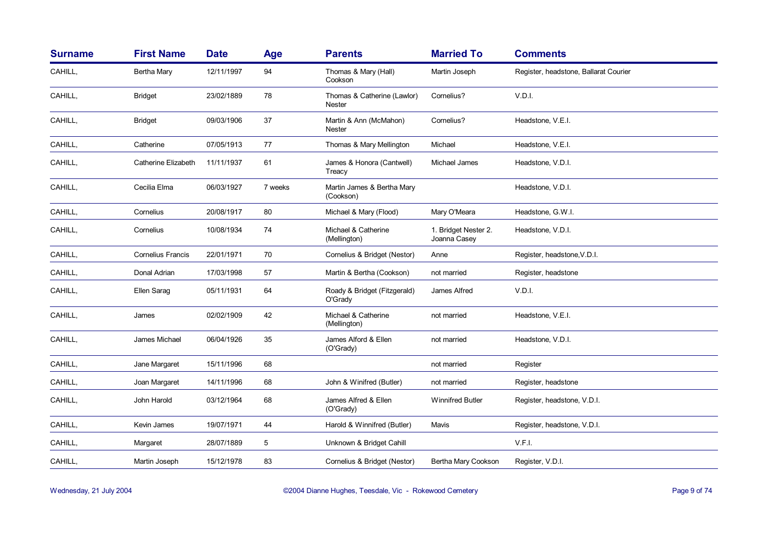| <b>Surname</b> | <b>First Name</b>        | <b>Date</b> | Age     | <b>Parents</b>                          | <b>Married To</b>                    | <b>Comments</b>                       |
|----------------|--------------------------|-------------|---------|-----------------------------------------|--------------------------------------|---------------------------------------|
| CAHILL,        | Bertha Mary              | 12/11/1997  | 94      | Thomas & Mary (Hall)<br>Cookson         | Martin Joseph                        | Register, headstone, Ballarat Courier |
| CAHILL,        | <b>Bridget</b>           | 23/02/1889  | 78      | Thomas & Catherine (Lawlor)<br>Nester   | Cornelius?                           | V.D.I.                                |
| CAHILL,        | <b>Bridget</b>           | 09/03/1906  | 37      | Martin & Ann (McMahon)<br>Nester        | Cornelius?                           | Headstone, V.E.I.                     |
| CAHILL,        | Catherine                | 07/05/1913  | 77      | Thomas & Mary Mellington                | Michael                              | Headstone, V.E.I.                     |
| CAHILL,        | Catherine Elizabeth      | 11/11/1937  | 61      | James & Honora (Cantwell)<br>Treacy     | Michael James                        | Headstone, V.D.I.                     |
| CAHILL,        | Cecilia Elma             | 06/03/1927  | 7 weeks | Martin James & Bertha Mary<br>(Cookson) |                                      | Headstone, V.D.I.                     |
| CAHILL,        | Cornelius                | 20/08/1917  | 80      | Michael & Mary (Flood)                  | Mary O'Meara                         | Headstone, G.W.I.                     |
| CAHILL,        | Cornelius                | 10/08/1934  | 74      | Michael & Catherine<br>(Mellington)     | 1. Bridget Nester 2.<br>Joanna Casey | Headstone, V.D.I.                     |
| CAHILL,        | <b>Cornelius Francis</b> | 22/01/1971  | 70      | Cornelius & Bridget (Nestor)            | Anne                                 | Register, headstone, V.D.I.           |
| CAHILL,        | Donal Adrian             | 17/03/1998  | 57      | Martin & Bertha (Cookson)               | not married                          | Register, headstone                   |
| CAHILL,        | Ellen Sarag              | 05/11/1931  | 64      | Roady & Bridget (Fitzgerald)<br>O'Grady | James Alfred                         | V.D.I.                                |
| CAHILL,        | James                    | 02/02/1909  | 42      | Michael & Catherine<br>(Mellington)     | not married                          | Headstone, V.E.I.                     |
| CAHILL,        | James Michael            | 06/04/1926  | 35      | James Alford & Ellen<br>(O'Grady)       | not married                          | Headstone, V.D.I.                     |
| CAHILL,        | Jane Margaret            | 15/11/1996  | 68      |                                         | not married                          | Register                              |
| CAHILL,        | Joan Margaret            | 14/11/1996  | 68      | John & Winifred (Butler)                | not married                          | Register, headstone                   |
| CAHILL,        | John Harold              | 03/12/1964  | 68      | James Alfred & Ellen<br>(O'Grady)       | <b>Winnifred Butler</b>              | Register, headstone, V.D.I.           |
| CAHILL,        | Kevin James              | 19/07/1971  | 44      | Harold & Winnifred (Butler)             | Mavis                                | Register, headstone, V.D.I.           |
| CAHILL,        | Margaret                 | 28/07/1889  | 5       | Unknown & Bridget Cahill                |                                      | V.F.I.                                |
| CAHILL,        | Martin Joseph            | 15/12/1978  | 83      | Cornelius & Bridget (Nestor)            | Bertha Mary Cookson                  | Register, V.D.I.                      |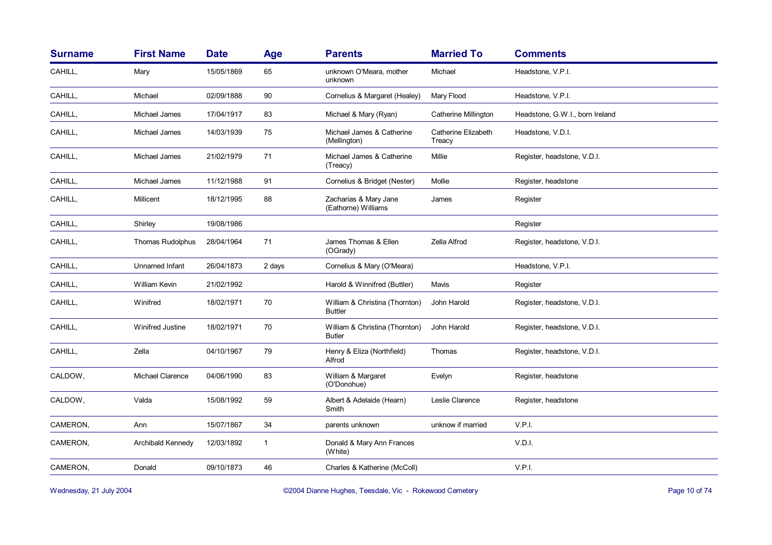| <b>Surname</b> | <b>First Name</b>    | <b>Date</b> | Age          | <b>Parents</b>                                   | <b>Married To</b>             | <b>Comments</b>                 |
|----------------|----------------------|-------------|--------------|--------------------------------------------------|-------------------------------|---------------------------------|
| CAHILL,        | Mary                 | 15/05/1869  | 65           | unknown O'Meara, mother<br>unknown               | Michael                       | Headstone, V.P.I.               |
| CAHILL,        | Michael              | 02/09/1888  | 90           | Cornelius & Margaret (Healey)                    | Mary Flood                    | Headstone, V.P.I.               |
| CAHILL,        | Michael James        | 17/04/1917  | 83           | Michael & Mary (Ryan)                            | Catherine Millington          | Headstone, G.W.I., born Ireland |
| CAHILL,        | Michael James        | 14/03/1939  | 75           | Michael James & Catherine<br>(Mellington)        | Catherine Elizabeth<br>Treacy | Headstone, V.D.I.               |
| CAHILL,        | Michael James        | 21/02/1979  | 71           | Michael James & Catherine<br>(Treacy)            | Millie                        | Register, headstone, V.D.I.     |
| CAHILL,        | Michael James        | 11/12/1988  | 91           | Cornelius & Bridget (Nester)                     | Mollie                        | Register, headstone             |
| CAHILL,        | Millicent            | 18/12/1995  | 88           | Zacharias & Mary Jane<br>(Eathorne) Williams     | James                         | Register                        |
| CAHILL,        | Shirley              | 19/08/1986  |              |                                                  |                               | Register                        |
| CAHILL,        | Thomas Rudolphus     | 28/04/1964  | 71           | James Thomas & Ellen<br>(OGrady)                 | Zella Alfrod                  | Register, headstone, V.D.I.     |
| CAHILL,        | Unnamed Infant       | 26/04/1873  | 2 days       | Cornelius & Mary (O'Meara)                       |                               | Headstone, V.P.I.               |
| CAHILL,        | <b>William Kevin</b> | 21/02/1992  |              | Harold & Winnifred (Buttler)                     | Mavis                         | Register                        |
| CAHILL,        | Winifred             | 18/02/1971  | 70           | William & Christina (Thornton)<br><b>Buttler</b> | John Harold                   | Register, headstone, V.D.I.     |
| CAHILL,        | Winifred Justine     | 18/02/1971  | 70           | William & Christina (Thornton)<br><b>Butler</b>  | John Harold                   | Register, headstone, V.D.I.     |
| CAHILL,        | Zella                | 04/10/1967  | 79           | Henry & Eliza (Northfield)<br>Alfrod             | Thomas                        | Register, headstone, V.D.I.     |
| CALDOW,        | Michael Clarence     | 04/06/1990  | 83           | William & Margaret<br>(O'Donohue)                | Evelyn                        | Register, headstone             |
| CALDOW,        | Valda                | 15/08/1992  | 59           | Albert & Adelaide (Hearn)<br>Smith               | Leslie Clarence               | Register, headstone             |
| CAMERON,       | Ann                  | 15/07/1867  | 34           | parents unknown                                  | unknow if married             | V.P.I.                          |
| CAMERON,       | Archibald Kennedy    | 12/03/1892  | $\mathbf{1}$ | Donald & Mary Ann Frances<br>(White)             |                               | V.D.I.                          |
| CAMERON,       | Donald               | 09/10/1873  | 46           | Charles & Katherine (McColl)                     |                               | V.P.I.                          |

Wednesday, 21 July 2004 **Dianne Hughes, Teesdale, Vic - Rokewood Cemetery** Page 10 of 74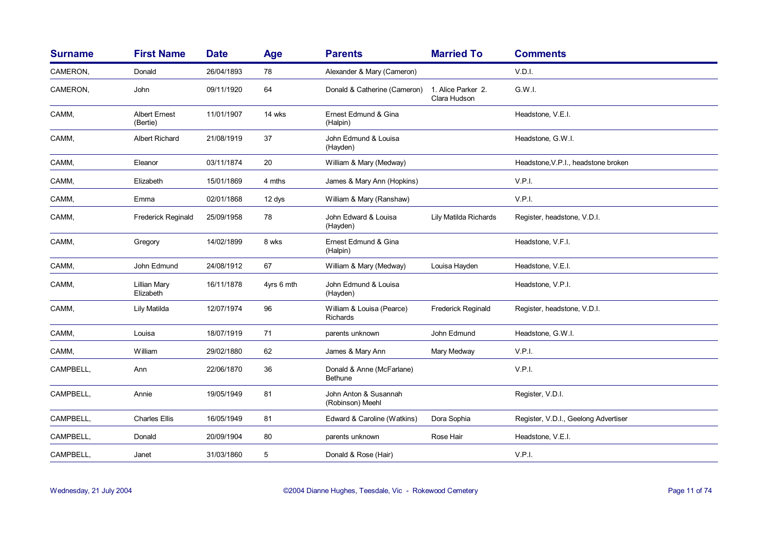| <b>Surname</b> | <b>First Name</b>                | <b>Date</b> | Age        | <b>Parents</b>                              | <b>Married To</b>                  | <b>Comments</b>                      |
|----------------|----------------------------------|-------------|------------|---------------------------------------------|------------------------------------|--------------------------------------|
| CAMERON,       | Donald                           | 26/04/1893  | 78         | Alexander & Mary (Cameron)                  |                                    | V.D.I.                               |
| CAMERON,       | John                             | 09/11/1920  | 64         | Donald & Catherine (Cameron)                | 1. Alice Parker 2.<br>Clara Hudson | G.W.I.                               |
| CAMM,          | <b>Albert Ernest</b><br>(Bertie) | 11/01/1907  | 14 wks     | Ernest Edmund & Gina<br>(Halpin)            |                                    | Headstone, V.E.I.                    |
| CAMM,          | <b>Albert Richard</b>            | 21/08/1919  | 37         | John Edmund & Louisa<br>(Hayden)            |                                    | Headstone, G.W.I.                    |
| CAMM,          | Eleanor                          | 03/11/1874  | 20         | William & Mary (Medway)                     |                                    | Headstone, V.P.I., headstone broken  |
| CAMM,          | Elizabeth                        | 15/01/1869  | 4 mths     | James & Mary Ann (Hopkins)                  |                                    | V.P.I.                               |
| CAMM,          | Emma                             | 02/01/1868  | 12 dys     | William & Mary (Ranshaw)                    |                                    | V.P.I.                               |
| CAMM,          | <b>Frederick Reginald</b>        | 25/09/1958  | 78         | John Edward & Louisa<br>(Hayden)            | Lily Matilda Richards              | Register, headstone, V.D.I.          |
| CAMM,          | Gregory                          | 14/02/1899  | 8 wks      | Ernest Edmund & Gina<br>(Halpin)            |                                    | Headstone, V.F.I.                    |
| CAMM,          | John Edmund                      | 24/08/1912  | 67         | William & Mary (Medway)                     | Louisa Hayden                      | Headstone, V.E.I.                    |
| CAMM,          | Lillian Mary<br>Elizabeth        | 16/11/1878  | 4yrs 6 mth | John Edmund & Louisa<br>(Hayden)            |                                    | Headstone, V.P.I.                    |
| CAMM,          | Lily Matilda                     | 12/07/1974  | 96         | William & Louisa (Pearce)<br>Richards       | <b>Frederick Reginald</b>          | Register, headstone, V.D.I.          |
| CAMM,          | Louisa                           | 18/07/1919  | 71         | parents unknown                             | John Edmund                        | Headstone, G.W.I.                    |
| CAMM,          | William                          | 29/02/1880  | 62         | James & Mary Ann                            | Mary Medway                        | V.P.I.                               |
| CAMPBELL,      | Ann                              | 22/06/1870  | 36         | Donald & Anne (McFarlane)<br><b>Bethune</b> |                                    | V.P.I.                               |
| CAMPBELL,      | Annie                            | 19/05/1949  | 81         | John Anton & Susannah<br>(Robinson) Meehl   |                                    | Register, V.D.I.                     |
| CAMPBELL,      | <b>Charles Ellis</b>             | 16/05/1949  | 81         | Edward & Caroline (Watkins)                 | Dora Sophia                        | Register, V.D.I., Geelong Advertiser |
| CAMPBELL,      | Donald                           | 20/09/1904  | 80         | parents unknown                             | Rose Hair                          | Headstone, V.E.I.                    |
| CAMPBELL.      | Janet                            | 31/03/1860  | 5          | Donald & Rose (Hair)                        |                                    | V.P.I.                               |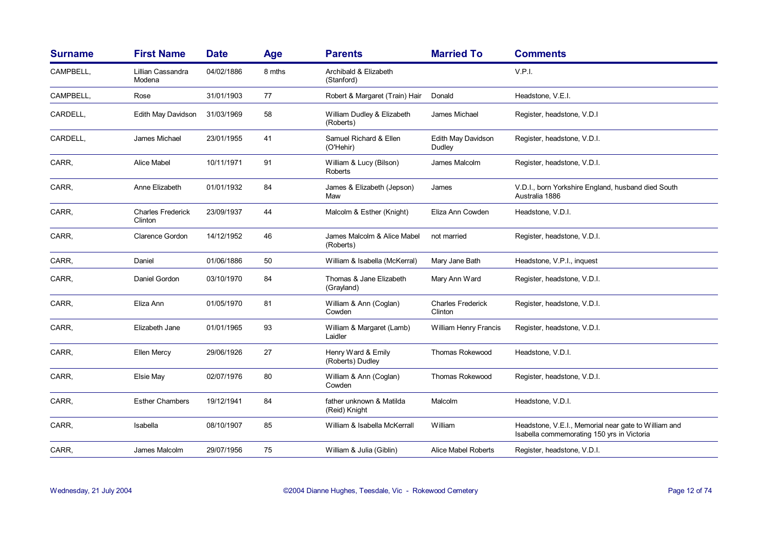| <b>Surname</b> | <b>First Name</b>                   | <b>Date</b> | <b>Age</b> | <b>Parents</b>                            | <b>Married To</b>                   | <b>Comments</b>                                                                                    |
|----------------|-------------------------------------|-------------|------------|-------------------------------------------|-------------------------------------|----------------------------------------------------------------------------------------------------|
| CAMPBELL,      | Lillian Cassandra<br>Modena         | 04/02/1886  | 8 mths     | Archibald & Elizabeth<br>(Stanford)       |                                     | V.P.I.                                                                                             |
| CAMPBELL,      | Rose                                | 31/01/1903  | 77         | Robert & Margaret (Train) Hair            | Donald                              | Headstone, V.E.I.                                                                                  |
| CARDELL,       | Edith May Davidson                  | 31/03/1969  | 58         | William Dudley & Elizabeth<br>(Roberts)   | James Michael                       | Register, headstone, V.D.I.                                                                        |
| CARDELL,       | James Michael                       | 23/01/1955  | 41         | Samuel Richard & Ellen<br>(O'Hehir)       | Edith May Davidson<br>Dudley        | Register, headstone, V.D.I.                                                                        |
| CARR,          | Alice Mabel                         | 10/11/1971  | 91         | William & Lucy (Bilson)<br>Roberts        | James Malcolm                       | Register, headstone, V.D.I.                                                                        |
| CARR,          | Anne Elizabeth                      | 01/01/1932  | 84         | James & Elizabeth (Jepson)<br>Maw         | James                               | V.D.I., born Yorkshire England, husband died South<br>Australia 1886                               |
| CARR,          | <b>Charles Frederick</b><br>Clinton | 23/09/1937  | 44         | Malcolm & Esther (Knight)                 | Eliza Ann Cowden                    | Headstone, V.D.I.                                                                                  |
| CARR,          | Clarence Gordon                     | 14/12/1952  | 46         | James Malcolm & Alice Mabel<br>(Roberts)  | not married                         | Register, headstone, V.D.I.                                                                        |
| CARR,          | Daniel                              | 01/06/1886  | 50         | William & Isabella (McKerral)             | Mary Jane Bath                      | Headstone, V.P.I., inquest                                                                         |
| CARR,          | Daniel Gordon                       | 03/10/1970  | 84         | Thomas & Jane Elizabeth<br>(Grayland)     | Mary Ann Ward                       | Register, headstone, V.D.I.                                                                        |
| CARR,          | Eliza Ann                           | 01/05/1970  | 81         | William & Ann (Coglan)<br>Cowden          | <b>Charles Frederick</b><br>Clinton | Register, headstone, V.D.I.                                                                        |
| CARR,          | Elizabeth Jane                      | 01/01/1965  | 93         | William & Margaret (Lamb)<br>Laidler      | William Henry Francis               | Register, headstone, V.D.I.                                                                        |
| CARR,          | Ellen Mercy                         | 29/06/1926  | 27         | Henry Ward & Emily<br>(Roberts) Dudley    | <b>Thomas Rokewood</b>              | Headstone, V.D.I.                                                                                  |
| CARR,          | Elsie May                           | 02/07/1976  | 80         | William & Ann (Coglan)<br>Cowden          | Thomas Rokewood                     | Register, headstone, V.D.I.                                                                        |
| CARR,          | <b>Esther Chambers</b>              | 19/12/1941  | 84         | father unknown & Matilda<br>(Reid) Knight | Malcolm                             | Headstone, V.D.I.                                                                                  |
| CARR,          | Isabella                            | 08/10/1907  | 85         | William & Isabella McKerrall              | William                             | Headstone, V.E.I., Memorial near gate to William and<br>Isabella commemorating 150 yrs in Victoria |
| CARR,          | James Malcolm                       | 29/07/1956  | 75         | William & Julia (Giblin)                  | Alice Mabel Roberts                 | Register, headstone, V.D.I.                                                                        |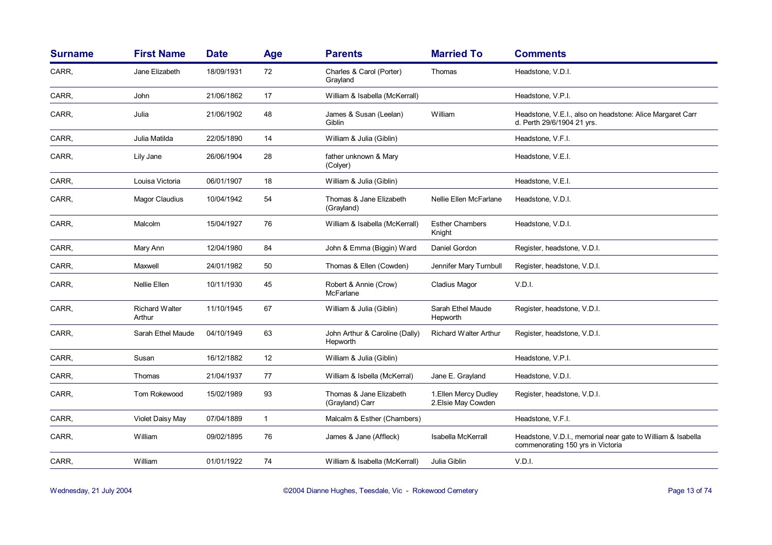| <b>Surname</b> | <b>First Name</b>               | <b>Date</b> | <b>Age</b>   | <b>Parents</b>                             | <b>Married To</b>                            | <b>Comments</b>                                                                                  |
|----------------|---------------------------------|-------------|--------------|--------------------------------------------|----------------------------------------------|--------------------------------------------------------------------------------------------------|
| CARR,          | Jane Elizabeth                  | 18/09/1931  | 72           | Charles & Carol (Porter)<br>Grayland       | Thomas                                       | Headstone, V.D.I.                                                                                |
| CARR,          | John                            | 21/06/1862  | 17           | William & Isabella (McKerrall)             |                                              | Headstone, V.P.I.                                                                                |
| CARR,          | Julia                           | 21/06/1902  | 48           | James & Susan (Leelan)<br>Giblin           | William                                      | Headstone, V.E.I., also on headstone: Alice Margaret Carr<br>d. Perth 29/6/1904 21 yrs.          |
| CARR,          | Julia Matilda                   | 22/05/1890  | 14           | William & Julia (Giblin)                   |                                              | Headstone, V.F.I.                                                                                |
| CARR,          | Lily Jane                       | 26/06/1904  | 28           | father unknown & Mary<br>(Colyer)          |                                              | Headstone, V.E.I.                                                                                |
| CARR,          | Louisa Victoria                 | 06/01/1907  | 18           | William & Julia (Giblin)                   |                                              | Headstone, V.E.I.                                                                                |
| CARR,          | <b>Magor Claudius</b>           | 10/04/1942  | 54           | Thomas & Jane Elizabeth<br>(Grayland)      | Nellie Ellen McFarlane                       | Headstone, V.D.I.                                                                                |
| CARR,          | Malcolm                         | 15/04/1927  | 76           | William & Isabella (McKerrall)             | <b>Esther Chambers</b><br>Knight             | Headstone, V.D.I.                                                                                |
| CARR,          | Mary Ann                        | 12/04/1980  | 84           | John & Emma (Biggin) Ward                  | Daniel Gordon                                | Register, headstone, V.D.I.                                                                      |
| CARR,          | Maxwell                         | 24/01/1982  | 50           | Thomas & Ellen (Cowden)                    | Jennifer Mary Turnbull                       | Register, headstone, V.D.I.                                                                      |
| CARR,          | Nellie Ellen                    | 10/11/1930  | 45           | Robert & Annie (Crow)<br>McFarlane         | Cladius Magor                                | V.D.I.                                                                                           |
| CARR,          | <b>Richard Walter</b><br>Arthur | 11/10/1945  | 67           | William & Julia (Giblin)                   | Sarah Ethel Maude<br>Hepworth                | Register, headstone, V.D.I.                                                                      |
| CARR,          | Sarah Ethel Maude               | 04/10/1949  | 63           | John Arthur & Caroline (Dally)<br>Hepworth | <b>Richard Walter Arthur</b>                 | Register, headstone, V.D.I.                                                                      |
| CARR,          | Susan                           | 16/12/1882  | 12           | William & Julia (Giblin)                   |                                              | Headstone, V.P.I.                                                                                |
| CARR,          | Thomas                          | 21/04/1937  | 77           | William & Isbella (McKerral)               | Jane E. Grayland                             | Headstone, V.D.I.                                                                                |
| CARR,          | Tom Rokewood                    | 15/02/1989  | 93           | Thomas & Jane Elizabeth<br>(Grayland) Carr | 1. Ellen Mercy Dudley<br>2. Elsie May Cowden | Register, headstone, V.D.I.                                                                      |
| CARR,          | Violet Daisy May                | 07/04/1889  | $\mathbf{1}$ | Malcalm & Esther (Chambers)                |                                              | Headstone, V.F.I.                                                                                |
| CARR,          | William                         | 09/02/1895  | 76           | James & Jane (Affleck)                     | Isabella McKerrall                           | Headstone, V.D.I., memorial near gate to William & Isabella<br>commenorating 150 yrs in Victoria |
| CARR,          | William                         | 01/01/1922  | 74           | William & Isabella (McKerrall)             | Julia Giblin                                 | V.D.I.                                                                                           |
|                |                                 |             |              |                                            |                                              |                                                                                                  |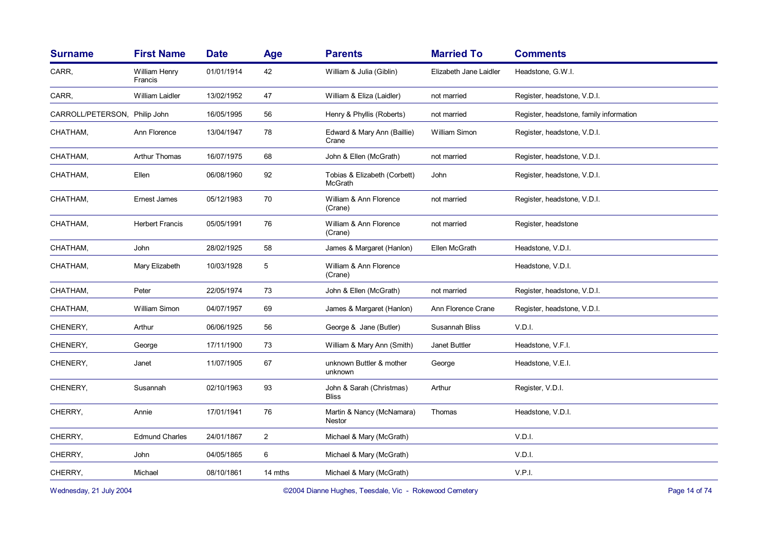| <b>Surname</b>                | <b>First Name</b>        | <b>Date</b> | <b>Age</b>     | <b>Parents</b>                           | <b>Married To</b>      | <b>Comments</b>                         |
|-------------------------------|--------------------------|-------------|----------------|------------------------------------------|------------------------|-----------------------------------------|
| CARR,                         | William Henry<br>Francis | 01/01/1914  | 42             | William & Julia (Giblin)                 | Elizabeth Jane Laidler | Headstone, G.W.I.                       |
| CARR,                         | <b>William Laidler</b>   | 13/02/1952  | 47             | William & Eliza (Laidler)                | not married            | Register, headstone, V.D.I.             |
| CARROLL/PETERSON, Philip John |                          | 16/05/1995  | 56             | Henry & Phyllis (Roberts)                | not married            | Register, headstone, family information |
| CHATHAM,                      | Ann Florence             | 13/04/1947  | 78             | Edward & Mary Ann (Baillie)<br>Crane     | William Simon          | Register, headstone, V.D.I.             |
| CHATHAM,                      | Arthur Thomas            | 16/07/1975  | 68             | John & Ellen (McGrath)                   | not married            | Register, headstone, V.D.I.             |
| CHATHAM,                      | Ellen                    | 06/08/1960  | 92             | Tobias & Elizabeth (Corbett)<br>McGrath  | John                   | Register, headstone, V.D.I.             |
| CHATHAM,                      | Ernest James             | 05/12/1983  | 70             | William & Ann Florence<br>(Crane)        | not married            | Register, headstone, V.D.I.             |
| CHATHAM,                      | <b>Herbert Francis</b>   | 05/05/1991  | 76             | William & Ann Florence<br>(Crane)        | not married            | Register, headstone                     |
| CHATHAM,                      | John                     | 28/02/1925  | 58             | James & Margaret (Hanlon)                | Ellen McGrath          | Headstone, V.D.I.                       |
| CHATHAM,                      | Mary Elizabeth           | 10/03/1928  | 5              | William & Ann Florence<br>(Crane)        |                        | Headstone, V.D.I.                       |
| CHATHAM,                      | Peter                    | 22/05/1974  | 73             | John & Ellen (McGrath)                   | not married            | Register, headstone, V.D.I.             |
| CHATHAM,                      | William Simon            | 04/07/1957  | 69             | James & Margaret (Hanlon)                | Ann Florence Crane     | Register, headstone, V.D.I.             |
| CHENERY,                      | Arthur                   | 06/06/1925  | 56             | George & Jane (Butler)                   | Susannah Bliss         | V.D.I.                                  |
| CHENERY,                      | George                   | 17/11/1900  | 73             | William & Mary Ann (Smith)               | Janet Buttler          | Headstone, V.F.I.                       |
| CHENERY,                      | Janet                    | 11/07/1905  | 67             | unknown Buttler & mother<br>unknown      | George                 | Headstone, V.E.I.                       |
| CHENERY,                      | Susannah                 | 02/10/1963  | 93             | John & Sarah (Christmas)<br><b>Bliss</b> | Arthur                 | Register, V.D.I.                        |
| CHERRY,                       | Annie                    | 17/01/1941  | 76             | Martin & Nancy (McNamara)<br>Nestor      | Thomas                 | Headstone, V.D.I.                       |
| CHERRY,                       | <b>Edmund Charles</b>    | 24/01/1867  | $\overline{2}$ | Michael & Mary (McGrath)                 |                        | V.D.I.                                  |
| CHERRY,                       | John                     | 04/05/1865  | 6              | Michael & Mary (McGrath)                 |                        | V.D.I.                                  |
| CHERRY,                       | Michael                  | 08/10/1861  | 14 mths        | Michael & Mary (McGrath)                 |                        | V.P.I.                                  |
|                               |                          |             |                |                                          |                        |                                         |

Wednesday, 21 July 2004 **Dianne Hughes, Teesdale, Vic - Rokewood Cemetery** Page 14 of 74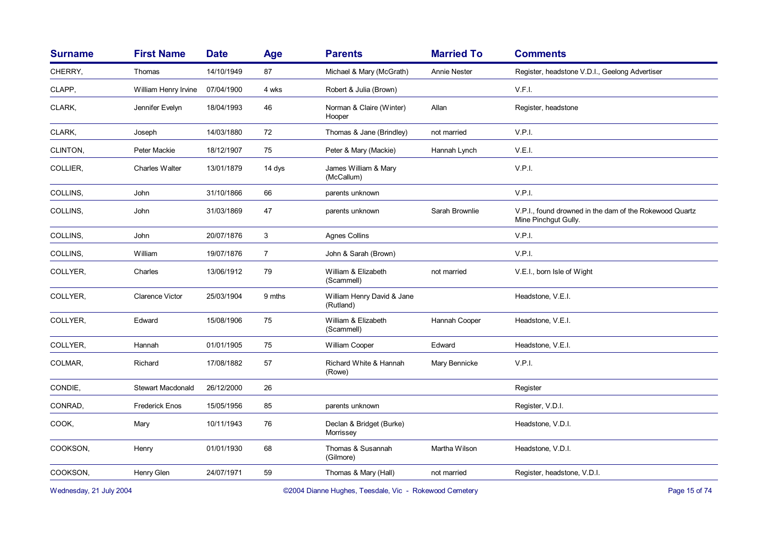| <b>Surname</b>          | <b>First Name</b>      | <b>Date</b>   | Age            | <b>Parents</b>                          | <b>Married To</b>   | <b>Comments</b>                                                                 |
|-------------------------|------------------------|---------------|----------------|-----------------------------------------|---------------------|---------------------------------------------------------------------------------|
| CHERRY,                 | Thomas                 | 14/10/1949    | 87             | Michael & Mary (McGrath)                | <b>Annie Nester</b> | Register, headstone V.D.I., Geelong Advertiser                                  |
| CLAPP,                  | William Henry Irvine   | 07/04/1900    | 4 wks          | Robert & Julia (Brown)                  |                     | V.F.I.                                                                          |
| CLARK,                  | Jennifer Evelyn        | 18/04/1993    | 46             | Norman & Claire (Winter)<br>Hooper      | Allan               | Register, headstone                                                             |
| CLARK,                  | Joseph                 | 14/03/1880    | 72             | Thomas & Jane (Brindley)                | not married         | V.P.I.                                                                          |
| CLINTON,                | Peter Mackie           | 18/12/1907    | 75             | Peter & Mary (Mackie)                   | Hannah Lynch        | V.E.I.                                                                          |
| COLLIER,                | Charles Walter         | 13/01/1879    | 14 dys         | James William & Mary<br>(McCallum)      |                     | V.P.I.                                                                          |
| COLLINS,                | John                   | 31/10/1866    | 66             | parents unknown                         |                     | V.P.I.                                                                          |
| COLLINS,                | John                   | 31/03/1869    | 47             | parents unknown                         | Sarah Brownlie      | V.P.I., found drowned in the dam of the Rokewood Quartz<br>Mine Pinchgut Gully. |
| COLLINS,                | John                   | 20/07/1876    | 3              | <b>Agnes Collins</b>                    |                     | V.P.I.                                                                          |
| COLLINS,                | William                | 19/07/1876    | $\overline{7}$ | John & Sarah (Brown)                    |                     | V.P.I.                                                                          |
| COLLYER,                | Charles                | 13/06/1912    | 79             | William & Elizabeth<br>(Scammell)       | not married         | V.E.I., born Isle of Wight                                                      |
| COLLYER,                | <b>Clarence Victor</b> | 25/03/1904    | 9 mths         | William Henry David & Jane<br>(Rutland) |                     | Headstone, V.E.I.                                                               |
| COLLYER,                | Edward                 | 15/08/1906    | 75             | William & Elizabeth<br>(Scammell)       | Hannah Cooper       | Headstone, V.E.I.                                                               |
| COLLYER,                | Hannah                 | 01/01/1905    | 75             | <b>William Cooper</b>                   | Edward              | Headstone, V.E.I.                                                               |
| COLMAR,                 | Richard                | 17/08/1882    | 57             | Richard White & Hannah<br>(Rowe)        | Mary Bennicke       | V.P.I.                                                                          |
| CONDIE,                 | Stewart Macdonald      | 26/12/2000    | 26             |                                         |                     | Register                                                                        |
| CONRAD,                 | <b>Frederick Enos</b>  | 15/05/1956    | 85             | parents unknown                         |                     | Register, V.D.I.                                                                |
| COOK,                   | Mary                   | 10/11/1943    | 76             | Declan & Bridget (Burke)<br>Morrissey   |                     | Headstone, V.D.I.                                                               |
| COOKSON,                | Henry                  | 01/01/1930    | 68             | Thomas & Susannah<br>(Gilmore)          | Martha Wilson       | Headstone, V.D.I.                                                               |
| COOKSON,                | Henry Glen             | 24/07/1971    | 59             | Thomas & Mary (Hall)                    | not married         | Register, headstone, V.D.I.                                                     |
| Wednesday, 21 July 2004 |                        | Page 15 of 74 |                |                                         |                     |                                                                                 |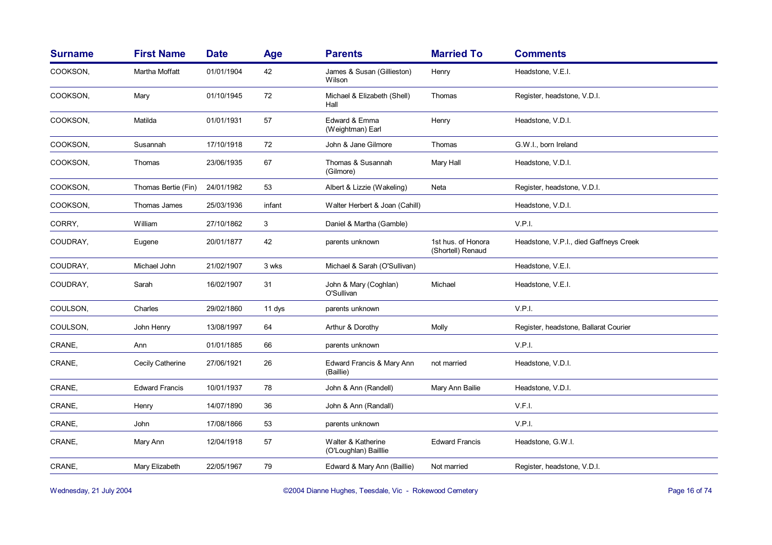| <b>Surname</b> | <b>First Name</b>     | <b>Date</b> | Age    | <b>Parents</b>                             | <b>Married To</b>                       | <b>Comments</b>                        |
|----------------|-----------------------|-------------|--------|--------------------------------------------|-----------------------------------------|----------------------------------------|
| COOKSON,       | Martha Moffatt        | 01/01/1904  | 42     | James & Susan (Gillieston)<br>Wilson       | Henry                                   | Headstone, V.E.I.                      |
| COOKSON,       | Mary                  | 01/10/1945  | 72     | Michael & Elizabeth (Shell)<br>Hall        | Thomas                                  | Register, headstone, V.D.I.            |
| COOKSON,       | Matilda               | 01/01/1931  | 57     | Edward & Emma<br>(Weightman) Earl          | Henry                                   | Headstone, V.D.I.                      |
| COOKSON,       | Susannah              | 17/10/1918  | 72     | John & Jane Gilmore                        | Thomas                                  | G.W.I., born Ireland                   |
| COOKSON,       | Thomas                | 23/06/1935  | 67     | Thomas & Susannah<br>(Gilmore)             | Mary Hall                               | Headstone, V.D.I.                      |
| COOKSON,       | Thomas Bertie (Fin)   | 24/01/1982  | 53     | Albert & Lizzie (Wakeling)                 | Neta                                    | Register, headstone, V.D.I.            |
| COOKSON,       | Thomas James          | 25/03/1936  | infant | Walter Herbert & Joan (Cahill)             |                                         | Headstone, V.D.I.                      |
| CORRY,         | William               | 27/10/1862  | 3      | Daniel & Martha (Gamble)                   |                                         | V.P.I.                                 |
| COUDRAY,       | Eugene                | 20/01/1877  | 42     | parents unknown                            | 1st hus. of Honora<br>(Shortell) Renaud | Headstone, V.P.I., died Gaffneys Creek |
| COUDRAY,       | Michael John          | 21/02/1907  | 3 wks  | Michael & Sarah (O'Sullivan)               |                                         | Headstone, V.E.I.                      |
| COUDRAY,       | Sarah                 | 16/02/1907  | 31     | John & Mary (Coghlan)<br>O'Sullivan        | Michael                                 | Headstone, V.E.I.                      |
| COULSON,       | Charles               | 29/02/1860  | 11 dys | parents unknown                            |                                         | V.P.I.                                 |
| COULSON,       | John Henry            | 13/08/1997  | 64     | Arthur & Dorothy                           | Molly                                   | Register, headstone, Ballarat Courier  |
| CRANE,         | Ann                   | 01/01/1885  | 66     | parents unknown                            |                                         | V.P.I.                                 |
| CRANE,         | Cecily Catherine      | 27/06/1921  | 26     | Edward Francis & Mary Ann<br>(Baillie)     | not married                             | Headstone, V.D.I.                      |
| CRANE,         | <b>Edward Francis</b> | 10/01/1937  | 78     | John & Ann (Randell)                       | Mary Ann Bailie                         | Headstone, V.D.I.                      |
| CRANE,         | Henry                 | 14/07/1890  | 36     | John & Ann (Randall)                       |                                         | V.F.I.                                 |
| CRANE.         | John                  | 17/08/1866  | 53     | parents unknown                            |                                         | V.P.I.                                 |
| CRANE,         | Mary Ann              | 12/04/1918  | 57     | Walter & Katherine<br>(O'Loughlan) Baillie | <b>Edward Francis</b>                   | Headstone, G.W.I.                      |
| CRANE,         | Mary Elizabeth        | 22/05/1967  | 79     | Edward & Mary Ann (Baillie)                | Not married                             | Register, headstone, V.D.I.            |

Wednesday, 21 July 2004 **Dianne Hughes, Teesdale, Vic - Rokewood Cemetery** Page 16 of 74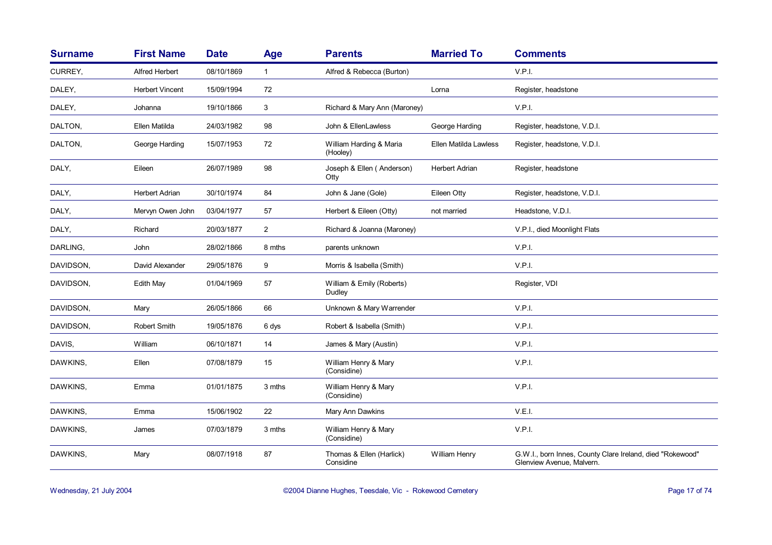| <b>Surname</b> | <b>First Name</b>      | <b>Date</b> | Age            | <b>Parents</b>                        | <b>Married To</b>     | <b>Comments</b>                                                                        |
|----------------|------------------------|-------------|----------------|---------------------------------------|-----------------------|----------------------------------------------------------------------------------------|
| CURREY,        | <b>Alfred Herbert</b>  | 08/10/1869  | $\mathbf{1}$   | Alfred & Rebecca (Burton)             |                       | V.P.I.                                                                                 |
| DALEY,         | <b>Herbert Vincent</b> | 15/09/1994  | 72             |                                       | Lorna                 | Register, headstone                                                                    |
| DALEY,         | Johanna                | 19/10/1866  | 3              | Richard & Mary Ann (Maroney)          |                       | V.P.I.                                                                                 |
| DALTON,        | Ellen Matilda          | 24/03/1982  | 98             | John & EllenLawless                   | George Harding        | Register, headstone, V.D.I.                                                            |
| DALTON,        | George Harding         | 15/07/1953  | 72             | William Harding & Maria<br>(Hooley)   | Ellen Matilda Lawless | Register, headstone, V.D.I.                                                            |
| DALY,          | Eileen                 | 26/07/1989  | 98             | Joseph & Ellen (Anderson)<br>Otty     | <b>Herbert Adrian</b> | Register, headstone                                                                    |
| DALY,          | <b>Herbert Adrian</b>  | 30/10/1974  | 84             | John & Jane (Gole)                    | Eileen Otty           | Register, headstone, V.D.I.                                                            |
| DALY,          | Mervyn Owen John       | 03/04/1977  | 57             | Herbert & Eileen (Otty)               | not married           | Headstone, V.D.I.                                                                      |
| DALY,          | Richard                | 20/03/1877  | $\overline{a}$ | Richard & Joanna (Maroney)            |                       | V.P.I., died Moonlight Flats                                                           |
| DARLING,       | John                   | 28/02/1866  | 8 mths         | parents unknown                       |                       | V.P.I.                                                                                 |
| DAVIDSON,      | David Alexander        | 29/05/1876  | 9              | Morris & Isabella (Smith)             |                       | V.P.I.                                                                                 |
| DAVIDSON,      | Edith May              | 01/04/1969  | 57             | William & Emily (Roberts)<br>Dudley   |                       | Register, VDI                                                                          |
| DAVIDSON,      | Mary                   | 26/05/1866  | 66             | Unknown & Mary Warrender              |                       | V.P.I.                                                                                 |
| DAVIDSON,      | Robert Smith           | 19/05/1876  | 6 dys          | Robert & Isabella (Smith)             |                       | V.P.I.                                                                                 |
| DAVIS,         | William                | 06/10/1871  | 14             | James & Mary (Austin)                 |                       | V.P.I.                                                                                 |
| DAWKINS,       | Ellen                  | 07/08/1879  | 15             | William Henry & Mary<br>(Considine)   |                       | V.P.I.                                                                                 |
| DAWKINS,       | Emma                   | 01/01/1875  | 3 mths         | William Henry & Mary<br>(Considine)   |                       | V.P.I.                                                                                 |
| DAWKINS,       | Emma                   | 15/06/1902  | 22             | Mary Ann Dawkins                      |                       | V.E.I.                                                                                 |
| DAWKINS,       | James                  | 07/03/1879  | 3 mths         | William Henry & Mary<br>(Considine)   |                       | V.P.I.                                                                                 |
| DAWKINS,       | Mary                   | 08/07/1918  | 87             | Thomas & Ellen (Harlick)<br>Considine | William Henry         | G.W.I., born Innes, County Clare Ireland, died "Rokewood"<br>Glenview Avenue, Malvern. |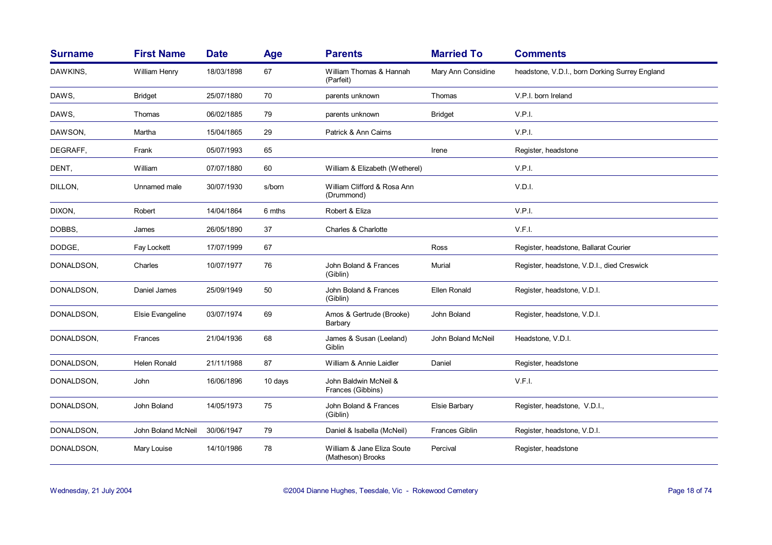| <b>Surname</b> | <b>First Name</b>   | <b>Date</b> | <b>Age</b> | <b>Parents</b>                                  | <b>Married To</b>     | <b>Comments</b>                                |
|----------------|---------------------|-------------|------------|-------------------------------------------------|-----------------------|------------------------------------------------|
| DAWKINS,       | William Henry       | 18/03/1898  | 67         | William Thomas & Hannah<br>(Parfeit)            | Mary Ann Considine    | headstone, V.D.I., born Dorking Surrey England |
| DAWS,          | <b>Bridget</b>      | 25/07/1880  | 70         | parents unknown                                 | Thomas                | V.P.I. born Ireland                            |
| DAWS,          | Thomas              | 06/02/1885  | 79         | parents unknown                                 | <b>Bridget</b>        | V.P.I.                                         |
| DAWSON,        | Martha              | 15/04/1865  | 29         | Patrick & Ann Cairns                            |                       | V.P.I.                                         |
| DEGRAFF,       | Frank               | 05/07/1993  | 65         |                                                 | Irene                 | Register, headstone                            |
| DENT,          | William             | 07/07/1880  | 60         | William & Elizabeth (Wetherel)                  |                       | V.P.I.                                         |
| DILLON,        | Unnamed male        | 30/07/1930  | s/born     | William Clifford & Rosa Ann<br>(Drummond)       |                       | V.D.I.                                         |
| DIXON,         | Robert              | 14/04/1864  | 6 mths     | Robert & Eliza                                  |                       | V.P.I.                                         |
| DOBBS,         | James               | 26/05/1890  | 37         | Charles & Charlotte                             |                       | V.F.I.                                         |
| DODGE,         | Fay Lockett         | 17/07/1999  | 67         |                                                 | <b>Ross</b>           | Register, headstone, Ballarat Courier          |
| DONALDSON,     | Charles             | 10/07/1977  | 76         | John Boland & Frances<br>(Giblin)               | Murial                | Register, headstone, V.D.I., died Creswick     |
| DONALDSON,     | Daniel James        | 25/09/1949  | 50         | John Boland & Frances<br>(Giblin)               | Ellen Ronald          | Register, headstone, V.D.I.                    |
| DONALDSON,     | Elsie Evangeline    | 03/07/1974  | 69         | Amos & Gertrude (Brooke)<br>Barbary             | John Boland           | Register, headstone, V.D.I.                    |
| DONALDSON,     | Frances             | 21/04/1936  | 68         | James & Susan (Leeland)<br>Giblin               | John Boland McNeil    | Headstone, V.D.I.                              |
| DONALDSON,     | <b>Helen Ronald</b> | 21/11/1988  | 87         | William & Annie Laidler                         | Daniel                | Register, headstone                            |
| DONALDSON,     | John                | 16/06/1896  | 10 days    | John Baldwin McNeil &<br>Frances (Gibbins)      |                       | V.F.I.                                         |
| DONALDSON,     | John Boland         | 14/05/1973  | 75         | John Boland & Frances<br>(Giblin)               | Elsie Barbary         | Register, headstone, V.D.I.,                   |
| DONALDSON,     | John Boland McNeil  | 30/06/1947  | 79         | Daniel & Isabella (McNeil)                      | <b>Frances Giblin</b> | Register, headstone, V.D.I.                    |
| DONALDSON,     | Mary Louise         | 14/10/1986  | 78         | William & Jane Eliza Soute<br>(Matheson) Brooks | Percival              | Register, headstone                            |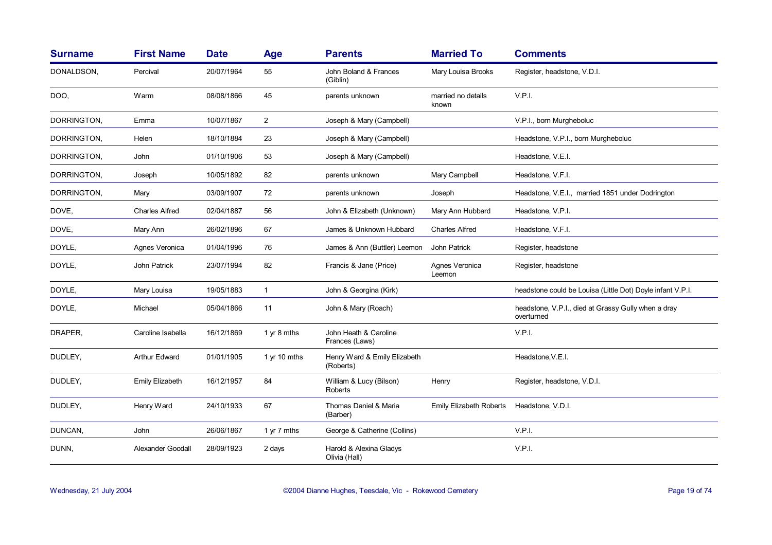| <b>Surname</b> | <b>First Name</b>      | <b>Date</b> | <b>Age</b>     | <b>Parents</b>                            | <b>Married To</b>           | <b>Comments</b>                                                   |
|----------------|------------------------|-------------|----------------|-------------------------------------------|-----------------------------|-------------------------------------------------------------------|
| DONALDSON,     | Percival               | 20/07/1964  | 55             | John Boland & Frances<br>(Giblin)         | Mary Louisa Brooks          | Register, headstone, V.D.I.                                       |
| DOO,           | Warm                   | 08/08/1866  | 45             | parents unknown                           | married no details<br>known | V.P.I.                                                            |
| DORRINGTON,    | Emma                   | 10/07/1867  | $\overline{2}$ | Joseph & Mary (Campbell)                  |                             | V.P.I., born Murgheboluc                                          |
| DORRINGTON,    | Helen                  | 18/10/1884  | 23             | Joseph & Mary (Campbell)                  |                             | Headstone, V.P.I., born Murgheboluc                               |
| DORRINGTON,    | John                   | 01/10/1906  | 53             | Joseph & Mary (Campbell)                  |                             | Headstone, V.E.I.                                                 |
| DORRINGTON,    | Joseph                 | 10/05/1892  | 82             | parents unknown                           | Mary Campbell               | Headstone, V.F.I.                                                 |
| DORRINGTON,    | Mary                   | 03/09/1907  | 72             | parents unknown                           | Joseph                      | Headstone, V.E.I., married 1851 under Dodrington                  |
| DOVE,          | <b>Charles Alfred</b>  | 02/04/1887  | 56             | John & Elizabeth (Unknown)                | Mary Ann Hubbard            | Headstone, V.P.I.                                                 |
| DOVE,          | Mary Ann               | 26/02/1896  | 67             | James & Unknown Hubbard                   | <b>Charles Alfred</b>       | Headstone, V.F.I.                                                 |
| DOYLE,         | Agnes Veronica         | 01/04/1996  | 76             | James & Ann (Buttler) Leemon              | John Patrick                | Register, headstone                                               |
| DOYLE,         | John Patrick           | 23/07/1994  | 82             | Francis & Jane (Price)                    | Agnes Veronica<br>Leemon    | Register, headstone                                               |
| DOYLE,         | Mary Louisa            | 19/05/1883  | $\mathbf{1}$   | John & Georgina (Kirk)                    |                             | headstone could be Louisa (Little Dot) Doyle infant V.P.I.        |
| DOYLE.         | Michael                | 05/04/1866  | 11             | John & Mary (Roach)                       |                             | headstone, V.P.I., died at Grassy Gully when a dray<br>overturned |
| DRAPER,        | Caroline Isabella      | 16/12/1869  | 1 yr 8 mths    | John Heath & Caroline<br>Frances (Laws)   |                             | V.P.I.                                                            |
| DUDLEY,        | <b>Arthur Edward</b>   | 01/01/1905  | 1 yr 10 mths   | Henry Ward & Emily Elizabeth<br>(Roberts) |                             | Headstone, V.E.I.                                                 |
| DUDLEY,        | <b>Emily Elizabeth</b> | 16/12/1957  | 84             | William & Lucy (Bilson)<br><b>Roberts</b> | Henry                       | Register, headstone, V.D.I.                                       |
| DUDLEY,        | Henry Ward             | 24/10/1933  | 67             | Thomas Daniel & Maria<br>(Barber)         | Emily Elizabeth Roberts     | Headstone, V.D.I.                                                 |
| DUNCAN,        | John                   | 26/06/1867  | 1 yr 7 mths    | George & Catherine (Collins)              |                             | V.P.I.                                                            |
| DUNN,          | Alexander Goodall      | 28/09/1923  | 2 days         | Harold & Alexina Gladys<br>Olivia (Hall)  |                             | V.P.I.                                                            |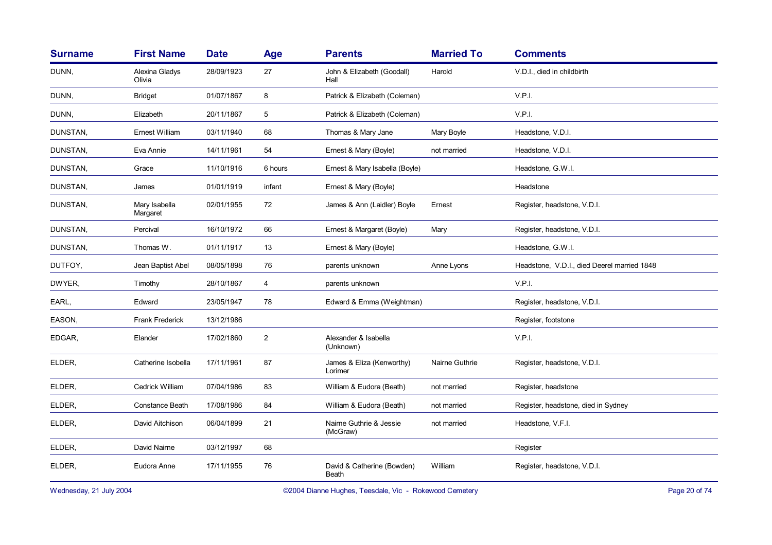| <b>Surname</b> | <b>First Name</b>         | <b>Date</b> | Age            | <b>Parents</b>                       | <b>Married To</b> | <b>Comments</b>                             |
|----------------|---------------------------|-------------|----------------|--------------------------------------|-------------------|---------------------------------------------|
| DUNN,          | Alexina Gladys<br>Olivia  | 28/09/1923  | 27             | John & Elizabeth (Goodall)<br>Hall   | Harold            | V.D.I., died in childbirth                  |
| DUNN,          | <b>Bridget</b>            | 01/07/1867  | 8              | Patrick & Elizabeth (Coleman)        |                   | V.P.I.                                      |
| DUNN,          | Elizabeth                 | 20/11/1867  | 5              | Patrick & Elizabeth (Coleman)        |                   | V.P.I.                                      |
| DUNSTAN,       | Ernest William            | 03/11/1940  | 68             | Thomas & Mary Jane                   | Mary Boyle        | Headstone, V.D.I.                           |
| DUNSTAN,       | Eva Annie                 | 14/11/1961  | 54             | Ernest & Mary (Boyle)                | not married       | Headstone, V.D.I.                           |
| DUNSTAN,       | Grace                     | 11/10/1916  | 6 hours        | Ernest & Mary Isabella (Boyle)       |                   | Headstone, G.W.I.                           |
| DUNSTAN,       | James                     | 01/01/1919  | infant         | Ernest & Mary (Boyle)                |                   | Headstone                                   |
| DUNSTAN,       | Mary Isabella<br>Margaret | 02/01/1955  | 72             | James & Ann (Laidler) Boyle          | Ernest            | Register, headstone, V.D.I.                 |
| DUNSTAN,       | Percival                  | 16/10/1972  | 66             | Ernest & Margaret (Boyle)            | Mary              | Register, headstone, V.D.I.                 |
| DUNSTAN,       | Thomas W.                 | 01/11/1917  | 13             | Ernest & Mary (Boyle)                |                   | Headstone, G.W.I.                           |
| DUTFOY,        | Jean Baptist Abel         | 08/05/1898  | 76             | parents unknown                      | Anne Lyons        | Headstone, V.D.I., died Deerel married 1848 |
| DWYER,         | Timothy                   | 28/10/1867  | 4              | parents unknown                      |                   | V.P.I.                                      |
| EARL,          | Edward                    | 23/05/1947  | 78             | Edward & Emma (Weightman)            |                   | Register, headstone, V.D.I.                 |
| EASON.         | Frank Frederick           | 13/12/1986  |                |                                      |                   | Register, footstone                         |
| EDGAR,         | Elander                   | 17/02/1860  | $\overline{a}$ | Alexander & Isabella<br>(Unknown)    |                   | V.P.I.                                      |
| ELDER,         | Catherine Isobella        | 17/11/1961  | 87             | James & Eliza (Kenworthy)<br>Lorimer | Nairne Guthrie    | Register, headstone, V.D.I.                 |
| ELDER,         | Cedrick William           | 07/04/1986  | 83             | William & Eudora (Beath)             | not married       | Register, headstone                         |
| ELDER,         | Constance Beath           | 17/08/1986  | 84             | William & Eudora (Beath)             | not married       | Register, headstone, died in Sydney         |
| ELDER,         | David Aitchison           | 06/04/1899  | 21             | Nairne Guthrie & Jessie<br>(McGraw)  | not married       | Headstone, V.F.I.                           |
| ELDER,         | David Nairne              | 03/12/1997  | 68             |                                      |                   | Register                                    |
| ELDER,         | Eudora Anne               | 17/11/1955  | 76             | David & Catherine (Bowden)<br>Beath  | William           | Register, headstone, V.D.I.                 |

Wednesday, 21 July 2004 **Dianne Hughes, Teesdale, Vic - Rokewood Cemetery** Page 20 of 74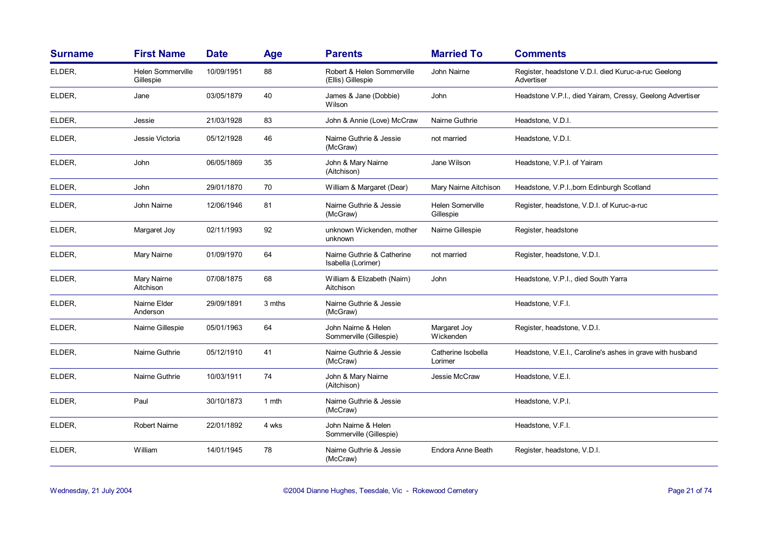| <b>Surname</b> | <b>First Name</b>                     | <b>Date</b> | Age    | <b>Parents</b>                                   | <b>Married To</b>                    | <b>Comments</b>                                                   |
|----------------|---------------------------------------|-------------|--------|--------------------------------------------------|--------------------------------------|-------------------------------------------------------------------|
| ELDER,         | <b>Helen Sommerville</b><br>Gillespie | 10/09/1951  | 88     | Robert & Helen Sommerville<br>(Ellis) Gillespie  | John Nairne                          | Register, headstone V.D.I. died Kuruc-a-ruc Geelong<br>Advertiser |
| ELDER,         | Jane                                  | 03/05/1879  | 40     | James & Jane (Dobbie)<br>Wilson                  | John                                 | Headstone V.P.I., died Yairam, Cressy, Geelong Advertiser         |
| ELDER,         | Jessie                                | 21/03/1928  | 83     | John & Annie (Love) McCraw                       | Nairne Guthrie                       | Headstone, V.D.I.                                                 |
| ELDER,         | Jessie Victoria                       | 05/12/1928  | 46     | Nairne Guthrie & Jessie<br>(McGraw)              | not married                          | Headstone, V.D.I.                                                 |
| ELDER,         | John                                  | 06/05/1869  | 35     | John & Mary Nairne<br>(Aitchison)                | Jane Wilson                          | Headstone, V.P.I. of Yairam                                       |
| ELDER,         | John                                  | 29/01/1870  | 70     | William & Margaret (Dear)                        | Mary Nairne Aitchison                | Headstone, V.P.I., born Edinburgh Scotland                        |
| ELDER,         | John Nairne                           | 12/06/1946  | 81     | Nairne Guthrie & Jessie<br>(McGraw)              | <b>Helen Somerville</b><br>Gillespie | Register, headstone, V.D.I. of Kuruc-a-ruc                        |
| ELDER,         | Margaret Joy                          | 02/11/1993  | 92     | unknown Wickenden, mother<br>unknown             | Nairne Gillespie                     | Register, headstone                                               |
| ELDER,         | Mary Nairne                           | 01/09/1970  | 64     | Nairne Guthrie & Catherine<br>Isabella (Lorimer) | not married                          | Register, headstone, V.D.I.                                       |
| ELDER,         | Mary Nairne<br>Aitchison              | 07/08/1875  | 68     | William & Elizabeth (Nairn)<br>Aitchison         | John                                 | Headstone, V.P.I., died South Yarra                               |
| ELDER.         | Nairne Elder<br>Anderson              | 29/09/1891  | 3 mths | Nairne Guthrie & Jessie<br>(McGraw)              |                                      | Headstone, V.F.I.                                                 |
| ELDER,         | Nairne Gillespie                      | 05/01/1963  | 64     | John Nairne & Helen<br>Sommerville (Gillespie)   | Margaret Joy<br>Wickenden            | Register, headstone, V.D.I.                                       |
| ELDER,         | Nairne Guthrie                        | 05/12/1910  | 41     | Nairne Guthrie & Jessie<br>(McCraw)              | Catherine Isobella<br>Lorimer        | Headstone, V.E.I., Caroline's ashes in grave with husband         |
| ELDER,         | Nairne Guthrie                        | 10/03/1911  | 74     | John & Mary Nairne<br>(Aitchison)                | Jessie McCraw                        | Headstone, V.E.I.                                                 |
| ELDER,         | Paul                                  | 30/10/1873  | 1 mth  | Nairne Guthrie & Jessie<br>(McCraw)              |                                      | Headstone, V.P.I.                                                 |
| ELDER,         | <b>Robert Nairne</b>                  | 22/01/1892  | 4 wks  | John Nairne & Helen<br>Sommerville (Gillespie)   |                                      | Headstone, V.F.I.                                                 |
| ELDER,         | William                               | 14/01/1945  | 78     | Nairne Guthrie & Jessie<br>(McCraw)              | Endora Anne Beath                    | Register, headstone, V.D.I.                                       |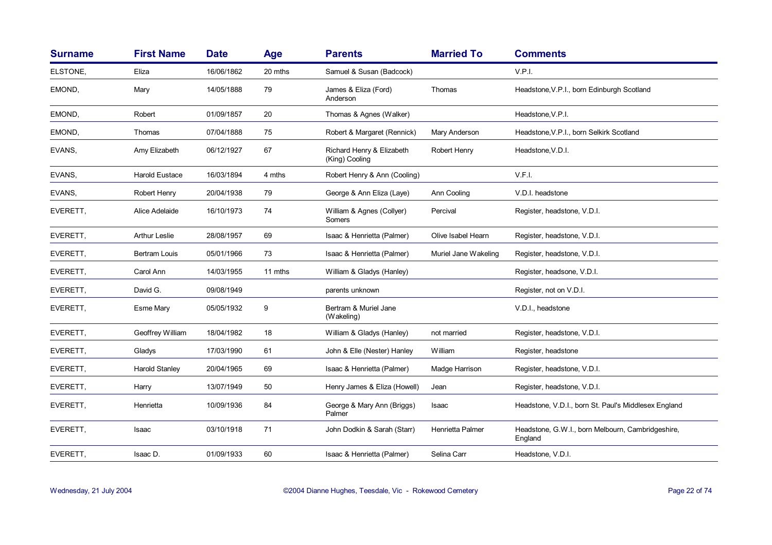| <b>Surname</b> | <b>First Name</b>     | <b>Date</b> | Age     | <b>Parents</b>                              | <b>Married To</b>    | <b>Comments</b>                                              |
|----------------|-----------------------|-------------|---------|---------------------------------------------|----------------------|--------------------------------------------------------------|
| ELSTONE,       | Eliza                 | 16/06/1862  | 20 mths | Samuel & Susan (Badcock)                    |                      | V.P.I.                                                       |
| EMOND,         | Mary                  | 14/05/1888  | 79      | James & Eliza (Ford)<br>Anderson            | Thomas               | Headstone, V.P.I., born Edinburgh Scotland                   |
| EMOND,         | Robert                | 01/09/1857  | 20      | Thomas & Agnes (Walker)                     |                      | Headstone, V.P.I.                                            |
| EMOND,         | Thomas                | 07/04/1888  | 75      | Robert & Margaret (Rennick)                 | Mary Anderson        | Headstone, V.P.I., born Selkirk Scotland                     |
| EVANS,         | Amy Elizabeth         | 06/12/1927  | 67      | Richard Henry & Elizabeth<br>(King) Cooling | Robert Henry         | Headstone, V.D.I.                                            |
| EVANS,         | <b>Harold Eustace</b> | 16/03/1894  | 4 mths  | Robert Henry & Ann (Cooling)                |                      | V.F.I.                                                       |
| EVANS,         | Robert Henry          | 20/04/1938  | 79      | George & Ann Eliza (Laye)                   | Ann Cooling          | V.D.I. headstone                                             |
| EVERETT,       | Alice Adelaide        | 16/10/1973  | 74      | William & Agnes (Collyer)<br>Somers         | Percival             | Register, headstone, V.D.I.                                  |
| EVERETT,       | <b>Arthur Leslie</b>  | 28/08/1957  | 69      | Isaac & Henrietta (Palmer)                  | Olive Isabel Hearn   | Register, headstone, V.D.I.                                  |
| EVERETT,       | Bertram Louis         | 05/01/1966  | 73      | Isaac & Henrietta (Palmer)                  | Muriel Jane Wakeling | Register, headstone, V.D.I.                                  |
| EVERETT,       | Carol Ann             | 14/03/1955  | 11 mths | William & Gladys (Hanley)                   |                      | Register, headsone, V.D.I.                                   |
| EVERETT,       | David G.              | 09/08/1949  |         | parents unknown                             |                      | Register, not on V.D.I.                                      |
| EVERETT,       | <b>Esme Mary</b>      | 05/05/1932  | 9       | Bertram & Muriel Jane<br>(Wakeling)         |                      | V.D.I., headstone                                            |
| EVERETT,       | Geoffrey William      | 18/04/1982  | 18      | William & Gladys (Hanley)                   | not married          | Register, headstone, V.D.I.                                  |
| EVERETT,       | Gladys                | 17/03/1990  | 61      | John & Elle (Nester) Hanley                 | William              | Register, headstone                                          |
| EVERETT,       | Harold Stanley        | 20/04/1965  | 69      | Isaac & Henrietta (Palmer)                  | Madge Harrison       | Register, headstone, V.D.I.                                  |
| EVERETT,       | Harry                 | 13/07/1949  | 50      | Henry James & Eliza (Howell)                | Jean                 | Register, headstone, V.D.I.                                  |
| EVERETT,       | Henrietta             | 10/09/1936  | 84      | George & Mary Ann (Briggs)<br>Palmer        | Isaac                | Headstone, V.D.I., born St. Paul's Middlesex England         |
| EVERETT,       | Isaac                 | 03/10/1918  | 71      | John Dodkin & Sarah (Starr)                 | Henrietta Palmer     | Headstone, G.W.I., born Melbourn, Cambridgeshire,<br>England |
| EVERETT,       | Isaac D.              | 01/09/1933  | 60      | Isaac & Henrietta (Palmer)                  | Selina Carr          | Headstone, V.D.I.                                            |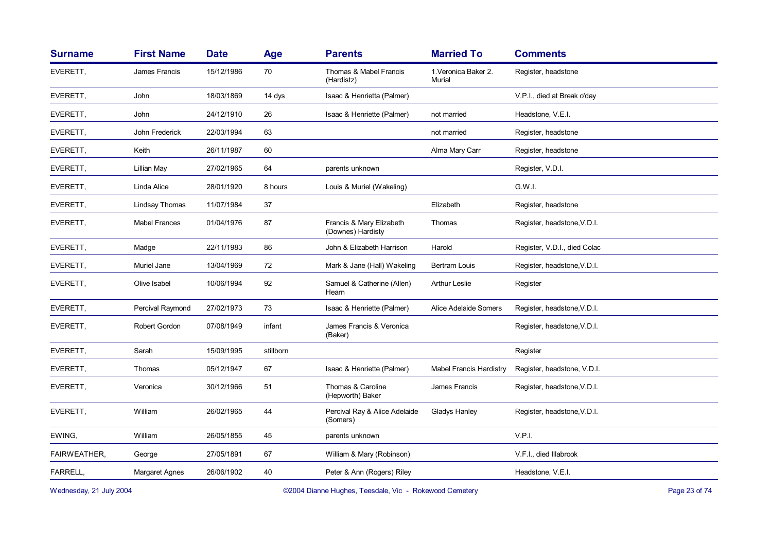| <b>Surname</b> | <b>First Name</b>     | <b>Date</b> | Age       | <b>Parents</b>                                | <b>Married To</b>              | <b>Comments</b>              |
|----------------|-----------------------|-------------|-----------|-----------------------------------------------|--------------------------------|------------------------------|
| EVERETT,       | James Francis         | 15/12/1986  | 70        | Thomas & Mabel Francis<br>(Hardistz)          | 1. Veronica Baker 2.<br>Murial | Register, headstone          |
| EVERETT,       | John                  | 18/03/1869  | 14 dys    | Isaac & Henrietta (Palmer)                    |                                | V.P.I., died at Break o'day  |
| EVERETT,       | John                  | 24/12/1910  | 26        | Isaac & Henriette (Palmer)                    | not married                    | Headstone, V.E.I.            |
| EVERETT,       | John Frederick        | 22/03/1994  | 63        |                                               | not married                    | Register, headstone          |
| EVERETT,       | Keith                 | 26/11/1987  | 60        |                                               | Alma Mary Carr                 | Register, headstone          |
| EVERETT,       | Lillian May           | 27/02/1965  | 64        | parents unknown                               |                                | Register, V.D.I.             |
| EVERETT,       | Linda Alice           | 28/01/1920  | 8 hours   | Louis & Muriel (Wakeling)                     |                                | G.W.I.                       |
| EVERETT,       | <b>Lindsay Thomas</b> | 11/07/1984  | 37        |                                               | Elizabeth                      | Register, headstone          |
| EVERETT,       | <b>Mabel Frances</b>  | 01/04/1976  | 87        | Francis & Mary Elizabeth<br>(Downes) Hardisty | Thomas                         | Register, headstone, V.D.I.  |
| EVERETT,       | Madge                 | 22/11/1983  | 86        | John & Elizabeth Harrison                     | Harold                         | Register, V.D.I., died Colac |
| EVERETT,       | Muriel Jane           | 13/04/1969  | 72        | Mark & Jane (Hall) Wakeling                   | Bertram Louis                  | Register, headstone, V.D.I.  |
| EVERETT,       | Olive Isabel          | 10/06/1994  | 92        | Samuel & Catherine (Allen)<br>Hearn           | <b>Arthur Leslie</b>           | Register                     |
| EVERETT,       | Percival Raymond      | 27/02/1973  | 73        | Isaac & Henriette (Palmer)                    | Alice Adelaide Somers          | Register, headstone, V.D.I.  |
| EVERETT,       | Robert Gordon         | 07/08/1949  | infant    | James Francis & Veronica<br>(Baker)           |                                | Register, headstone, V.D.I.  |
| EVERETT,       | Sarah                 | 15/09/1995  | stillborn |                                               |                                | Register                     |
| EVERETT,       | Thomas                | 05/12/1947  | 67        | Isaac & Henriette (Palmer)                    | <b>Mabel Francis Hardistry</b> | Register, headstone, V.D.I.  |
| EVERETT,       | Veronica              | 30/12/1966  | 51        | Thomas & Caroline<br>(Hepworth) Baker         | James Francis                  | Register, headstone, V.D.I.  |
| EVERETT,       | William               | 26/02/1965  | 44        | Percival Ray & Alice Adelaide<br>(Somers)     | Gladys Hanley                  | Register, headstone, V.D.I.  |
| EWING,         | William               | 26/05/1855  | 45        | parents unknown                               |                                | V.P.I.                       |
| FAIRWEATHER,   | George                | 27/05/1891  | 67        | William & Mary (Robinson)                     |                                | V.F.I., died Illabrook       |
| FARRELL,       | Margaret Agnes        | 26/06/1902  | 40        | Peter & Ann (Rogers) Riley                    |                                | Headstone, V.E.I.            |
|                |                       |             |           |                                               |                                |                              |

Wednesday, 21 July 2004 **Dianne Hughes, Teesdale, Vic - Rokewood Cemetery** Page 23 of 74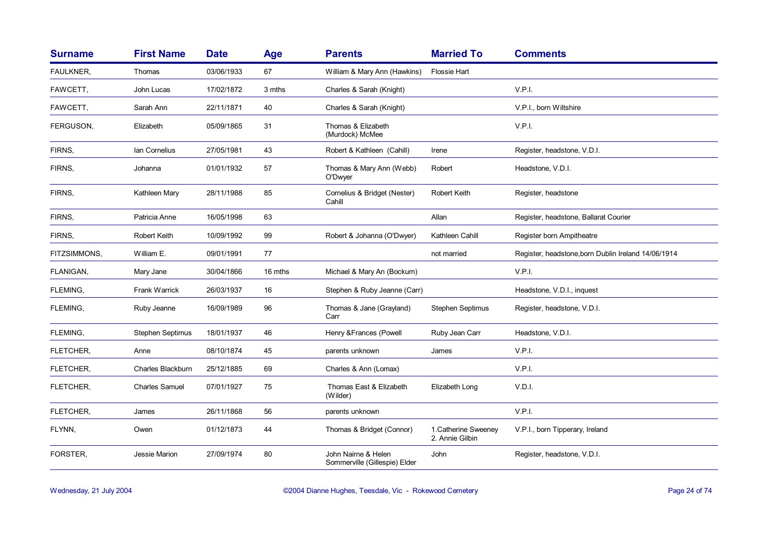| <b>Surname</b>   | <b>First Name</b>     | <b>Date</b> | <b>Age</b> | <b>Parents</b>                                       | <b>Married To</b>                       | <b>Comments</b>                                     |
|------------------|-----------------------|-------------|------------|------------------------------------------------------|-----------------------------------------|-----------------------------------------------------|
| <b>FAULKNER,</b> | Thomas                | 03/06/1933  | 67         | William & Mary Ann (Hawkins)                         | <b>Flossie Hart</b>                     |                                                     |
| FAWCETT,         | John Lucas            | 17/02/1872  | 3 mths     | Charles & Sarah (Knight)                             |                                         | V.P.I.                                              |
| FAWCETT,         | Sarah Ann             | 22/11/1871  | 40         | Charles & Sarah (Knight)                             |                                         | V.P.I., born Wiltshire                              |
| FERGUSON,        | Elizabeth             | 05/09/1865  | 31         | Thomas & Elizabeth<br>(Murdock) McMee                |                                         | V.P.I.                                              |
| FIRNS,           | Ian Cornelius         | 27/05/1981  | 43         | Robert & Kathleen (Cahill)                           | Irene                                   | Register, headstone, V.D.I.                         |
| FIRNS,           | Johanna               | 01/01/1932  | 57         | Thomas & Mary Ann (Webb)<br>O'Dwyer                  | Robert                                  | Headstone, V.D.I.                                   |
| FIRNS,           | Kathleen Mary         | 28/11/1988  | 85         | Cornelius & Bridget (Nester)<br>Cahill               | Robert Keith                            | Register, headstone                                 |
| FIRNS,           | Patricia Anne         | 16/05/1998  | 63         |                                                      | Allan                                   | Register, headstone, Ballarat Courier               |
| FIRNS,           | Robert Keith          | 10/09/1992  | 99         | Robert & Johanna (O'Dwyer)                           | Kathleen Cahill                         | Register born Ampitheatre                           |
| FITZSIMMONS,     | William E.            | 09/01/1991  | 77         |                                                      | not married                             | Register, headstone, born Dublin Ireland 14/06/1914 |
| FLANIGAN,        | Mary Jane             | 30/04/1866  | 16 mths    | Michael & Mary An (Bockum)                           |                                         | V.P.I.                                              |
| FLEMING,         | <b>Frank Warrick</b>  | 26/03/1937  | 16         | Stephen & Ruby Jeanne (Carr)                         |                                         | Headstone, V.D.I., inquest                          |
| FLEMING,         | Ruby Jeanne           | 16/09/1989  | 96         | Thomas & Jane (Grayland)<br>Carr                     | <b>Stephen Septimus</b>                 | Register, headstone, V.D.I.                         |
| FLEMING,         | Stephen Septimus      | 18/01/1937  | 46         | Henry & Frances (Powell                              | Ruby Jean Carr                          | Headstone, V.D.I.                                   |
| FLETCHER,        | Anne                  | 08/10/1874  | 45         | parents unknown                                      | James                                   | V.P.I.                                              |
| FLETCHER,        | Charles Blackburn     | 25/12/1885  | 69         | Charles & Ann (Lomax)                                |                                         | V.P.I.                                              |
| FLETCHER,        | <b>Charles Samuel</b> | 07/01/1927  | 75         | Thomas East & Elizabeth<br>(Wilder)                  | Elizabeth Long                          | V.D.I.                                              |
| FLETCHER,        | James                 | 26/11/1868  | 56         | parents unknown                                      |                                         | V.P.I.                                              |
| FLYNN,           | Owen                  | 01/12/1873  | 44         | Thomas & Bridget (Connor)                            | 1. Catherine Sweeney<br>2. Annie Gilbin | V.P.I., born Tipperary, Ireland                     |
| FORSTER,         | Jessie Marion         | 27/09/1974  | 80         | John Nairne & Helen<br>Sommerville (Gillespie) Elder | John                                    | Register, headstone, V.D.I.                         |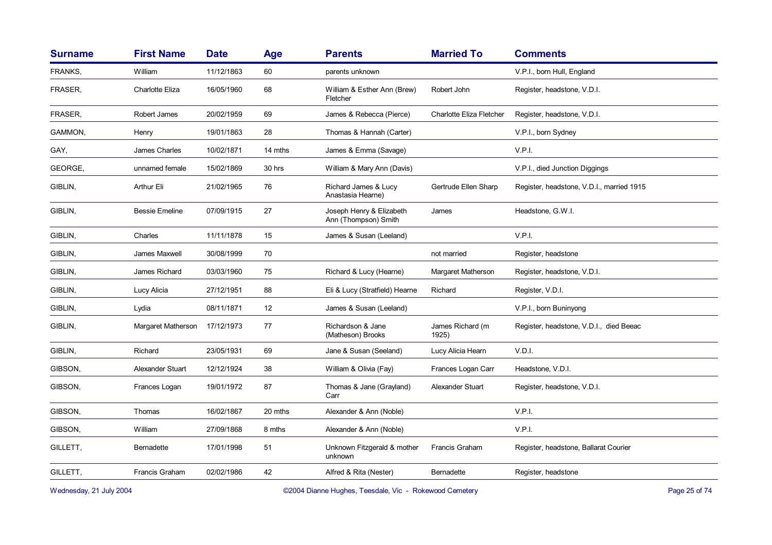| <b>Surname</b> | <b>First Name</b>      | <b>Date</b> | Age     | <b>Parents</b>                                   | <b>Married To</b>         | <b>Comments</b>                           |
|----------------|------------------------|-------------|---------|--------------------------------------------------|---------------------------|-------------------------------------------|
| FRANKS,        | William                | 11/12/1863  | 60      | parents unknown                                  |                           | V.P.I., born Hull, England                |
| FRASER,        | <b>Charlotte Eliza</b> | 16/05/1960  | 68      | William & Esther Ann (Brew)<br>Fletcher          | Robert John               | Register, headstone, V.D.I.               |
| FRASER,        | Robert James           | 20/02/1959  | 69      | James & Rebecca (Pierce)                         | Charlotte Eliza Fletcher  | Register, headstone, V.D.I.               |
| GAMMON,        | Henry                  | 19/01/1863  | 28      | Thomas & Hannah (Carter)                         |                           | V.P.I., born Sydney                       |
| GAY,           | James Charles          | 10/02/1871  | 14 mths | James & Emma (Savage)                            |                           | V.P.I.                                    |
| GEORGE,        | unnamed female         | 15/02/1869  | 30 hrs  | William & Mary Ann (Davis)                       |                           | V.P.I., died Junction Diggings            |
| GIBLIN,        | Arthur Eli             | 21/02/1965  | 76      | Richard James & Lucy<br>Anastasia Hearne)        | Gertrude Ellen Sharp      | Register, headstone, V.D.I., married 1915 |
| GIBLIN,        | <b>Bessie Emeline</b>  | 07/09/1915  | 27      | Joseph Henry & Elizabeth<br>Ann (Thompson) Smith | James                     | Headstone, G.W.I.                         |
| GIBLIN.        | Charles                | 11/11/1878  | 15      | James & Susan (Leeland)                          |                           | V.P.I.                                    |
| GIBLIN.        | James Maxwell          | 30/08/1999  | 70      |                                                  | not married               | Register, headstone                       |
| GIBLIN,        | James Richard          | 03/03/1960  | 75      | Richard & Lucy (Hearne)                          | Margaret Matherson        | Register, headstone, V.D.I.               |
| GIBLIN.        | Lucy Alicia            | 27/12/1951  | 88      | Eli & Lucy (Stratfield) Hearne                   | Richard                   | Register, V.D.I.                          |
| GIBLIN.        | Lydia                  | 08/11/1871  | 12      | James & Susan (Leeland)                          |                           | V.P.I., born Buninyong                    |
| GIBLIN.        | Margaret Matherson     | 17/12/1973  | 77      | Richardson & Jane<br>(Matheson) Brooks           | James Richard (m<br>1925) | Register, headstone, V.D.I., died Beeac   |
| GIBLIN,        | Richard                | 23/05/1931  | 69      | Jane & Susan (Seeland)                           | Lucy Alicia Hearn         | V.D.I.                                    |
| GIBSON,        | Alexander Stuart       | 12/12/1924  | 38      | William & Olivia (Fay)                           | Frances Logan Carr        | Headstone, V.D.I.                         |
| GIBSON,        | Frances Logan          | 19/01/1972  | 87      | Thomas & Jane (Grayland)<br>Carr                 | Alexander Stuart          | Register, headstone, V.D.I.               |
| GIBSON,        | Thomas                 | 16/02/1867  | 20 mths | Alexander & Ann (Noble)                          |                           | V.P.I.                                    |
| GIBSON,        | William                | 27/09/1868  | 8 mths  | Alexander & Ann (Noble)                          |                           | V.P.I.                                    |
| GILLETT,       | <b>Bernadette</b>      | 17/01/1998  | 51      | Unknown Fitzgerald & mother<br>unknown           | <b>Francis Graham</b>     | Register, headstone, Ballarat Courier     |
| GILLETT,       | Francis Graham         | 02/02/1986  | 42      | Alfred & Rita (Nester)                           | Bernadette                | Register, headstone                       |
|                |                        |             |         |                                                  |                           |                                           |

Wednesday, 21 July 2004 **Dianne Hughes, Teesdale, Vic - Rokewood Cemetery** Page 25 of 74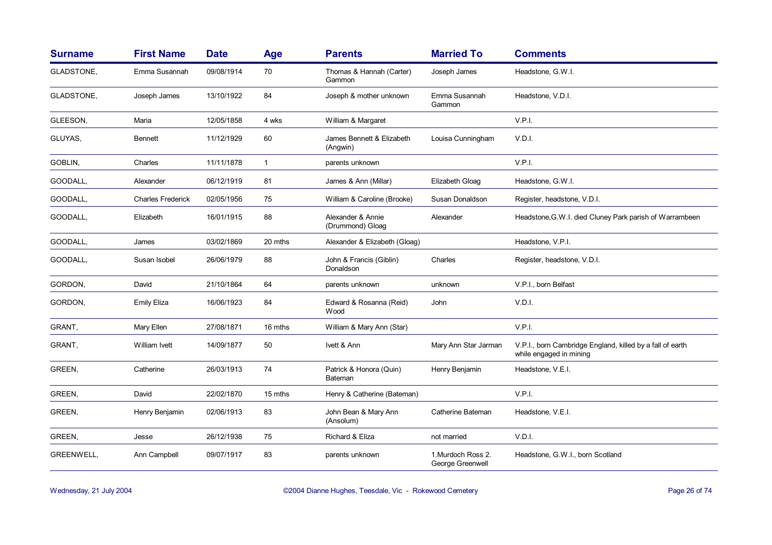| <b>Surname</b> | <b>First Name</b>        | <b>Date</b> | Age          | <b>Parents</b>                        | <b>Married To</b>                      | <b>Comments</b>                                                                      |
|----------------|--------------------------|-------------|--------------|---------------------------------------|----------------------------------------|--------------------------------------------------------------------------------------|
| GLADSTONE,     | Emma Susannah            | 09/08/1914  | 70           | Thomas & Hannah (Carter)<br>Gammon    | Joseph James                           | Headstone, G.W.I.                                                                    |
| GLADSTONE,     | Joseph James             | 13/10/1922  | 84           | Joseph & mother unknown               | Emma Susannah<br>Gammon                | Headstone, V.D.I.                                                                    |
| GLEESON,       | Maria                    | 12/05/1858  | 4 wks        | William & Margaret                    |                                        | V.P.I.                                                                               |
| GLUYAS,        | <b>Bennett</b>           | 11/12/1929  | 60           | James Bennett & Elizabeth<br>(Angwin) | Louisa Cunningham                      | V.D.I.                                                                               |
| GOBLIN,        | Charles                  | 11/11/1878  | $\mathbf{1}$ | parents unknown                       |                                        | V.P.I.                                                                               |
| GOODALL,       | Alexander                | 06/12/1919  | 81           | James & Ann (Millar)                  | Elizabeth Gloag                        | Headstone, G.W.I.                                                                    |
| GOODALL,       | <b>Charles Frederick</b> | 02/05/1956  | 75           | William & Caroline (Brooke)           | Susan Donaldson                        | Register, headstone, V.D.I.                                                          |
| GOODALL,       | Elizabeth                | 16/01/1915  | 88           | Alexander & Annie<br>(Drummond) Gloag | Alexander                              | Headstone, G.W.I. died Cluney Park parish of Warrambeen                              |
| GOODALL,       | James                    | 03/02/1869  | 20 mths      | Alexander & Elizabeth (Gloag)         |                                        | Headstone, V.P.I.                                                                    |
| GOODALL,       | Susan Isobel             | 26/06/1979  | 88           | John & Francis (Giblin)<br>Donaldson  | Charles                                | Register, headstone, V.D.I.                                                          |
| GORDON,        | David                    | 21/10/1864  | 64           | parents unknown                       | unknown                                | V.P.I., born Belfast                                                                 |
| GORDON,        | <b>Emily Eliza</b>       | 16/06/1923  | 84           | Edward & Rosanna (Reid)<br>Wood       | John                                   | V.D.I.                                                                               |
| GRANT,         | Mary Ellen               | 27/08/1871  | 16 mths      | William & Mary Ann (Star)             |                                        | V.P.I.                                                                               |
| GRANT,         | William Ivett            | 14/09/1877  | 50           | Ivett & Ann                           | Mary Ann Star Jarman                   | V.P.I., born Cambridge England, killed by a fall of earth<br>while engaged in mining |
| GREEN,         | Catherine                | 26/03/1913  | 74           | Patrick & Honora (Quin)<br>Bateman    | Henry Benjamin                         | Headstone, V.E.I.                                                                    |
| GREEN,         | David                    | 22/02/1870  | 15 mths      | Henry & Catherine (Bateman)           |                                        | V.P.I.                                                                               |
| GREEN,         | Henry Benjamin           | 02/06/1913  | 83           | John Bean & Mary Ann<br>(Ansolum)     | Catherine Bateman                      | Headstone, V.E.I.                                                                    |
| GREEN,         | Jesse                    | 26/12/1938  | 75           | Richard & Eliza                       | not married                            | V.D.I.                                                                               |
| GREENWELL,     | Ann Campbell             | 09/07/1917  | 83           | parents unknown                       | 1. Murdoch Ross 2.<br>George Greenwell | Headstone, G.W.I., born Scotland                                                     |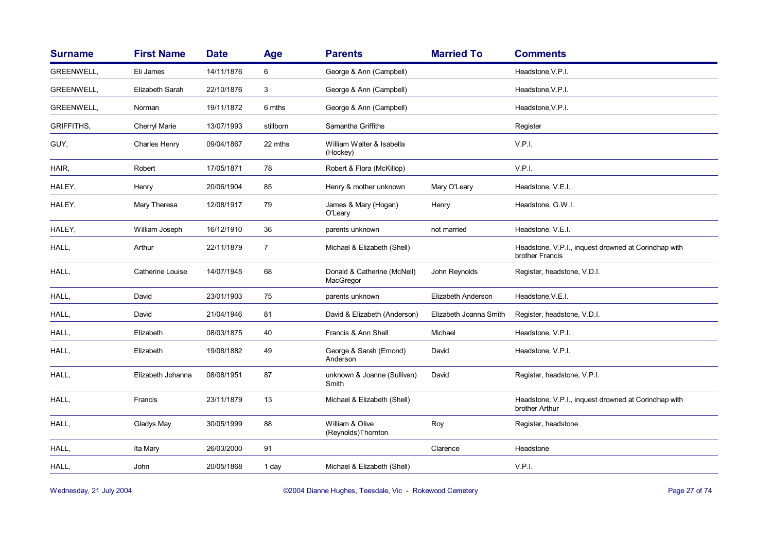| <b>Surname</b>    | <b>First Name</b>    | <b>Date</b> | Age       | <b>Parents</b>                           | <b>Married To</b>      | <b>Comments</b>                                                         |
|-------------------|----------------------|-------------|-----------|------------------------------------------|------------------------|-------------------------------------------------------------------------|
| <b>GREENWELL,</b> | Eli James            | 14/11/1876  | 6         | George & Ann (Campbell)                  |                        | Headstone, V.P.I.                                                       |
| GREENWELL,        | Elizabeth Sarah      | 22/10/1876  | 3         | George & Ann (Campbell)                  |                        | Headstone, V.P.I.                                                       |
| GREENWELL,        | Norman               | 19/11/1872  | 6 mths    | George & Ann (Campbell)                  |                        | Headstone, V.P.I.                                                       |
| <b>GRIFFITHS,</b> | <b>Cherryl Marie</b> | 13/07/1993  | stillborn | Samantha Griffiths                       |                        | Register                                                                |
| GUY,              | Charles Henry        | 09/04/1867  | 22 mths   | William Walter & Isabella<br>(Hockey)    |                        | VPI.                                                                    |
| HAIR,             | Robert               | 17/05/1871  | 78        | Robert & Flora (McKillop)                |                        | V.P.I.                                                                  |
| HALEY,            | Henry                | 20/06/1904  | 85        | Henry & mother unknown                   | Mary O'Leary           | Headstone, V.E.I.                                                       |
| HALEY,            | Mary Theresa         | 12/08/1917  | 79        | James & Mary (Hogan)<br>O'Leary          | Henry                  | Headstone, G.W.I.                                                       |
| HALEY,            | William Joseph       | 16/12/1910  | 36        | parents unknown                          | not married            | Headstone, V.E.I.                                                       |
| HALL,             | Arthur               | 22/11/1879  | 7         | Michael & Elizabeth (Shell)              |                        | Headstone, V.P.I., inquest drowned at Corindhap with<br>brother Francis |
| HALL,             | Catherine Louise     | 14/07/1945  | 68        | Donald & Catherine (McNeil)<br>MacGregor | John Reynolds          | Register, headstone, V.D.I.                                             |
| HALL,             | David                | 23/01/1903  | 75        | parents unknown                          | Elizabeth Anderson     | Headstone, V.E.I.                                                       |
| HALL,             | David                | 21/04/1946  | 81        | David & Elizabeth (Anderson)             | Elizabeth Joanna Smith | Register, headstone, V.D.I.                                             |
| HALL,             | Elizabeth            | 08/03/1875  | 40        | Francis & Ann Shell                      | Michael                | Headstone, V.P.I.                                                       |
| HALL,             | Elizabeth            | 19/08/1882  | 49        | George & Sarah (Emond)<br>Anderson       | David                  | Headstone, V.P.I.                                                       |
| HALL,             | Elizabeth Johanna    | 08/08/1951  | 87        | unknown & Joanne (Sullivan)<br>Smith     | David                  | Register, headstone, V.P.I.                                             |
| HALL,             | Francis              | 23/11/1879  | 13        | Michael & Elizabeth (Shell)              |                        | Headstone, V.P.I., inquest drowned at Corindhap with<br>brother Arthur  |
| HALL,             | Gladys May           | 30/05/1999  | 88        | William & Olive<br>(Reynolds)Thornton    | Roy                    | Register, headstone                                                     |
| HALL,             | Ita Mary             | 26/03/2000  | 91        |                                          | Clarence               | Headstone                                                               |
| HALL,             | John                 | 20/05/1868  | 1 day     | Michael & Elizabeth (Shell)              |                        | V.P.I.                                                                  |

Wednesday, 21 July 2004 **Dianne Hughes, Teesdale, Vic - Rokewood Cemetery** Page 27 of 74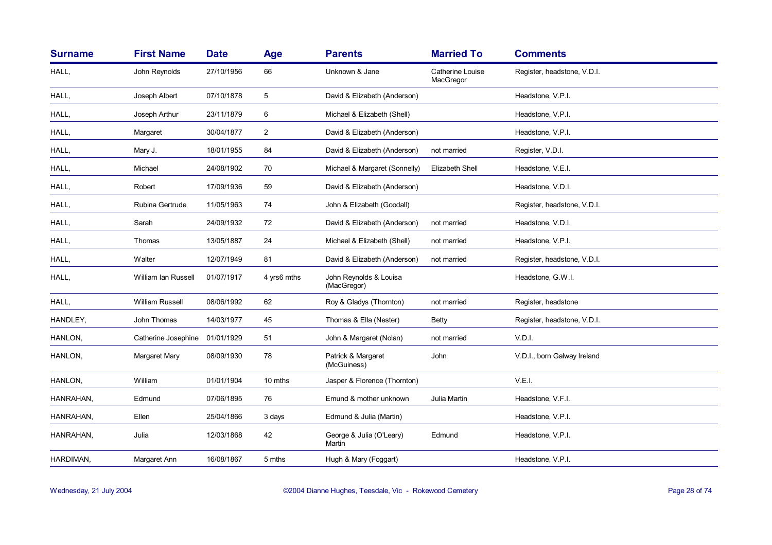| <b>Surname</b> | <b>First Name</b>      | <b>Date</b> | <b>Age</b>     | <b>Parents</b>                        | <b>Married To</b>             | <b>Comments</b>             |
|----------------|------------------------|-------------|----------------|---------------------------------------|-------------------------------|-----------------------------|
| HALL,          | John Reynolds          | 27/10/1956  | 66             | Unknown & Jane                        | Catherine Louise<br>MacGregor | Register, headstone, V.D.I. |
| HALL,          | Joseph Albert          | 07/10/1878  | 5              | David & Elizabeth (Anderson)          |                               | Headstone, V.P.I.           |
| HALL,          | Joseph Arthur          | 23/11/1879  | 6              | Michael & Elizabeth (Shell)           |                               | Headstone, V.P.I.           |
| HALL,          | Margaret               | 30/04/1877  | $\overline{2}$ | David & Elizabeth (Anderson)          |                               | Headstone, V.P.I.           |
| HALL,          | Mary J.                | 18/01/1955  | 84             | David & Elizabeth (Anderson)          | not married                   | Register, V.D.I.            |
| HALL,          | Michael                | 24/08/1902  | 70             | Michael & Margaret (Sonnelly)         | Elizabeth Shell               | Headstone, V.E.I.           |
| HALL,          | Robert                 | 17/09/1936  | 59             | David & Elizabeth (Anderson)          |                               | Headstone, V.D.I.           |
| HALL,          | Rubina Gertrude        | 11/05/1963  | 74             | John & Elizabeth (Goodall)            |                               | Register, headstone, V.D.I. |
| HALL,          | Sarah                  | 24/09/1932  | 72             | David & Elizabeth (Anderson)          | not married                   | Headstone, V.D.I.           |
| HALL,          | Thomas                 | 13/05/1887  | 24             | Michael & Elizabeth (Shell)           | not married                   | Headstone, V.P.I.           |
| HALL,          | Walter                 | 12/07/1949  | 81             | David & Elizabeth (Anderson)          | not married                   | Register, headstone, V.D.I. |
| HALL,          | William Ian Russell    | 01/07/1917  | 4 yrs6 mths    | John Reynolds & Louisa<br>(MacGregor) |                               | Headstone, G.W.I.           |
| HALL,          | <b>William Russell</b> | 08/06/1992  | 62             | Roy & Gladys (Thornton)               | not married                   | Register, headstone         |
| HANDLEY,       | John Thomas            | 14/03/1977  | 45             | Thomas & Ella (Nester)                | <b>Betty</b>                  | Register, headstone, V.D.I. |
| HANLON,        | Catherine Josephine    | 01/01/1929  | 51             | John & Margaret (Nolan)               | not married                   | V.D.I.                      |
| HANLON,        | Margaret Mary          | 08/09/1930  | 78             | Patrick & Margaret<br>(McGuiness)     | John                          | V.D.I., born Galway Ireland |
| HANLON,        | William                | 01/01/1904  | 10 mths        | Jasper & Florence (Thornton)          |                               | V.E.I.                      |
| HANRAHAN,      | Edmund                 | 07/06/1895  | 76             | Emund & mother unknown                | Julia Martin                  | Headstone, V.F.I.           |
| HANRAHAN,      | Ellen                  | 25/04/1866  | 3 days         | Edmund & Julia (Martin)               |                               | Headstone, V.P.I.           |
| HANRAHAN,      | Julia                  | 12/03/1868  | 42             | George & Julia (O'Leary)<br>Martin    | Edmund                        | Headstone, V.P.I.           |
| HARDIMAN,      | Margaret Ann           | 16/08/1867  | 5 mths         | Hugh & Mary (Foggart)                 |                               | Headstone, V.P.I.           |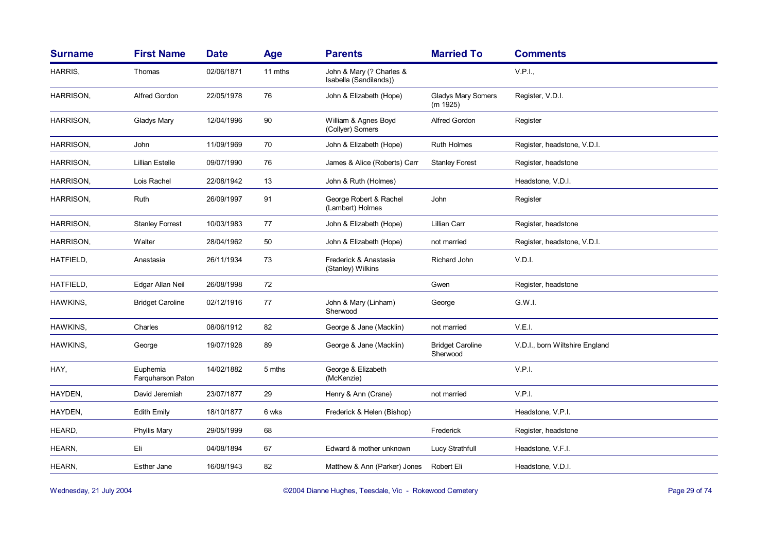| <b>Surname</b> | <b>First Name</b>             | <b>Date</b> | Age     | <b>Parents</b>                                     | <b>Married To</b>                     | <b>Comments</b>                |
|----------------|-------------------------------|-------------|---------|----------------------------------------------------|---------------------------------------|--------------------------------|
| HARRIS,        | Thomas                        | 02/06/1871  | 11 mths | John & Mary (? Charles &<br>Isabella (Sandilands)) |                                       | V.P.I.,                        |
| HARRISON,      | <b>Alfred Gordon</b>          | 22/05/1978  | 76      | John & Elizabeth (Hope)                            | <b>Gladys Mary Somers</b><br>(m 1925) | Register, V.D.I.               |
| HARRISON,      | Gladys Mary                   | 12/04/1996  | 90      | William & Agnes Boyd<br>(Collyer) Somers           | Alfred Gordon                         | Register                       |
| HARRISON,      | John                          | 11/09/1969  | 70      | John & Elizabeth (Hope)                            | <b>Ruth Holmes</b>                    | Register, headstone, V.D.I.    |
| HARRISON,      | <b>Lillian Estelle</b>        | 09/07/1990  | 76      | James & Alice (Roberts) Carr                       | <b>Stanley Forest</b>                 | Register, headstone            |
| HARRISON,      | Lois Rachel                   | 22/08/1942  | 13      | John & Ruth (Holmes)                               |                                       | Headstone, V.D.I.              |
| HARRISON,      | Ruth                          | 26/09/1997  | 91      | George Robert & Rachel<br>(Lambert) Holmes         | John                                  | Register                       |
| HARRISON,      | <b>Stanley Forrest</b>        | 10/03/1983  | 77      | John & Elizabeth (Hope)                            | <b>Lillian Carr</b>                   | Register, headstone            |
| HARRISON,      | Walter                        | 28/04/1962  | 50      | John & Elizabeth (Hope)                            | not married                           | Register, headstone, V.D.I.    |
| HATFIELD,      | Anastasia                     | 26/11/1934  | 73      | Frederick & Anastasia<br>(Stanley) Wilkins         | Richard John                          | V.D.I.                         |
| HATFIELD,      | Edgar Allan Neil              | 26/08/1998  | 72      |                                                    | Gwen                                  | Register, headstone            |
| HAWKINS,       | <b>Bridget Caroline</b>       | 02/12/1916  | 77      | John & Mary (Linham)<br>Sherwood                   | George                                | G.W.I.                         |
| HAWKINS,       | Charles                       | 08/06/1912  | 82      | George & Jane (Macklin)                            | not married                           | V.E.I.                         |
| HAWKINS,       | George                        | 19/07/1928  | 89      | George & Jane (Macklin)                            | <b>Bridget Caroline</b><br>Sherwood   | V.D.I., born Wiltshire England |
| HAY,           | Euphemia<br>Farguharson Paton | 14/02/1882  | 5 mths  | George & Elizabeth<br>(McKenzie)                   |                                       | V.P.I.                         |
| HAYDEN,        | David Jeremiah                | 23/07/1877  | 29      | Henry & Ann (Crane)                                | not married                           | V.P.I.                         |
| HAYDEN,        | <b>Edith Emily</b>            | 18/10/1877  | 6 wks   | Frederick & Helen (Bishop)                         |                                       | Headstone, V.P.I.              |
| HEARD,         | <b>Phyllis Mary</b>           | 29/05/1999  | 68      |                                                    | Frederick                             | Register, headstone            |
| HEARN,         | Eli                           | 04/08/1894  | 67      | Edward & mother unknown                            | Lucy Strathfull                       | Headstone, V.F.I.              |
| HEARN,         | Esther Jane                   | 16/08/1943  | 82      | Matthew & Ann (Parker) Jones                       | Robert Eli                            | Headstone, V.D.I.              |

Wednesday, 21 July 2004 **Dianne Hughes, Teesdale, Vic - Rokewood Cemetery** Page 29 of 74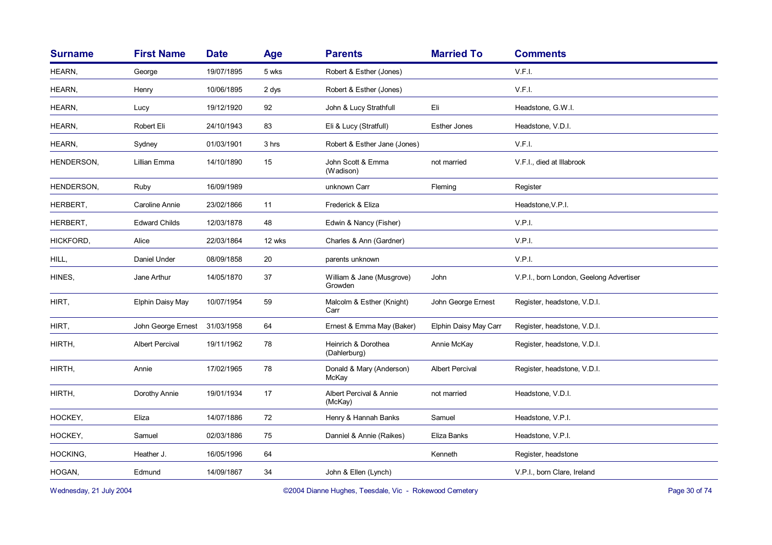| <b>Surname</b> | <b>First Name</b>      | <b>Date</b> | Age    | <b>Parents</b>                       | <b>Married To</b>      | <b>Comments</b>                         |
|----------------|------------------------|-------------|--------|--------------------------------------|------------------------|-----------------------------------------|
| HEARN,         | George                 | 19/07/1895  | 5 wks  | Robert & Esther (Jones)              |                        | V.F.I.                                  |
| HEARN,         | Henry                  | 10/06/1895  | 2 dys  | Robert & Esther (Jones)              |                        | V.F.I.                                  |
| HEARN,         | Lucy                   | 19/12/1920  | 92     | John & Lucy Strathfull               | Eli                    | Headstone, G.W.I.                       |
| HEARN,         | Robert Eli             | 24/10/1943  | 83     | Eli & Lucy (Stratfull)               | <b>Esther Jones</b>    | Headstone, V.D.I.                       |
| HEARN,         | Sydney                 | 01/03/1901  | 3 hrs  | Robert & Esther Jane (Jones)         |                        | V.F.I.                                  |
| HENDERSON,     | Lillian Emma           | 14/10/1890  | 15     | John Scott & Emma<br>(Wadison)       | not married            | V.F.I., died at Illabrook               |
| HENDERSON,     | Ruby                   | 16/09/1989  |        | unknown Carr                         | Fleming                | Register                                |
| HERBERT,       | Caroline Annie         | 23/02/1866  | 11     | Frederick & Eliza                    |                        | Headstone, V.P.I.                       |
| HERBERT,       | <b>Edward Childs</b>   | 12/03/1878  | 48     | Edwin & Nancy (Fisher)               |                        | V.P.I.                                  |
| HICKFORD,      | Alice                  | 22/03/1864  | 12 wks | Charles & Ann (Gardner)              |                        | V.P.I.                                  |
| HILL,          | Daniel Under           | 08/09/1858  | 20     | parents unknown                      |                        | V.P.I.                                  |
| HINES,         | Jane Arthur            | 14/05/1870  | 37     | William & Jane (Musgrove)<br>Growden | John                   | V.P.I., born London, Geelong Advertiser |
| HIRT,          | Elphin Daisy May       | 10/07/1954  | 59     | Malcolm & Esther (Knight)<br>Carr    | John George Ernest     | Register, headstone, V.D.I.             |
| HIRT,          | John George Ernest     | 31/03/1958  | 64     | Ernest & Emma May (Baker)            | Elphin Daisy May Carr  | Register, headstone, V.D.I.             |
| HIRTH,         | <b>Albert Percival</b> | 19/11/1962  | 78     | Heinrich & Dorothea<br>(Dahlerburg)  | Annie McKay            | Register, headstone, V.D.I.             |
| HIRTH,         | Annie                  | 17/02/1965  | 78     | Donald & Mary (Anderson)<br>McKay    | <b>Albert Percival</b> | Register, headstone, V.D.I.             |
| HIRTH,         | Dorothy Annie          | 19/01/1934  | 17     | Albert Percival & Annie<br>(McKay)   | not married            | Headstone, V.D.I.                       |
| HOCKEY,        | Eliza                  | 14/07/1886  | 72     | Henry & Hannah Banks                 | Samuel                 | Headstone, V.P.I.                       |
| HOCKEY,        | Samuel                 | 02/03/1886  | 75     | Danniel & Annie (Raikes)             | Eliza Banks            | Headstone, V.P.I.                       |
| HOCKING,       | Heather J.             | 16/05/1996  | 64     |                                      | Kenneth                | Register, headstone                     |
| HOGAN,         | Edmund                 | 14/09/1867  | 34     | John & Ellen (Lynch)                 |                        | V.P.I., born Clare, Ireland             |
|                |                        |             |        |                                      |                        |                                         |

Wednesday, 21 July 2004 **Dianne Hughes, Teesdale, Vic - Rokewood Cemetery** Page 30 of 74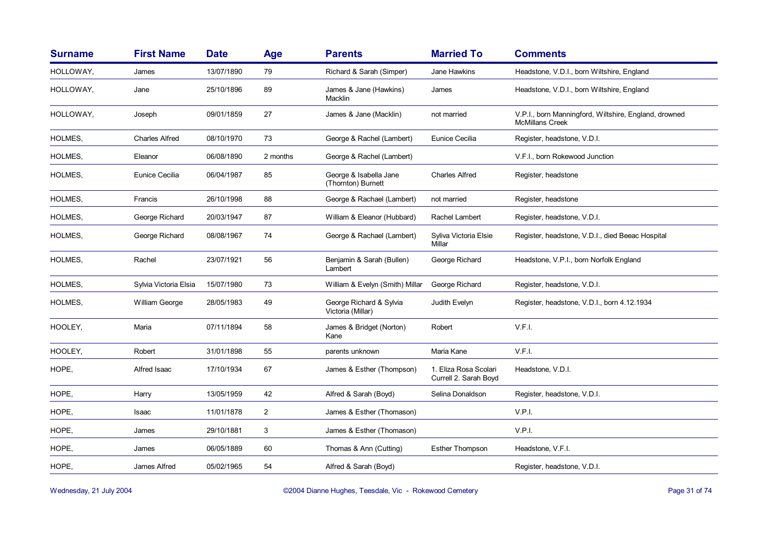| <b>Surname</b> | <b>First Name</b>     | <b>Date</b> | <b>Age</b>     | <b>Parents</b>                               | <b>Married To</b>                              | <b>Comments</b>                                                                 |
|----------------|-----------------------|-------------|----------------|----------------------------------------------|------------------------------------------------|---------------------------------------------------------------------------------|
| HOLLOWAY,      | James                 | 13/07/1890  | 79             | Richard & Sarah (Simper)                     | Jane Hawkins                                   | Headstone, V.D.I., born Wiltshire, England                                      |
| HOLLOWAY,      | Jane                  | 25/10/1896  | 89             | James & Jane (Hawkins)<br><b>Macklin</b>     | James                                          | Headstone, V.D.I., born Wiltshire, England                                      |
| HOLLOWAY,      | Joseph                | 09/01/1859  | 27             | James & Jane (Macklin)                       | not married                                    | V.P.I., born Manningford, Wiltshire, England, drowned<br><b>McMillans Creek</b> |
| HOLMES,        | <b>Charles Alfred</b> | 08/10/1970  | 73             | George & Rachel (Lambert)                    | Eunice Cecilia                                 | Register, headstone, V.D.I.                                                     |
| HOLMES,        | Eleanor               | 06/08/1890  | 2 months       | George & Rachel (Lambert)                    |                                                | V.F.I., born Rokewood Junction                                                  |
| HOLMES,        | Eunice Cecilia        | 06/04/1987  | 85             | George & Isabella Jane<br>(Thornton) Burnett | <b>Charles Alfred</b>                          | Register, headstone                                                             |
| HOLMES,        | Francis               | 26/10/1998  | 88             | George & Rachael (Lambert)                   | not married                                    | Register, headstone                                                             |
| HOLMES,        | George Richard        | 20/03/1947  | 87             | William & Eleanor (Hubbard)                  | Rachel Lambert                                 | Register, headstone, V.D.I.                                                     |
| HOLMES,        | George Richard        | 08/08/1967  | 74             | George & Rachael (Lambert)                   | Syliva Victoria Elsie<br>Millar                | Register, headstone, V.D.I., died Beeac Hospital                                |
| HOLMES,        | Rachel                | 23/07/1921  | 56             | Benjamin & Sarah (Bullen)<br>Lambert         | George Richard                                 | Headstone, V.P.I., born Norfolk England                                         |
| HOLMES,        | Sylvia Victoria Elsia | 15/07/1980  | 73             | William & Evelyn (Smith) Millar              | George Richard                                 | Register, headstone, V.D.I.                                                     |
| HOLMES,        | William George        | 28/05/1983  | 49             | George Richard & Sylvia<br>Victoria (Millar) | Judith Evelyn                                  | Register, headstone, V.D.I., born 4.12.1934                                     |
| HOOLEY,        | Maria                 | 07/11/1894  | 58             | James & Bridget (Norton)<br>Kane             | Robert                                         | V.F.I.                                                                          |
| HOOLEY,        | Robert                | 31/01/1898  | 55             | parents unknown                              | Maria Kane                                     | V.F.I.                                                                          |
| HOPE,          | Alfred Isaac          | 17/10/1934  | 67             | James & Esther (Thompson)                    | 1. Eliza Rosa Scolari<br>Currell 2. Sarah Boyd | Headstone, V.D.I.                                                               |
| HOPE,          | Harry                 | 13/05/1959  | 42             | Alfred & Sarah (Boyd)                        | Selina Donaldson                               | Register, headstone, V.D.I.                                                     |
| HOPE,          | Isaac                 | 11/01/1878  | $\overline{2}$ | James & Esther (Thomason)                    |                                                | V.P.I.                                                                          |
| HOPE,          | James                 | 29/10/1881  | 3              | James & Esther (Thomason)                    |                                                | V.P.I.                                                                          |
| HOPE,          | James                 | 06/05/1889  | 60             | Thomas & Ann (Cutting)                       | <b>Esther Thompson</b>                         | Headstone, V.F.I.                                                               |
| HOPE,          | James Alfred          | 05/02/1965  | 54             | Alfred & Sarah (Boyd)                        |                                                | Register, headstone, V.D.I.                                                     |

Wednesday, 21 July 2004 **Dianne Hughes, Teesdale, Vic - Rokewood Cemetery** Page 31 of 74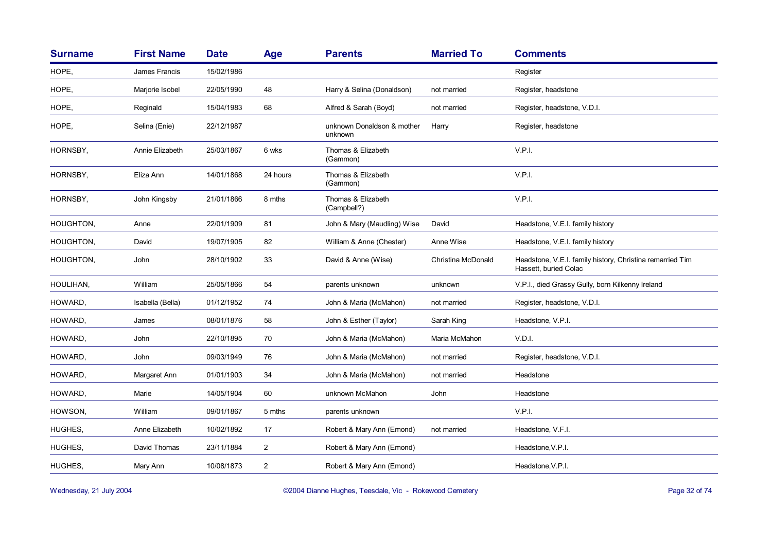| <b>Surname</b> | <b>First Name</b> | <b>Date</b> | <b>Age</b>     | <b>Parents</b>                        | <b>Married To</b>  | <b>Comments</b>                                                                    |
|----------------|-------------------|-------------|----------------|---------------------------------------|--------------------|------------------------------------------------------------------------------------|
| HOPE,          | James Francis     | 15/02/1986  |                |                                       |                    | Register                                                                           |
| HOPE,          | Marjorie Isobel   | 22/05/1990  | 48             | Harry & Selina (Donaldson)            | not married        | Register, headstone                                                                |
| HOPE,          | Reginald          | 15/04/1983  | 68             | Alfred & Sarah (Boyd)                 | not married        | Register, headstone, V.D.I.                                                        |
| HOPE,          | Selina (Enie)     | 22/12/1987  |                | unknown Donaldson & mother<br>unknown | Harry              | Register, headstone                                                                |
| HORNSBY,       | Annie Elizabeth   | 25/03/1867  | 6 wks          | Thomas & Elizabeth<br>(Gammon)        |                    | V.P.I.                                                                             |
| HORNSBY,       | Eliza Ann         | 14/01/1868  | 24 hours       | Thomas & Elizabeth<br>(Gammon)        |                    | V.P.I.                                                                             |
| HORNSBY,       | John Kingsby      | 21/01/1866  | 8 mths         | Thomas & Elizabeth<br>(Campbell?)     |                    | V.P.I.                                                                             |
| HOUGHTON,      | Anne              | 22/01/1909  | 81             | John & Mary (Maudling) Wise           | David              | Headstone, V.E.I. family history                                                   |
| HOUGHTON,      | David             | 19/07/1905  | 82             | William & Anne (Chester)              | Anne Wise          | Headstone, V.E.I. family history                                                   |
| HOUGHTON,      | John              | 28/10/1902  | 33             | David & Anne (Wise)                   | Christina McDonald | Headstone, V.E.I. family history, Christina remarried Tim<br>Hassett, buried Colac |
| HOULIHAN,      | William           | 25/05/1866  | 54             | parents unknown                       | unknown            | V.P.I., died Grassy Gully, born Kilkenny Ireland                                   |
| HOWARD,        | Isabella (Bella)  | 01/12/1952  | 74             | John & Maria (McMahon)                | not married        | Register, headstone, V.D.I.                                                        |
| HOWARD,        | James             | 08/01/1876  | 58             | John & Esther (Taylor)                | Sarah King         | Headstone, V.P.I.                                                                  |
| HOWARD,        | John              | 22/10/1895  | 70             | John & Maria (McMahon)                | Maria McMahon      | V.D.I.                                                                             |
| HOWARD,        | John              | 09/03/1949  | 76             | John & Maria (McMahon)                | not married        | Register, headstone, V.D.I.                                                        |
| HOWARD,        | Margaret Ann      | 01/01/1903  | 34             | John & Maria (McMahon)                | not married        | Headstone                                                                          |
| HOWARD,        | Marie             | 14/05/1904  | 60             | unknown McMahon                       | John               | Headstone                                                                          |
| HOWSON.        | William           | 09/01/1867  | 5 mths         | parents unknown                       |                    | V.P.I.                                                                             |
| HUGHES,        | Anne Elizabeth    | 10/02/1892  | 17             | Robert & Mary Ann (Emond)             | not married        | Headstone, V.F.I.                                                                  |
| HUGHES,        | David Thomas      | 23/11/1884  | $\overline{2}$ | Robert & Mary Ann (Emond)             |                    | Headstone, V.P.I.                                                                  |
| HUGHES,        | Mary Ann          | 10/08/1873  | $\overline{2}$ | Robert & Mary Ann (Emond)             |                    | Headstone, V.P.I.                                                                  |

Wednesday, 21 July 2004 **Dianne Hughes, Teesdale, Vic - Rokewood Cemetery** Page 32 of 74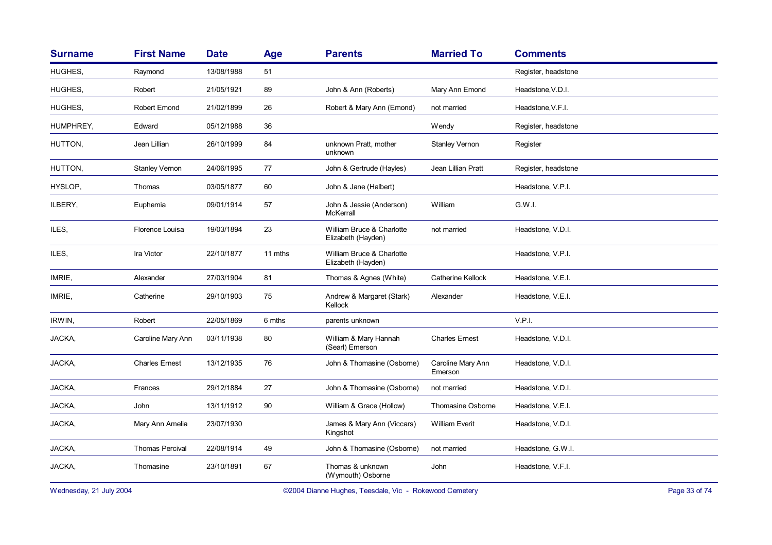| <b>Surname</b> | <b>First Name</b>      | <b>Date</b> | Age     | <b>Parents</b>                                  | <b>Married To</b>            | <b>Comments</b>     |
|----------------|------------------------|-------------|---------|-------------------------------------------------|------------------------------|---------------------|
| HUGHES,        | Raymond                | 13/08/1988  | 51      |                                                 |                              | Register, headstone |
| HUGHES,        | Robert                 | 21/05/1921  | 89      | John & Ann (Roberts)                            | Mary Ann Emond               | Headstone, V.D.I.   |
| HUGHES,        | Robert Emond           | 21/02/1899  | 26      | Robert & Mary Ann (Emond)                       | not married                  | Headstone, V.F.I.   |
| HUMPHREY,      | Edward                 | 05/12/1988  | 36      |                                                 | Wendy                        | Register, headstone |
| HUTTON,        | Jean Lillian           | 26/10/1999  | 84      | unknown Pratt, mother<br>unknown                | <b>Stanley Vernon</b>        | Register            |
| HUTTON,        | <b>Stanley Vernon</b>  | 24/06/1995  | 77      | John & Gertrude (Hayles)                        | Jean Lillian Pratt           | Register, headstone |
| HYSLOP,        | Thomas                 | 03/05/1877  | 60      | John & Jane (Halbert)                           |                              | Headstone, V.P.I.   |
| ILBERY,        | Euphemia               | 09/01/1914  | 57      | John & Jessie (Anderson)<br>McKerrall           | William                      | G.W.I.              |
| ILES,          | Florence Louisa        | 19/03/1894  | 23      | William Bruce & Charlotte<br>Elizabeth (Hayden) | not married                  | Headstone, V.D.I.   |
| ILES,          | Ira Victor             | 22/10/1877  | 11 mths | William Bruce & Charlotte<br>Elizabeth (Hayden) |                              | Headstone, V.P.I.   |
| IMRIE,         | Alexander              | 27/03/1904  | 81      | Thomas & Agnes (White)                          | <b>Catherine Kellock</b>     | Headstone, V.E.I.   |
| IMRIE,         | Catherine              | 29/10/1903  | 75      | Andrew & Margaret (Stark)<br>Kellock            | Alexander                    | Headstone, V.E.I.   |
| IRWIN,         | Robert                 | 22/05/1869  | 6 mths  | parents unknown                                 |                              | V.P.I.              |
| JACKA,         | Caroline Mary Ann      | 03/11/1938  | 80      | William & Mary Hannah<br>(Searl) Emerson        | <b>Charles Ernest</b>        | Headstone, V.D.I.   |
| JACKA,         | <b>Charles Ernest</b>  | 13/12/1935  | 76      | John & Thomasine (Osborne)                      | Caroline Mary Ann<br>Emerson | Headstone, V.D.I.   |
| JACKA,         | Frances                | 29/12/1884  | 27      | John & Thomasine (Osborne)                      | not married                  | Headstone, V.D.I.   |
| JACKA,         | John                   | 13/11/1912  | 90      | William & Grace (Hollow)                        | Thomasine Osborne            | Headstone, V.E.I.   |
| JACKA,         | Mary Ann Amelia        | 23/07/1930  |         | James & Mary Ann (Viccars)<br>Kingshot          | <b>William Everit</b>        | Headstone, V.D.I.   |
| JACKA,         | <b>Thomas Percival</b> | 22/08/1914  | 49      | John & Thomasine (Osborne)                      | not married                  | Headstone, G.W.I.   |
| JACKA,         | Thomasine              | 23/10/1891  | 67      | Thomas & unknown<br>(Wymouth) Osborne           | John                         | Headstone, V.F.I.   |

Wednesday, 21 July 2004 **Dianne Hughes, Teesdale, Vic - Rokewood Cemetery** Page 33 of 74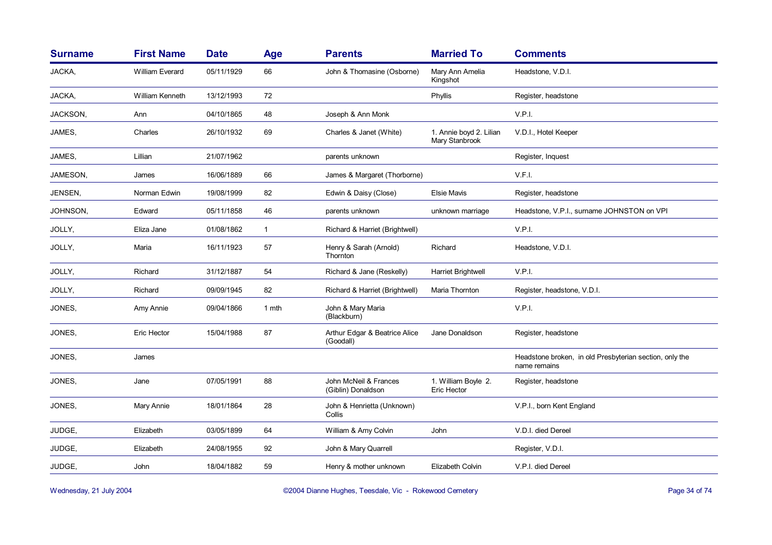| <b>Surname</b> | <b>First Name</b> | <b>Date</b> | Age          | <b>Parents</b>                              | <b>Married To</b>                         | <b>Comments</b>                                                         |
|----------------|-------------------|-------------|--------------|---------------------------------------------|-------------------------------------------|-------------------------------------------------------------------------|
| JACKA,         | William Everard   | 05/11/1929  | 66           | John & Thomasine (Osborne)                  | Mary Ann Amelia<br>Kingshot               | Headstone, V.D.I.                                                       |
| JACKA,         | William Kenneth   | 13/12/1993  | 72           |                                             | Phyllis                                   | Register, headstone                                                     |
| JACKSON,       | Ann               | 04/10/1865  | 48           | Joseph & Ann Monk                           |                                           | V.P.I.                                                                  |
| JAMES,         | Charles           | 26/10/1932  | 69           | Charles & Janet (White)                     | 1. Annie boyd 2. Lilian<br>Mary Stanbrook | V.D.I., Hotel Keeper                                                    |
| JAMES,         | Lillian           | 21/07/1962  |              | parents unknown                             |                                           | Register, Inquest                                                       |
| JAMESON,       | James             | 16/06/1889  | 66           | James & Margaret (Thorborne)                |                                           | V.F.I.                                                                  |
| JENSEN,        | Norman Edwin      | 19/08/1999  | 82           | Edwin & Daisy (Close)                       | <b>Elsie Mavis</b>                        | Register, headstone                                                     |
| JOHNSON,       | Edward            | 05/11/1858  | 46           | parents unknown                             | unknown marriage                          | Headstone, V.P.I., surname JOHNSTON on VPI                              |
| JOLLY,         | Eliza Jane        | 01/08/1862  | $\mathbf{1}$ | Richard & Harriet (Brightwell)              |                                           | V.P.I.                                                                  |
| JOLLY,         | Maria             | 16/11/1923  | 57           | Henry & Sarah (Arnold)<br>Thornton          | Richard                                   | Headstone, V.D.I.                                                       |
| JOLLY,         | Richard           | 31/12/1887  | 54           | Richard & Jane (Reskelly)                   | Harriet Brightwell                        | V.P.I.                                                                  |
| JOLLY,         | Richard           | 09/09/1945  | 82           | Richard & Harriet (Brightwell)              | Maria Thornton                            | Register, headstone, V.D.I.                                             |
| JONES,         | Amy Annie         | 09/04/1866  | 1 mth        | John & Mary Maria<br>(Blackburn)            |                                           | V.P.I.                                                                  |
| JONES,         | Eric Hector       | 15/04/1988  | 87           | Arthur Edgar & Beatrice Alice<br>(Goodall)  | Jane Donaldson                            | Register, headstone                                                     |
| JONES,         | James             |             |              |                                             |                                           | Headstone broken, in old Presbyterian section, only the<br>name remains |
| JONES,         | Jane              | 07/05/1991  | 88           | John McNeil & Frances<br>(Giblin) Donaldson | 1. William Boyle 2.<br>Eric Hector        | Register, headstone                                                     |
| JONES,         | Mary Annie        | 18/01/1864  | 28           | John & Henrietta (Unknown)<br>Collis        |                                           | V.P.I., born Kent England                                               |
| JUDGE,         | Elizabeth         | 03/05/1899  | 64           | William & Amy Colvin                        | John                                      | V.D.I. died Dereel                                                      |
| JUDGE,         | Elizabeth         | 24/08/1955  | 92           | John & Mary Quarrell                        |                                           | Register, V.D.I.                                                        |
| JUDGE,         | John              | 18/04/1882  | 59           | Henry & mother unknown                      | Elizabeth Colvin                          | V.P.I. died Dereel                                                      |

Wednesday, 21 July 2004 **Dianne Hughes, Teesdale, Vic - Rokewood Cemetery** Page 34 of 74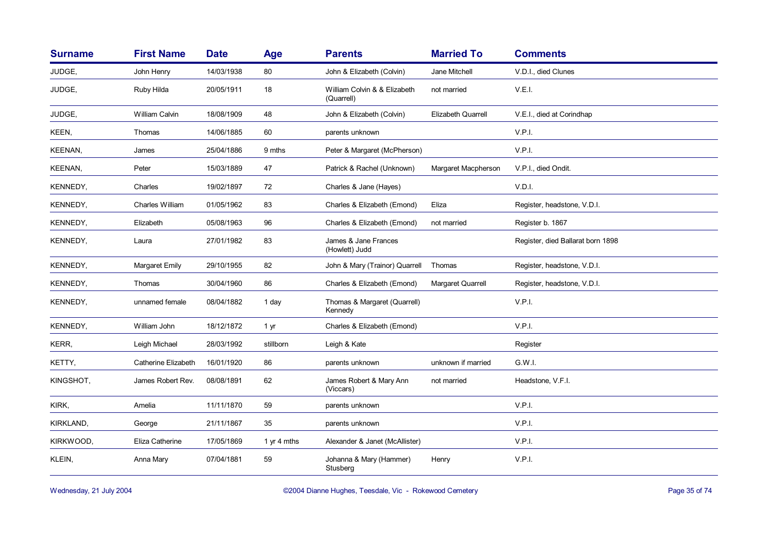| <b>Surname</b> | <b>First Name</b>   | <b>Date</b> | <b>Age</b>      | <b>Parents</b>                             | <b>Married To</b>   | <b>Comments</b>                   |
|----------------|---------------------|-------------|-----------------|--------------------------------------------|---------------------|-----------------------------------|
| JUDGE,         | John Henry          | 14/03/1938  | 80              | John & Elizabeth (Colvin)                  | Jane Mitchell       | V.D.I., died Clunes               |
| JUDGE,         | Ruby Hilda          | 20/05/1911  | 18              | William Colvin & & Elizabeth<br>(Quarrell) | not married         | V.E.I.                            |
| JUDGE,         | William Calvin      | 18/08/1909  | 48              | John & Elizabeth (Colvin)                  | Elizabeth Quarrell  | V.E.I., died at Corindhap         |
| KEEN,          | Thomas              | 14/06/1885  | 60              | parents unknown                            |                     | V.P.I.                            |
| KEENAN,        | James               | 25/04/1886  | 9 mths          | Peter & Margaret (McPherson)               |                     | V.P.I.                            |
| KEENAN,        | Peter               | 15/03/1889  | 47              | Patrick & Rachel (Unknown)                 | Margaret Macpherson | V.P.I., died Ondit.               |
| KENNEDY,       | Charles             | 19/02/1897  | 72              | Charles & Jane (Hayes)                     |                     | V.D.I.                            |
| KENNEDY,       | Charles William     | 01/05/1962  | 83              | Charles & Elizabeth (Emond)                | Eliza               | Register, headstone, V.D.I.       |
| KENNEDY,       | Elizabeth           | 05/08/1963  | 96              | Charles & Elizabeth (Emond)                | not married         | Register b. 1867                  |
| KENNEDY,       | Laura               | 27/01/1982  | 83              | James & Jane Frances<br>(Howlett) Judd     |                     | Register, died Ballarat born 1898 |
| KENNEDY,       | Margaret Emily      | 29/10/1955  | 82              | John & Mary (Trainor) Quarrell             | Thomas              | Register, headstone, V.D.I.       |
| KENNEDY,       | Thomas              | 30/04/1960  | 86              | Charles & Elizabeth (Emond)                | Margaret Quarrell   | Register, headstone, V.D.I.       |
| KENNEDY,       | unnamed female      | 08/04/1882  | 1 day           | Thomas & Margaret (Quarrell)<br>Kennedy    |                     | V.P.I.                            |
| KENNEDY,       | William John        | 18/12/1872  | 1 <sub>yr</sub> | Charles & Elizabeth (Emond)                |                     | V.P.I.                            |
| KERR,          | Leigh Michael       | 28/03/1992  | stillborn       | Leigh & Kate                               |                     | Register                          |
| KETTY,         | Catherine Elizabeth | 16/01/1920  | 86              | parents unknown                            | unknown if married  | G.W.I.                            |
| KINGSHOT,      | James Robert Rev.   | 08/08/1891  | 62              | James Robert & Mary Ann<br>(Viccars)       | not married         | Headstone, V.F.I.                 |
| KIRK,          | Amelia              | 11/11/1870  | 59              | parents unknown                            |                     | V.P.I.                            |
| KIRKLAND,      | George              | 21/11/1867  | 35              | parents unknown                            |                     | V.P.I.                            |
| KIRKWOOD,      | Eliza Catherine     | 17/05/1869  | 1 yr 4 mths     | Alexander & Janet (McAllister)             |                     | V.P.I.                            |
| KLEIN,         | Anna Mary           | 07/04/1881  | 59              | Johanna & Mary (Hammer)<br>Stusberg        | Henry               | V.P.I.                            |

Wednesday, 21 July 2004 **Dianne Hughes, Teesdale, Vic - Rokewood Cemetery** Page 35 of 74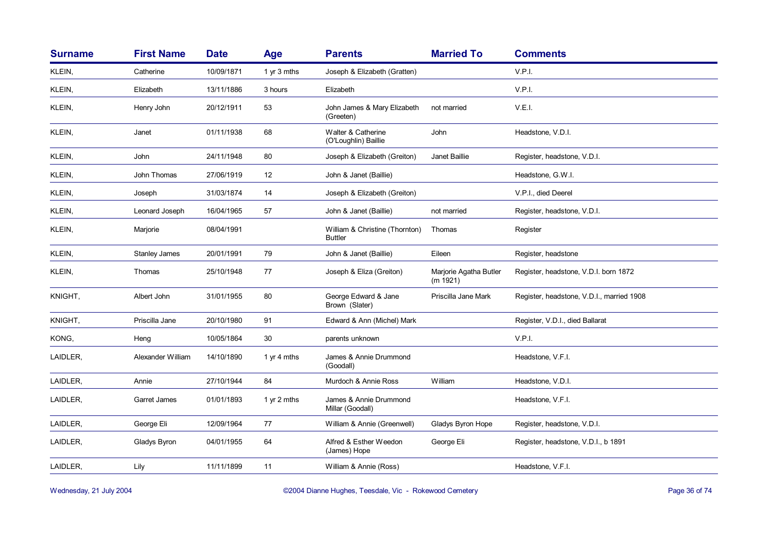| <b>Surname</b> | <b>First Name</b> | <b>Date</b> | Age         | <b>Parents</b>                                   | <b>Married To</b>                  | <b>Comments</b>                           |
|----------------|-------------------|-------------|-------------|--------------------------------------------------|------------------------------------|-------------------------------------------|
| KLEIN,         | Catherine         | 10/09/1871  | 1 yr 3 mths | Joseph & Elizabeth (Gratten)                     |                                    | V.P.I.                                    |
| KLEIN,         | Elizabeth         | 13/11/1886  | 3 hours     | Elizabeth                                        |                                    | V.P.I.                                    |
| KLEIN,         | Henry John        | 20/12/1911  | 53          | John James & Mary Elizabeth<br>(Greeten)         | not married                        | V.E.I.                                    |
| KLEIN,         | Janet             | 01/11/1938  | 68          | Walter & Catherine<br>(O'Loughlin) Baillie       | John                               | Headstone, V.D.I.                         |
| KLEIN,         | John              | 24/11/1948  | 80          | Joseph & Elizabeth (Greiton)                     | Janet Baillie                      | Register, headstone, V.D.I.               |
| KLEIN,         | John Thomas       | 27/06/1919  | 12          | John & Janet (Baillie)                           |                                    | Headstone, G.W.I.                         |
| KLEIN,         | Joseph            | 31/03/1874  | 14          | Joseph & Elizabeth (Greiton)                     |                                    | V.P.I., died Deerel                       |
| KLEIN,         | Leonard Joseph    | 16/04/1965  | 57          | John & Janet (Baillie)                           | not married                        | Register, headstone, V.D.I.               |
| KLEIN,         | Marjorie          | 08/04/1991  |             | William & Christine (Thornton)<br><b>Buttler</b> | Thomas                             | Register                                  |
| KLEIN,         | Stanley James     | 20/01/1991  | 79          | John & Janet (Baillie)                           | Eileen                             | Register, headstone                       |
| KLEIN,         | Thomas            | 25/10/1948  | 77          | Joseph & Eliza (Greiton)                         | Marjorie Agatha Butler<br>(m 1921) | Register, headstone, V.D.I. born 1872     |
| KNIGHT,        | Albert John       | 31/01/1955  | 80          | George Edward & Jane<br>Brown (Slater)           | Priscilla Jane Mark                | Register, headstone, V.D.I., married 1908 |
| KNIGHT,        | Priscilla Jane    | 20/10/1980  | 91          | Edward & Ann (Michel) Mark                       |                                    | Register, V.D.I., died Ballarat           |
| KONG,          | Heng              | 10/05/1864  | 30          | parents unknown                                  |                                    | V.P.I.                                    |
| LAIDLER,       | Alexander William | 14/10/1890  | 1 yr 4 mths | James & Annie Drummond<br>(Goodall)              |                                    | Headstone, V.F.I.                         |
| LAIDLER,       | Annie             | 27/10/1944  | 84          | Murdoch & Annie Ross                             | William                            | Headstone, V.D.I.                         |
| LAIDLER,       | Garret James      | 01/01/1893  | 1 yr 2 mths | James & Annie Drummond<br>Millar (Goodall)       |                                    | Headstone, V.F.I.                         |
| LAIDLER,       | George Eli        | 12/09/1964  | 77          | William & Annie (Greenwell)                      | Gladys Byron Hope                  | Register, headstone, V.D.I.               |
| LAIDLER,       | Gladys Byron      | 04/01/1955  | 64          | Alfred & Esther Weedon<br>(James) Hope           | George Eli                         | Register, headstone, V.D.I., b 1891       |
| LAIDLER,       | Lily              | 11/11/1899  | 11          | William & Annie (Ross)                           |                                    | Headstone, V.F.I.                         |

Wednesday, 21 July 2004 **Dianne Hughes, Teesdale, Vic - Rokewood Cemetery** Page 36 of 74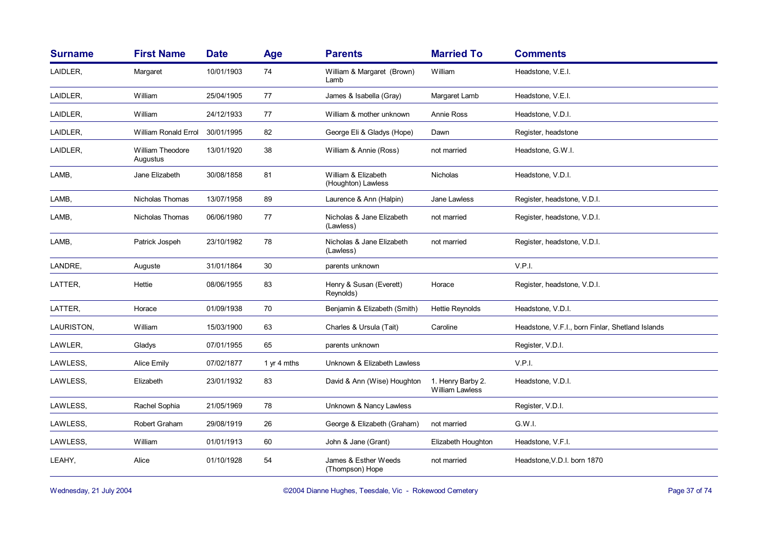| <b>Surname</b> | <b>First Name</b>            | <b>Date</b> | <b>Age</b>  | <b>Parents</b>                            | <b>Married To</b>                           | <b>Comments</b>                                  |
|----------------|------------------------------|-------------|-------------|-------------------------------------------|---------------------------------------------|--------------------------------------------------|
| LAIDLER,       | Margaret                     | 10/01/1903  | 74          | William & Margaret (Brown)<br>Lamb        | William                                     | Headstone, V.E.I.                                |
| LAIDLER,       | William                      | 25/04/1905  | 77          | James & Isabella (Gray)                   | Margaret Lamb                               | Headstone, V.E.I.                                |
| LAIDLER,       | William                      | 24/12/1933  | 77          | William & mother unknown                  | Annie Ross                                  | Headstone, V.D.I.                                |
| LAIDLER,       | William Ronald Errol         | 30/01/1995  | 82          | George Eli & Gladys (Hope)                | Dawn                                        | Register, headstone                              |
| LAIDLER,       | William Theodore<br>Augustus | 13/01/1920  | 38          | William & Annie (Ross)                    | not married                                 | Headstone, G.W.I.                                |
| LAMB,          | Jane Elizabeth               | 30/08/1858  | 81          | William & Elizabeth<br>(Houghton) Lawless | Nicholas                                    | Headstone, V.D.I.                                |
| LAMB,          | Nicholas Thomas              | 13/07/1958  | 89          | Laurence & Ann (Halpin)                   | Jane Lawless                                | Register, headstone, V.D.I.                      |
| LAMB,          | Nicholas Thomas              | 06/06/1980  | 77          | Nicholas & Jane Elizabeth<br>(Lawless)    | not married                                 | Register, headstone, V.D.I.                      |
| LAMB,          | Patrick Jospeh               | 23/10/1982  | 78          | Nicholas & Jane Elizabeth<br>(Lawless)    | not married                                 | Register, headstone, V.D.I.                      |
| LANDRE,        | Auguste                      | 31/01/1864  | 30          | parents unknown                           |                                             | V.P.I.                                           |
| LATTER,        | Hettie                       | 08/06/1955  | 83          | Henry & Susan (Everett)<br>Reynolds)      | Horace                                      | Register, headstone, V.D.I.                      |
| LATTER,        | Horace                       | 01/09/1938  | 70          | Benjamin & Elizabeth (Smith)              | <b>Hettie Reynolds</b>                      | Headstone, V.D.I.                                |
| LAURISTON,     | William                      | 15/03/1900  | 63          | Charles & Ursula (Tait)                   | Caroline                                    | Headstone, V.F.I., born Finlar, Shetland Islands |
| LAWLER,        | Gladys                       | 07/01/1955  | 65          | parents unknown                           |                                             | Register, V.D.I.                                 |
| LAWLESS,       | <b>Alice Emily</b>           | 07/02/1877  | 1 yr 4 mths | Unknown & Elizabeth Lawless               |                                             | V.P.I.                                           |
| LAWLESS,       | Elizabeth                    | 23/01/1932  | 83          | David & Ann (Wise) Houghton               | 1. Henry Barby 2.<br><b>William Lawless</b> | Headstone, V.D.I.                                |
| LAWLESS,       | Rachel Sophia                | 21/05/1969  | 78          | Unknown & Nancy Lawless                   |                                             | Register, V.D.I.                                 |
| LAWLESS,       | Robert Graham                | 29/08/1919  | 26          | George & Elizabeth (Graham)               | not married                                 | G.W.I.                                           |
| LAWLESS,       | William                      | 01/01/1913  | 60          | John & Jane (Grant)                       | Elizabeth Houghton                          | Headstone, V.F.I.                                |
| LEAHY,         | Alice                        | 01/10/1928  | 54          | James & Esther Weeds<br>(Thompson) Hope   | not married                                 | Headstone, V.D.I. born 1870                      |

Wednesday, 21 July 2004 **Dianne Hughes, Teesdale, Vic - Rokewood Cemetery** Page 37 of 74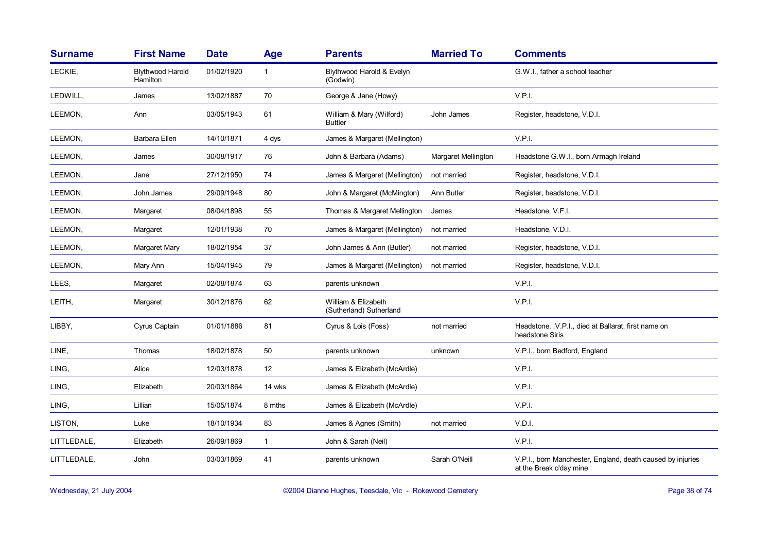| <b>Surname</b> | <b>First Name</b>            | <b>Date</b> | Age          | <b>Parents</b>                                 | <b>Married To</b>   | <b>Comments</b>                                                                       |
|----------------|------------------------------|-------------|--------------|------------------------------------------------|---------------------|---------------------------------------------------------------------------------------|
| LECKIE,        | Blythwood Harold<br>Hamilton | 01/02/1920  | $\mathbf{1}$ | Blythwood Harold & Evelyn<br>(Godwin)          |                     | G.W.I., father a school teacher                                                       |
| LEDWILL,       | James                        | 13/02/1887  | 70           | George & Jane (Howy)                           |                     | V.P.I.                                                                                |
| LEEMON,        | Ann                          | 03/05/1943  | 61           | William & Mary (Wilford)<br><b>Buttler</b>     | John James          | Register, headstone, V.D.I.                                                           |
| LEEMON,        | <b>Barbara Ellen</b>         | 14/10/1871  | 4 dys        | James & Margaret (Mellington)                  |                     | V.P.I.                                                                                |
| LEEMON,        | James                        | 30/08/1917  | 76           | John & Barbara (Adams)                         | Margaret Mellington | Headstone G.W.I., born Armagh Ireland                                                 |
| LEEMON,        | Jane                         | 27/12/1950  | 74           | James & Margaret (Mellington)                  | not married         | Register, headstone, V.D.I.                                                           |
| LEEMON,        | John James                   | 29/09/1948  | 80           | John & Margaret (McMington)                    | Ann Butler          | Register, headstone, V.D.I.                                                           |
| LEEMON,        | Margaret                     | 08/04/1898  | 55           | Thomas & Margaret Mellington                   | James               | Headstone, V.F.I.                                                                     |
| LEEMON,        | Margaret                     | 12/01/1938  | 70           | James & Margaret (Mellington)                  | not married         | Headstone, V.D.I.                                                                     |
| LEEMON,        | Margaret Mary                | 18/02/1954  | 37           | John James & Ann (Butler)                      | not married         | Register, headstone, V.D.I.                                                           |
| LEEMON,        | Mary Ann                     | 15/04/1945  | 79           | James & Margaret (Mellington)                  | not married         | Register, headstone, V.D.I.                                                           |
| LEES,          | Margaret                     | 02/08/1874  | 63           | parents unknown                                |                     | V.P.I.                                                                                |
| LEITH,         | Margaret                     | 30/12/1876  | 62           | William & Elizabeth<br>(Sutherland) Sutherland |                     | V.P.I.                                                                                |
| LIBBY,         | Cyrus Captain                | 01/01/1886  | 81           | Cyrus & Lois (Foss)                            | not married         | Headstone., V.P.I., died at Ballarat, first name on<br>headstone Siris                |
| LINE,          | Thomas                       | 18/02/1878  | 50           | parents unknown                                | unknown             | V.P.I., born Bedford, England                                                         |
| LING,          | Alice                        | 12/03/1878  | 12           | James & Elizabeth (McArdle)                    |                     | V.P.I.                                                                                |
| LING,          | Elizabeth                    | 20/03/1864  | 14 wks       | James & Elizabeth (McArdle)                    |                     | V.P.I.                                                                                |
| LING,          | Lillian                      | 15/05/1874  | 8 mths       | James & Elizabeth (McArdle)                    |                     | V.P.I.                                                                                |
| LISTON,        | Luke                         | 18/10/1934  | 83           | James & Agnes (Smith)                          | not married         | V.D.I.                                                                                |
| LITTLEDALE,    | Elizabeth                    | 26/09/1869  | $\mathbf{1}$ | John & Sarah (Neil)                            |                     | V.P.I.                                                                                |
| LITTLEDALE,    | John                         | 03/03/1869  | 41           | parents unknown                                | Sarah O'Neill       | V.P.I., born Manchester, England, death caused by injuries<br>at the Break o'day mine |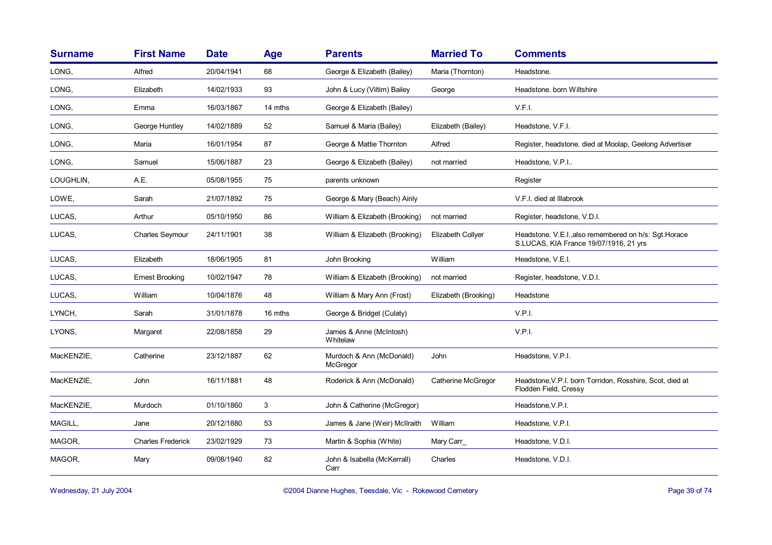| <b>Surname</b> | <b>First Name</b>        | <b>Date</b> | Age     | <b>Parents</b>                       | <b>Married To</b>        | <b>Comments</b>                                                                                 |
|----------------|--------------------------|-------------|---------|--------------------------------------|--------------------------|-------------------------------------------------------------------------------------------------|
| LONG,          | Alfred                   | 20/04/1941  | 68      | George & Elizabeth (Bailey)          | Maria (Thornton)         | Headstone.                                                                                      |
| LONG,          | Elizabeth                | 14/02/1933  | 93      | John & Lucy (Viltim) Bailey          | George                   | Headstone, born Wiltshire                                                                       |
| LONG,          | Emma                     | 16/03/1867  | 14 mths | George & Elizabeth (Bailey)          |                          | V.F.I.                                                                                          |
| LONG,          | George Huntley           | 14/02/1889  | 52      | Samuel & Maria (Bailey)              | Elizabeth (Bailey)       | Headstone, V.F.I.                                                                               |
| LONG,          | Maria                    | 16/01/1954  | 87      | George & Mattie Thornton             | Alfred                   | Register, headstone. died at Moolap, Geelong Advertiser                                         |
| LONG,          | Samuel                   | 15/06/1887  | 23      | George & Elizabeth (Bailey)          | not married              | Headstone, V.P.I                                                                                |
| LOUGHLIN,      | A.E.                     | 05/08/1955  | 75      | parents unknown                      |                          | Register                                                                                        |
| LOWE,          | Sarah                    | 21/07/1892  | 75      | George & Mary (Beach) Ainly          |                          | V.F.I. died at Illabrook                                                                        |
| LUCAS,         | Arthur                   | 05/10/1950  | 86      | William & Elizabeth (Brooking)       | not married              | Register, headstone, V.D.I.                                                                     |
| LUCAS,         | <b>Charles Seymour</b>   | 24/11/1901  | 38      | William & Elizabeth (Brooking)       | <b>Elizabeth Collyer</b> | Headstone. V.E.I., also remembered on h/s: Sqt.Horace<br>S.LUCAS, KIA France 19/07/1916, 21 yrs |
| LUCAS,         | Elizabeth                | 18/06/1905  | 81      | John Brooking                        | William                  | Headstone, V.E.I.                                                                               |
| LUCAS,         | <b>Ernest Brooking</b>   | 10/02/1947  | 78      | William & Elizabeth (Brooking)       | not married              | Register, headstone, V.D.I.                                                                     |
| LUCAS,         | William                  | 10/04/1876  | 48      | William & Mary Ann (Frost)           | Elizabeth (Brooking)     | Headstone                                                                                       |
| LYNCH,         | Sarah                    | 31/01/1878  | 16 mths | George & Bridget (Culaty)            |                          | V.P.I.                                                                                          |
| LYONS,         | Margaret                 | 22/08/1858  | 29      | James & Anne (McIntosh)<br>Whitelaw  |                          | V.P.I.                                                                                          |
| MacKENZIE,     | Catherine                | 23/12/1887  | 62      | Murdoch & Ann (McDonald)<br>McGregor | John                     | Headstone, V.P.I.                                                                               |
| MacKENZIE,     | John                     | 16/11/1881  | 48      | Roderick & Ann (McDonald)            | Catherine McGregor       | Headstone, V.P.I. born Torridon, Rosshire, Scot, died at<br>Flodden Field, Cressy               |
| MacKENZIE,     | Murdoch                  | 01/10/1860  | 3       | John & Catherine (McGregor)          |                          | Headstone, V.P.I.                                                                               |
| MAGILL,        | Jane                     | 20/12/1880  | 53      | James & Jane (Weir) McIlraith        | William                  | Headstone, V.P.I.                                                                               |
| MAGOR,         | <b>Charles Frederick</b> | 23/02/1929  | 73      | Martin & Sophia (White)              | Mary Carr_               | Headstone, V.D.I.                                                                               |
| MAGOR,         | Mary                     | 09/08/1940  | 82      | John & Isabella (McKerrall)<br>Carr  | Charles                  | Headstone, V.D.I.                                                                               |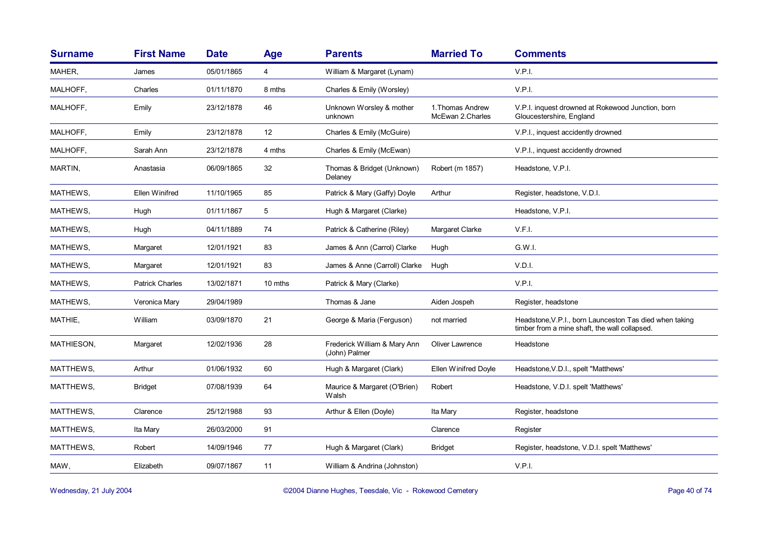| <b>Surname</b> | <b>First Name</b>      | <b>Date</b> | <b>Age</b> | <b>Parents</b>                                | <b>Married To</b>                    | <b>Comments</b>                                                                                          |
|----------------|------------------------|-------------|------------|-----------------------------------------------|--------------------------------------|----------------------------------------------------------------------------------------------------------|
| MAHER,         | James                  | 05/01/1865  | 4          | William & Margaret (Lynam)                    |                                      | V.P.I.                                                                                                   |
| MALHOFF,       | Charles                | 01/11/1870  | 8 mths     | Charles & Emily (Worsley)                     |                                      | V.P.I.                                                                                                   |
| MALHOFF,       | Emily                  | 23/12/1878  | 46         | Unknown Worsley & mother<br>unknown           | 1. Thomas Andrew<br>McEwan 2.Charles | V.P.I. inquest drowned at Rokewood Junction, born<br>Gloucestershire, England                            |
| MALHOFF,       | Emily                  | 23/12/1878  | 12         | Charles & Emily (McGuire)                     |                                      | V.P.I., inquest accidently drowned                                                                       |
| MALHOFF,       | Sarah Ann              | 23/12/1878  | 4 mths     | Charles & Emily (McEwan)                      |                                      | V.P.I., inquest accidently drowned                                                                       |
| MARTIN,        | Anastasia              | 06/09/1865  | 32         | Thomas & Bridget (Unknown)<br>Delaney         | Robert (m 1857)                      | Headstone, V.P.I.                                                                                        |
| MATHEWS,       | <b>Ellen Winifred</b>  | 11/10/1965  | 85         | Patrick & Mary (Gaffy) Doyle                  | Arthur                               | Register, headstone, V.D.I.                                                                              |
| MATHEWS,       | Hugh                   | 01/11/1867  | 5          | Hugh & Margaret (Clarke)                      |                                      | Headstone, V.P.I.                                                                                        |
| MATHEWS,       | Hugh                   | 04/11/1889  | 74         | Patrick & Catherine (Riley)                   | Margaret Clarke                      | V.F.I.                                                                                                   |
| MATHEWS,       | Margaret               | 12/01/1921  | 83         | James & Ann (Carrol) Clarke                   | Hugh                                 | G.W.I.                                                                                                   |
| MATHEWS,       | Margaret               | 12/01/1921  | 83         | James & Anne (Carroll) Clarke                 | Hugh                                 | V.D.I.                                                                                                   |
| MATHEWS,       | <b>Patrick Charles</b> | 13/02/1871  | 10 mths    | Patrick & Mary (Clarke)                       |                                      | V.P.I.                                                                                                   |
| MATHEWS,       | Veronica Mary          | 29/04/1989  |            | Thomas & Jane                                 | Aiden Jospeh                         | Register, headstone                                                                                      |
| MATHIE,        | William                | 03/09/1870  | 21         | George & Maria (Ferguson)                     | not married                          | Headstone, V.P.I., born Launceston Tas died when taking<br>timber from a mine shaft, the wall collapsed. |
| MATHIESON,     | Margaret               | 12/02/1936  | 28         | Frederick William & Mary Ann<br>(John) Palmer | <b>Oliver Lawrence</b>               | Headstone                                                                                                |
| MATTHEWS,      | Arthur                 | 01/06/1932  | 60         | Hugh & Margaret (Clark)                       | Ellen Winifred Doyle                 | Headstone, V.D.I., spelt "Matthews'                                                                      |
| MATTHEWS,      | <b>Bridget</b>         | 07/08/1939  | 64         | Maurice & Margaret (O'Brien)<br>Walsh         | Robert                               | Headstone, V.D.I. spelt 'Matthews'                                                                       |
| MATTHEWS,      | Clarence               | 25/12/1988  | 93         | Arthur & Ellen (Doyle)                        | Ita Mary                             | Register, headstone                                                                                      |
| MATTHEWS,      | Ita Mary               | 26/03/2000  | 91         |                                               | Clarence                             | Register                                                                                                 |
| MATTHEWS,      | Robert                 | 14/09/1946  | 77         | Hugh & Margaret (Clark)                       | <b>Bridget</b>                       | Register, headstone, V.D.I. spelt 'Matthews'                                                             |
| MAW,           | Elizabeth              | 09/07/1867  | 11         | William & Andrina (Johnston)                  |                                      | V.P.I.                                                                                                   |

Wednesday, 21 July 2004 **Dianne Hughes, Teesdale, Vic - Rokewood Cemetery** Page 40 of 74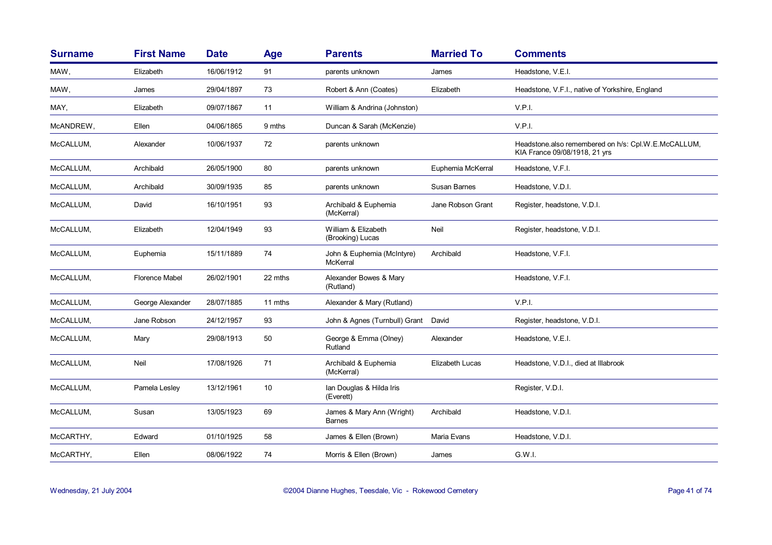| <b>Surname</b> | <b>First Name</b>     | <b>Date</b> | Age     | <b>Parents</b>                             | <b>Married To</b> | <b>Comments</b>                                                                      |
|----------------|-----------------------|-------------|---------|--------------------------------------------|-------------------|--------------------------------------------------------------------------------------|
| MAW,           | Elizabeth             | 16/06/1912  | 91      | parents unknown                            | James             | Headstone, V.E.I.                                                                    |
| MAW,           | James                 | 29/04/1897  | 73      | Robert & Ann (Coates)                      | Elizabeth         | Headstone, V.F.I., native of Yorkshire, England                                      |
| MAY,           | Elizabeth             | 09/07/1867  | 11      | William & Andrina (Johnston)               |                   | V.P.I.                                                                               |
| McANDREW,      | Ellen                 | 04/06/1865  | 9 mths  | Duncan & Sarah (McKenzie)                  |                   | V.P.I.                                                                               |
| McCALLUM,      | Alexander             | 10/06/1937  | 72      | parents unknown                            |                   | Headstone.also remembered on h/s: Cpl.W.E.McCALLUM,<br>KIA France 09/08/1918, 21 yrs |
| McCALLUM,      | Archibald             | 26/05/1900  | 80      | parents unknown                            | Euphemia McKerral | Headstone, V.F.I.                                                                    |
| McCALLUM,      | Archibald             | 30/09/1935  | 85      | parents unknown                            | Susan Barnes      | Headstone, V.D.I.                                                                    |
| McCALLUM,      | David                 | 16/10/1951  | 93      | Archibald & Euphemia<br>(McKerral)         | Jane Robson Grant | Register, headstone, V.D.I.                                                          |
| McCALLUM,      | Elizabeth             | 12/04/1949  | 93      | William & Elizabeth<br>(Brooking) Lucas    | Neil              | Register, headstone, V.D.I.                                                          |
| McCALLUM,      | Euphemia              | 15/11/1889  | 74      | John & Euphemia (McIntyre)<br>McKerral     | Archibald         | Headstone, V.F.I.                                                                    |
| McCALLUM,      | <b>Florence Mabel</b> | 26/02/1901  | 22 mths | Alexander Bowes & Mary<br>(Rutland)        |                   | Headstone, V.F.I.                                                                    |
| McCALLUM,      | George Alexander      | 28/07/1885  | 11 mths | Alexander & Mary (Rutland)                 |                   | V.P.I.                                                                               |
| McCALLUM,      | Jane Robson           | 24/12/1957  | 93      | John & Agnes (Turnbull) Grant              | David             | Register, headstone, V.D.I.                                                          |
| McCALLUM,      | Mary                  | 29/08/1913  | 50      | George & Emma (Olney)<br>Rutland           | Alexander         | Headstone, V.E.I.                                                                    |
| McCALLUM,      | Neil                  | 17/08/1926  | 71      | Archibald & Euphemia<br>(McKerral)         | Elizabeth Lucas   | Headstone, V.D.I., died at Illabrook                                                 |
| McCALLUM,      | Pamela Lesley         | 13/12/1961  | 10      | Ian Douglas & Hilda Iris<br>(Everett)      |                   | Register, V.D.I.                                                                     |
| McCALLUM,      | Susan                 | 13/05/1923  | 69      | James & Mary Ann (Wright)<br><b>Barnes</b> | Archibald         | Headstone, V.D.I.                                                                    |
| McCARTHY,      | Edward                | 01/10/1925  | 58      | James & Ellen (Brown)                      | Maria Evans       | Headstone, V.D.I.                                                                    |
| McCARTHY,      | Ellen                 | 08/06/1922  | 74      | Morris & Ellen (Brown)                     | James             | G.W.I.                                                                               |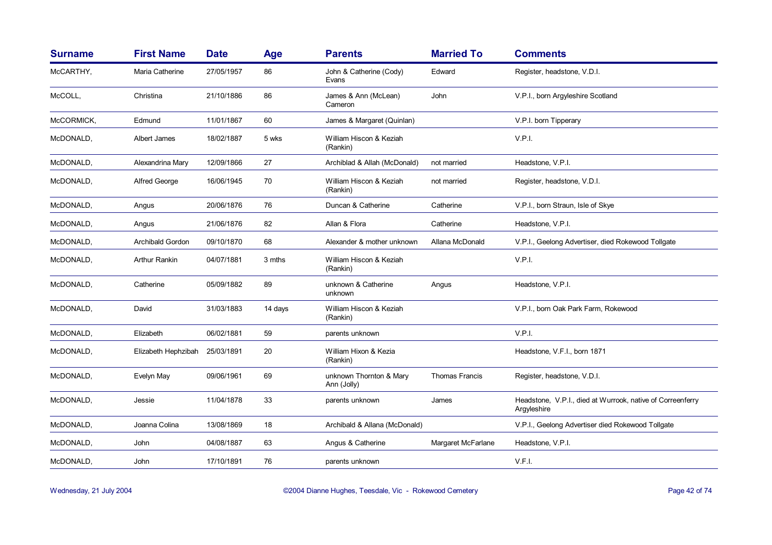| <b>Surname</b> | <b>First Name</b>       | <b>Date</b> | Age     | <b>Parents</b>                         | <b>Married To</b>     | <b>Comments</b>                                                           |
|----------------|-------------------------|-------------|---------|----------------------------------------|-----------------------|---------------------------------------------------------------------------|
| McCARTHY,      | Maria Catherine         | 27/05/1957  | 86      | John & Catherine (Cody)<br>Evans       | Edward                | Register, headstone, V.D.I.                                               |
| McCOLL,        | Christina               | 21/10/1886  | 86      | James & Ann (McLean)<br>Cameron        | John                  | V.P.I., born Argyleshire Scotland                                         |
| McCORMICK,     | Edmund                  | 11/01/1867  | 60      | James & Margaret (Quinlan)             |                       | V.P.I. born Tipperary                                                     |
| McDONALD,      | Albert James            | 18/02/1887  | 5 wks   | William Hiscon & Keziah<br>(Rankin)    |                       | V.P.I.                                                                    |
| McDONALD,      | Alexandrina Mary        | 12/09/1866  | 27      | Archiblad & Allah (McDonald)           | not married           | Headstone, V.P.I.                                                         |
| McDONALD,      | Alfred George           | 16/06/1945  | 70      | William Hiscon & Keziah<br>(Rankin)    | not married           | Register, headstone, V.D.I.                                               |
| McDONALD,      | Angus                   | 20/06/1876  | 76      | Duncan & Catherine                     | Catherine             | V.P.I., born Straun, Isle of Skye                                         |
| McDONALD,      | Angus                   | 21/06/1876  | 82      | Allan & Flora                          | Catherine             | Headstone, V.P.I.                                                         |
| McDONALD,      | <b>Archibald Gordon</b> | 09/10/1870  | 68      | Alexander & mother unknown             | Allana McDonald       | V.P.I., Geelong Advertiser, died Rokewood Tollgate                        |
| McDONALD,      | Arthur Rankin           | 04/07/1881  | 3 mths  | William Hiscon & Keziah<br>(Rankin)    |                       | V.P.I.                                                                    |
| McDONALD,      | Catherine               | 05/09/1882  | 89      | unknown & Catherine<br>unknown         | Angus                 | Headstone, V.P.I.                                                         |
| McDONALD,      | David                   | 31/03/1883  | 14 days | William Hiscon & Keziah<br>(Rankin)    |                       | V.P.I., born Oak Park Farm, Rokewood                                      |
| McDONALD,      | Elizabeth               | 06/02/1881  | 59      | parents unknown                        |                       | V.P.I.                                                                    |
| McDONALD,      | Elizabeth Hephzibah     | 25/03/1891  | 20      | William Hixon & Kezia<br>(Rankin)      |                       | Headstone, V.F.I., born 1871                                              |
| McDONALD,      | Evelyn May              | 09/06/1961  | 69      | unknown Thornton & Mary<br>Ann (Jolly) | <b>Thomas Francis</b> | Register, headstone, V.D.I.                                               |
| McDONALD,      | Jessie                  | 11/04/1878  | 33      | parents unknown                        | James                 | Headstone, V.P.I., died at Wurrook, native of Correenferry<br>Argyleshire |
| McDONALD,      | Joanna Colina           | 13/08/1869  | 18      | Archibald & Allana (McDonald)          |                       | V.P.I., Geelong Advertiser died Rokewood Tollgate                         |
| McDONALD,      | John                    | 04/08/1887  | 63      | Angus & Catherine                      | Margaret McFarlane    | Headstone, V.P.I.                                                         |
| McDONALD,      | John                    | 17/10/1891  | 76      | parents unknown                        |                       | V.F.I.                                                                    |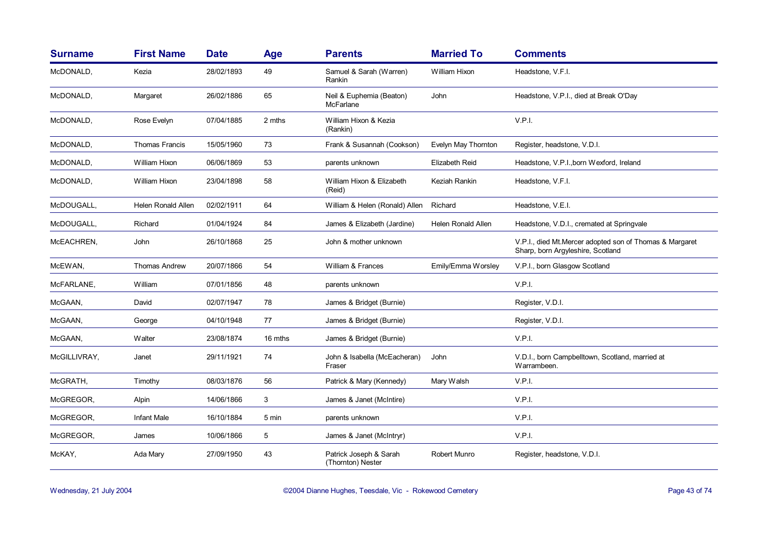| <b>Surname</b> | <b>First Name</b>     | <b>Date</b> | <b>Age</b> | <b>Parents</b>                              | <b>Married To</b>         | <b>Comments</b>                                                                              |
|----------------|-----------------------|-------------|------------|---------------------------------------------|---------------------------|----------------------------------------------------------------------------------------------|
| McDONALD,      | Kezia                 | 28/02/1893  | 49         | Samuel & Sarah (Warren)<br>Rankin           | William Hixon             | Headstone, V.F.I.                                                                            |
| McDONALD,      | Margaret              | 26/02/1886  | 65         | Neil & Euphemia (Beaton)<br>McFarlane       | <b>John</b>               | Headstone, V.P.I., died at Break O'Day                                                       |
| McDONALD,      | Rose Evelyn           | 07/04/1885  | 2 mths     | William Hixon & Kezia<br>(Rankin)           |                           | V.P.I.                                                                                       |
| McDONALD,      | <b>Thomas Francis</b> | 15/05/1960  | 73         | Frank & Susannah (Cookson)                  | Evelyn May Thornton       | Register, headstone, V.D.I.                                                                  |
| McDONALD,      | William Hixon         | 06/06/1869  | 53         | parents unknown                             | Elizabeth Reid            | Headstone, V.P.I., born Wexford, Ireland                                                     |
| McDONALD,      | William Hixon         | 23/04/1898  | 58         | William Hixon & Elizabeth<br>(Reid)         | Keziah Rankin             | Headstone, V.F.I.                                                                            |
| McDOUGALL,     | Helen Ronald Allen    | 02/02/1911  | 64         | William & Helen (Ronald) Allen              | Richard                   | Headstone, V.E.I.                                                                            |
| McDOUGALL,     | Richard               | 01/04/1924  | 84         | James & Elizabeth (Jardine)                 | <b>Helen Ronald Allen</b> | Headstone, V.D.I., cremated at Springvale                                                    |
| McEACHREN,     | John                  | 26/10/1868  | 25         | John & mother unknown                       |                           | V.P.I., died Mt.Mercer adopted son of Thomas & Margaret<br>Sharp, born Argyleshire, Scotland |
| McEWAN,        | <b>Thomas Andrew</b>  | 20/07/1866  | 54         | William & Frances                           | Emily/Emma Worsley        | V.P.I., born Glasgow Scotland                                                                |
| McFARLANE,     | William               | 07/01/1856  | 48         | parents unknown                             |                           | V.P.I.                                                                                       |
| McGAAN,        | David                 | 02/07/1947  | 78         | James & Bridget (Burnie)                    |                           | Register, V.D.I.                                                                             |
| McGAAN,        | George                | 04/10/1948  | 77         | James & Bridget (Burnie)                    |                           | Register, V.D.I.                                                                             |
| McGAAN,        | <b>Walter</b>         | 23/08/1874  | 16 mths    | James & Bridget (Burnie)                    |                           | V.P.I.                                                                                       |
| McGILLIVRAY,   | Janet                 | 29/11/1921  | 74         | John & Isabella (McEacheran)<br>Fraser      | John                      | V.D.I., born Campbelltown, Scotland, married at<br>Warrambeen.                               |
| McGRATH,       | Timothy               | 08/03/1876  | 56         | Patrick & Mary (Kennedy)                    | Mary Walsh                | V.P.I.                                                                                       |
| McGREGOR,      | Alpin                 | 14/06/1866  | 3          | James & Janet (McIntire)                    |                           | V.P.I.                                                                                       |
| McGREGOR,      | <b>Infant Male</b>    | 16/10/1884  | 5 min      | parents unknown                             |                           | V.P.I.                                                                                       |
| McGREGOR,      | James                 | 10/06/1866  | 5          | James & Janet (McIntryr)                    |                           | V.P.I.                                                                                       |
| McKAY,         | Ada Mary              | 27/09/1950  | 43         | Patrick Joseph & Sarah<br>(Thornton) Nester | Robert Munro              | Register, headstone, V.D.I.                                                                  |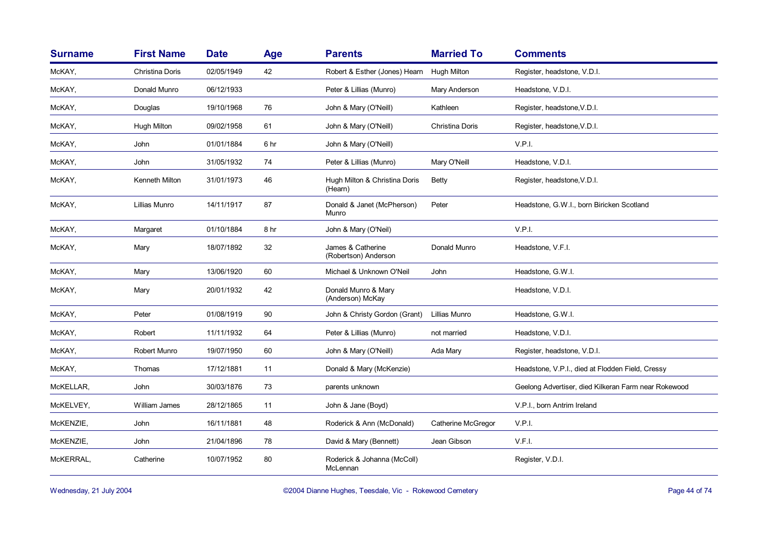| <b>Surname</b> | <b>First Name</b>      | <b>Date</b> | <b>Age</b> | <b>Parents</b>                            | <b>Married To</b>         | <b>Comments</b>                                      |
|----------------|------------------------|-------------|------------|-------------------------------------------|---------------------------|------------------------------------------------------|
| McKAY,         | <b>Christina Doris</b> | 02/05/1949  | 42         | Robert & Esther (Jones) Hearn             | <b>Hugh Milton</b>        | Register, headstone, V.D.I.                          |
| McKAY,         | Donald Munro           | 06/12/1933  |            | Peter & Lillias (Munro)                   | Mary Anderson             | Headstone, V.D.I.                                    |
| McKAY,         | Douglas                | 19/10/1968  | 76         | John & Mary (O'Neill)                     | Kathleen                  | Register, headstone, V.D.I.                          |
| McKAY,         | Hugh Milton            | 09/02/1958  | 61         | John & Mary (O'Neill)                     | <b>Christina Doris</b>    | Register, headstone, V.D.I.                          |
| McKAY,         | John                   | 01/01/1884  | 6 hr       | John & Mary (O'Neill)                     |                           | V.P.I.                                               |
| McKAY,         | John                   | 31/05/1932  | 74         | Peter & Lillias (Munro)                   | Mary O'Neill              | Headstone, V.D.I.                                    |
| McKAY,         | Kenneth Milton         | 31/01/1973  | 46         | Hugh Milton & Christina Doris<br>(Hearn)  | Betty                     | Register, headstone, V.D.I.                          |
| McKAY,         | Lillias Munro          | 14/11/1917  | 87         | Donald & Janet (McPherson)<br>Munro       | Peter                     | Headstone, G.W.I., born Biricken Scotland            |
| McKAY,         | Margaret               | 01/10/1884  | 8 hr       | John & Mary (O'Neil)                      |                           | V.P.I.                                               |
| McKAY,         | Mary                   | 18/07/1892  | 32         | James & Catherine<br>(Robertson) Anderson | Donald Munro              | Headstone, V.F.I.                                    |
| McKAY,         | Mary                   | 13/06/1920  | 60         | Michael & Unknown O'Neil                  | John                      | Headstone, G.W.I.                                    |
| McKAY,         | Mary                   | 20/01/1932  | 42         | Donald Munro & Mary<br>(Anderson) McKay   |                           | Headstone, V.D.I.                                    |
| McKAY,         | Peter                  | 01/08/1919  | 90         | John & Christy Gordon (Grant)             | Lillias Munro             | Headstone, G.W.I.                                    |
| McKAY,         | Robert                 | 11/11/1932  | 64         | Peter & Lillias (Munro)                   | not married               | Headstone, V.D.I.                                    |
| McKAY,         | <b>Robert Munro</b>    | 19/07/1950  | 60         | John & Mary (O'Neill)                     | Ada Mary                  | Register, headstone, V.D.I.                          |
| McKAY,         | Thomas                 | 17/12/1881  | 11         | Donald & Mary (McKenzie)                  |                           | Headstone, V.P.I., died at Flodden Field, Cressy     |
| McKELLAR,      | John                   | 30/03/1876  | 73         | parents unknown                           |                           | Geelong Advertiser, died Kilkeran Farm near Rokewood |
| McKELVEY,      | William James          | 28/12/1865  | 11         | John & Jane (Boyd)                        |                           | V.P.I., born Antrim Ireland                          |
| McKENZIE,      | John                   | 16/11/1881  | 48         | Roderick & Ann (McDonald)                 | <b>Catherine McGregor</b> | V.P.I.                                               |
| McKENZIE,      | John                   | 21/04/1896  | 78         | David & Mary (Bennett)                    | Jean Gibson               | V.F.I.                                               |
| McKERRAL,      | Catherine              | 10/07/1952  | 80         | Roderick & Johanna (McColl)<br>McLennan   |                           | Register, V.D.I.                                     |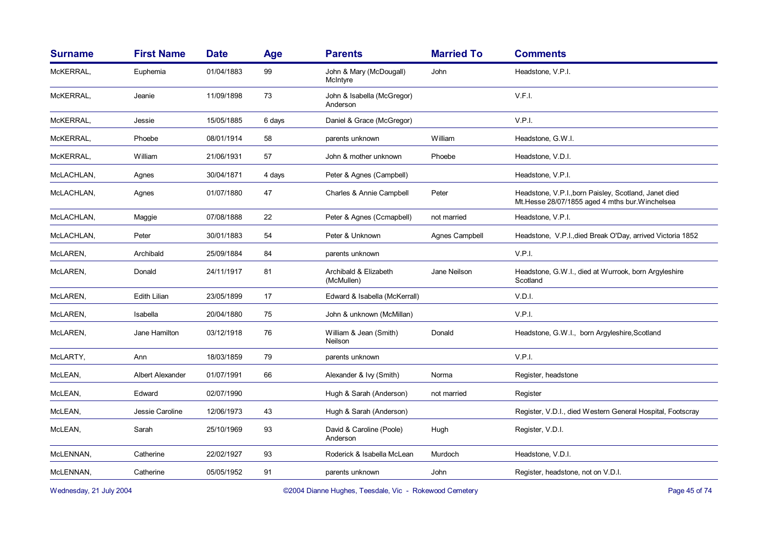| <b>Surname</b> | <b>First Name</b>       | <b>Date</b> | Age    | <b>Parents</b>                         | <b>Married To</b> | <b>Comments</b>                                                                                           |
|----------------|-------------------------|-------------|--------|----------------------------------------|-------------------|-----------------------------------------------------------------------------------------------------------|
| McKERRAL,      | Euphemia                | 01/04/1883  | 99     | John & Mary (McDougall)<br>McIntyre    | John              | Headstone, V.P.I.                                                                                         |
| McKERRAL,      | Jeanie                  | 11/09/1898  | 73     | John & Isabella (McGregor)<br>Anderson |                   | V.F.I.                                                                                                    |
| McKERRAL,      | Jessie                  | 15/05/1885  | 6 days | Daniel & Grace (McGregor)              |                   | V.P.I.                                                                                                    |
| McKERRAL,      | Phoebe                  | 08/01/1914  | 58     | parents unknown                        | William           | Headstone, G.W.I.                                                                                         |
| McKERRAL,      | William                 | 21/06/1931  | 57     | John & mother unknown                  | Phoebe            | Headstone, V.D.I.                                                                                         |
| McLACHLAN,     | Agnes                   | 30/04/1871  | 4 days | Peter & Agnes (Campbell)               |                   | Headstone, V.P.I.                                                                                         |
| MCLACHLAN,     | Agnes                   | 01/07/1880  | 47     | Charles & Annie Campbell               | Peter             | Headstone, V.P.I., born Paisley, Scotland, Janet died<br>Mt. Hesse 28/07/1855 aged 4 mths bur. Winchelsea |
| McLACHLAN,     | Maggie                  | 07/08/1888  | 22     | Peter & Agnes (Ccmapbell)              | not married       | Headstone, V.P.I.                                                                                         |
| McLACHLAN,     | Peter                   | 30/01/1883  | 54     | Peter & Unknown                        | Agnes Campbell    | Headstone, V.P.I., died Break O'Day, arrived Victoria 1852                                                |
| McLAREN,       | Archibald               | 25/09/1884  | 84     | parents unknown                        |                   | V.P.I.                                                                                                    |
| McLAREN,       | Donald                  | 24/11/1917  | 81     | Archibald & Elizabeth<br>(McMullen)    | Jane Neilson      | Headstone, G.W.I., died at Wurrook, born Argyleshire<br>Scotland                                          |
| McLAREN,       | <b>Edith Lilian</b>     | 23/05/1899  | 17     | Edward & Isabella (McKerrall)          |                   | V.D.I.                                                                                                    |
| McLAREN,       | Isabella                | 20/04/1880  | 75     | John & unknown (McMillan)              |                   | V.P.I.                                                                                                    |
| McLAREN,       | Jane Hamilton           | 03/12/1918  | 76     | William & Jean (Smith)<br>Neilson      | Donald            | Headstone, G.W.I., born Argyleshire, Scotland                                                             |
| McLARTY,       | Ann                     | 18/03/1859  | 79     | parents unknown                        |                   | V.P.I.                                                                                                    |
| McLEAN,        | <b>Albert Alexander</b> | 01/07/1991  | 66     | Alexander & Ivy (Smith)                | Norma             | Register, headstone                                                                                       |
| McLEAN,        | Edward                  | 02/07/1990  |        | Hugh & Sarah (Anderson)                | not married       | Register                                                                                                  |
| McLEAN,        | Jessie Caroline         | 12/06/1973  | 43     | Hugh & Sarah (Anderson)                |                   | Register, V.D.I., died Western General Hospital, Footscray                                                |
| McLEAN,        | Sarah                   | 25/10/1969  | 93     | David & Caroline (Poole)<br>Anderson   | Hugh              | Register, V.D.I.                                                                                          |
| McLENNAN,      | Catherine               | 22/02/1927  | 93     | Roderick & Isabella McLean             | Murdoch           | Headstone, V.D.I.                                                                                         |
| McLENNAN,      | Catherine               | 05/05/1952  | 91     | parents unknown                        | John              | Register, headstone, not on V.D.I.                                                                        |
|                |                         |             |        |                                        |                   |                                                                                                           |

Wednesday, 21 July 2004 **Dianne Hughes, Teesdale, Vic - Rokewood Cemetery** Page 45 of 74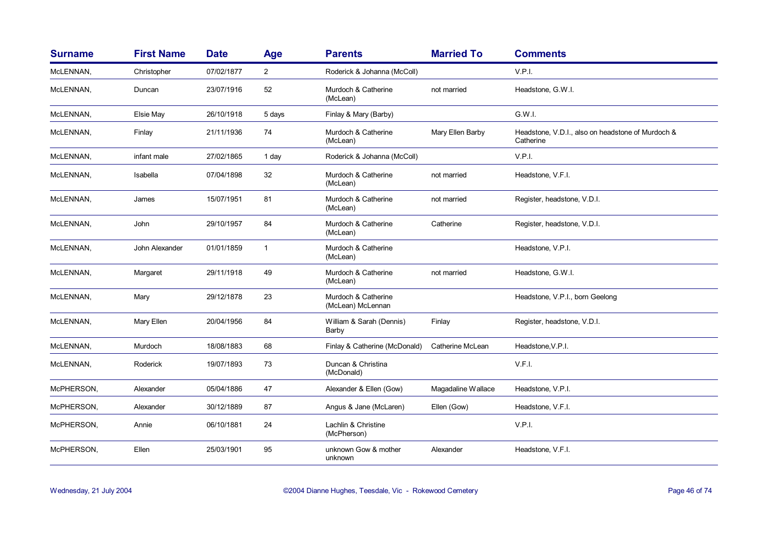| <b>Surname</b> | <b>First Name</b> | <b>Date</b> | <b>Age</b>     | <b>Parents</b>                           | <b>Married To</b>  | <b>Comments</b>                                                |
|----------------|-------------------|-------------|----------------|------------------------------------------|--------------------|----------------------------------------------------------------|
| McLENNAN,      | Christopher       | 07/02/1877  | $\overline{2}$ | Roderick & Johanna (McColl)              |                    | V.P.I.                                                         |
| McLENNAN,      | Duncan            | 23/07/1916  | 52             | Murdoch & Catherine<br>(McLean)          | not married        | Headstone, G.W.I.                                              |
| McLENNAN,      | <b>Elsie May</b>  | 26/10/1918  | 5 days         | Finlay & Mary (Barby)                    |                    | G.W.I.                                                         |
| McLENNAN,      | Finlay            | 21/11/1936  | 74             | Murdoch & Catherine<br>(McLean)          | Mary Ellen Barby   | Headstone, V.D.I., also on headstone of Murdoch &<br>Catherine |
| McLENNAN,      | infant male       | 27/02/1865  | 1 day          | Roderick & Johanna (McColl)              |                    | V.P.I.                                                         |
| McLENNAN,      | Isabella          | 07/04/1898  | 32             | Murdoch & Catherine<br>(McLean)          | not married        | Headstone, V.F.I.                                              |
| McLENNAN,      | James             | 15/07/1951  | 81             | Murdoch & Catherine<br>(McLean)          | not married        | Register, headstone, V.D.I.                                    |
| McLENNAN,      | John              | 29/10/1957  | 84             | Murdoch & Catherine<br>(McLean)          | Catherine          | Register, headstone, V.D.I.                                    |
| McLENNAN,      | John Alexander    | 01/01/1859  | $\mathbf{1}$   | Murdoch & Catherine<br>(McLean)          |                    | Headstone, V.P.I.                                              |
| McLENNAN,      | Margaret          | 29/11/1918  | 49             | Murdoch & Catherine<br>(McLean)          | not married        | Headstone, G.W.I.                                              |
| McLENNAN,      | Mary              | 29/12/1878  | 23             | Murdoch & Catherine<br>(McLean) McLennan |                    | Headstone, V.P.I., born Geelong                                |
| McLENNAN,      | Mary Ellen        | 20/04/1956  | 84             | William & Sarah (Dennis)<br>Barby        | Finlay             | Register, headstone, V.D.I.                                    |
| McLENNAN,      | Murdoch           | 18/08/1883  | 68             | Finlay & Catherine (McDonald)            | Catherine McLean   | Headstone, V.P.I.                                              |
| McLENNAN,      | Roderick          | 19/07/1893  | 73             | Duncan & Christina<br>(McDonald)         |                    | V.F.I.                                                         |
| McPHERSON,     | Alexander         | 05/04/1886  | 47             | Alexander & Ellen (Gow)                  | Magadaline Wallace | Headstone, V.P.I.                                              |
| McPHERSON,     | Alexander         | 30/12/1889  | 87             | Angus & Jane (McLaren)                   | Ellen (Gow)        | Headstone, V.F.I.                                              |
| McPHERSON,     | Annie             | 06/10/1881  | 24             | Lachlin & Christine<br>(McPherson)       |                    | V.P.I.                                                         |
| McPHERSON,     | Ellen             | 25/03/1901  | 95             | unknown Gow & mother<br>unknown          | Alexander          | Headstone, V.F.I.                                              |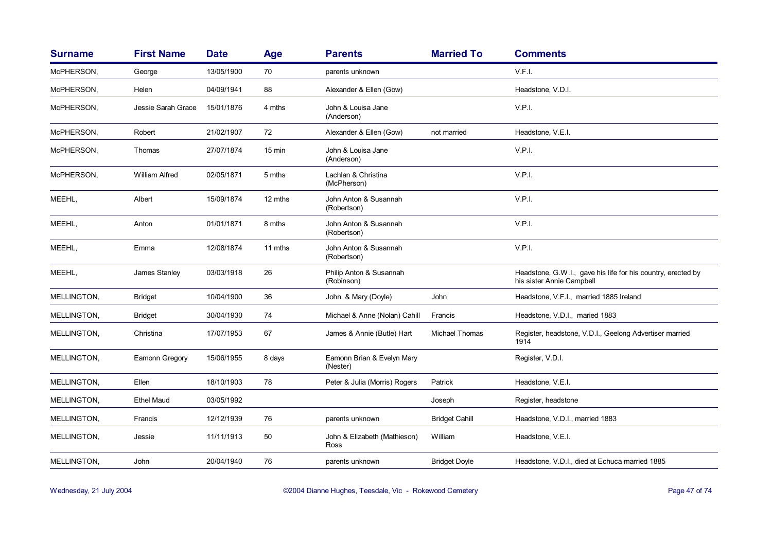| <b>Surname</b> | <b>First Name</b>     | <b>Date</b> | Age     | <b>Parents</b>                              | <b>Married To</b>     | <b>Comments</b>                                                                           |
|----------------|-----------------------|-------------|---------|---------------------------------------------|-----------------------|-------------------------------------------------------------------------------------------|
| McPHERSON,     | George                | 13/05/1900  | 70      | parents unknown                             |                       | V.F.I.                                                                                    |
| McPHERSON,     | Helen                 | 04/09/1941  | 88      | Alexander & Ellen (Gow)                     |                       | Headstone, V.D.I.                                                                         |
| McPHERSON,     | Jessie Sarah Grace    | 15/01/1876  | 4 mths  | John & Louisa Jane<br>(Anderson)            |                       | V.P.I.                                                                                    |
| McPHERSON,     | Robert                | 21/02/1907  | 72      | Alexander & Ellen (Gow)                     | not married           | Headstone, V.E.I.                                                                         |
| McPHERSON,     | Thomas                | 27/07/1874  | 15 min  | John & Louisa Jane<br>(Anderson)            |                       | V.P.I.                                                                                    |
| McPHERSON,     | <b>William Alfred</b> | 02/05/1871  | 5 mths  | Lachlan & Christina<br>(McPherson)          |                       | V.P.I.                                                                                    |
| MEEHL,         | Albert                | 15/09/1874  | 12 mths | John Anton & Susannah<br>(Robertson)        |                       | V.P.I.                                                                                    |
| MEEHL,         | Anton                 | 01/01/1871  | 8 mths  | John Anton & Susannah<br>(Robertson)        |                       | V.P.I.                                                                                    |
| MEEHL,         | Emma                  | 12/08/1874  | 11 mths | John Anton & Susannah<br>(Robertson)        |                       | V.P.I.                                                                                    |
| MEEHL,         | James Stanley         | 03/03/1918  | 26      | Philip Anton & Susannah<br>(Robinson)       |                       | Headstone, G.W.I., gave his life for his country, erected by<br>his sister Annie Campbell |
| MELLINGTON,    | <b>Bridget</b>        | 10/04/1900  | 36      | John & Mary (Doyle)                         | John                  | Headstone, V.F.I., married 1885 Ireland                                                   |
| MELLINGTON,    | <b>Bridget</b>        | 30/04/1930  | 74      | Michael & Anne (Nolan) Cahill               | Francis               | Headstone, V.D.I., maried 1883                                                            |
| MELLINGTON,    | Christina             | 17/07/1953  | 67      | James & Annie (Butle) Hart                  | Michael Thomas        | Register, headstone, V.D.I., Geelong Advertiser married<br>1914                           |
| MELLINGTON,    | Eamonn Gregory        | 15/06/1955  | 8 days  | Eamonn Brian & Evelyn Mary<br>(Nester)      |                       | Register, V.D.I.                                                                          |
| MELLINGTON,    | Ellen                 | 18/10/1903  | 78      | Peter & Julia (Morris) Rogers               | Patrick               | Headstone, V.E.I.                                                                         |
| MELLINGTON,    | <b>Ethel Maud</b>     | 03/05/1992  |         |                                             | Joseph                | Register, headstone                                                                       |
| MELLINGTON,    | Francis               | 12/12/1939  | 76      | parents unknown                             | <b>Bridget Cahill</b> | Headstone, V.D.I., married 1883                                                           |
| MELLINGTON,    | Jessie                | 11/11/1913  | 50      | John & Elizabeth (Mathieson)<br><b>Ross</b> | William               | Headstone, V.E.I.                                                                         |
| MELLINGTON,    | John                  | 20/04/1940  | 76      | parents unknown                             | <b>Bridget Doyle</b>  | Headstone, V.D.I., died at Echuca married 1885                                            |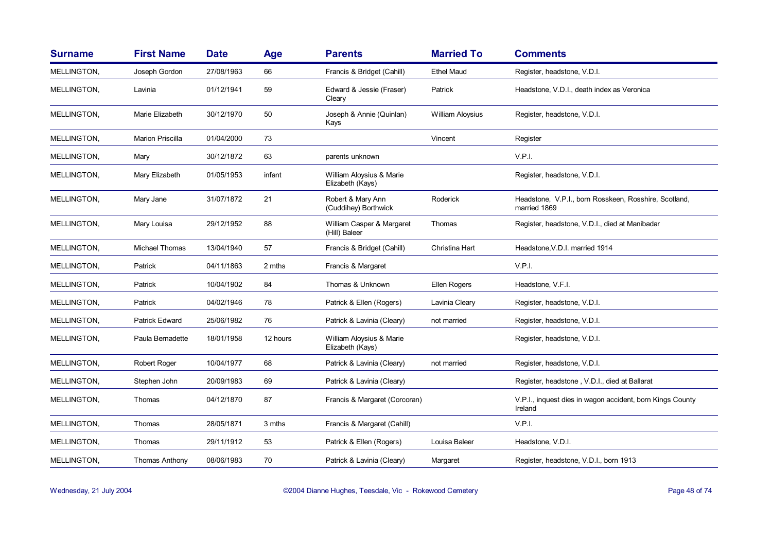| <b>Surname</b> | <b>First Name</b>       | <b>Date</b> | <b>Age</b> | <b>Parents</b>                               | <b>Married To</b> | <b>Comments</b>                                                       |
|----------------|-------------------------|-------------|------------|----------------------------------------------|-------------------|-----------------------------------------------------------------------|
| MELLINGTON,    | Joseph Gordon           | 27/08/1963  | 66         | Francis & Bridget (Cahill)                   | <b>Ethel Maud</b> | Register, headstone, V.D.I.                                           |
| MELLINGTON,    | Lavinia                 | 01/12/1941  | 59         | Edward & Jessie (Fraser)<br>Cleary           | Patrick           | Headstone, V.D.I., death index as Veronica                            |
| MELLINGTON,    | Marie Elizabeth         | 30/12/1970  | 50         | Joseph & Annie (Quinlan)<br>Kays             | William Aloysius  | Register, headstone, V.D.I.                                           |
| MELLINGTON,    | <b>Marion Priscilla</b> | 01/04/2000  | 73         |                                              | Vincent           | Register                                                              |
| MELLINGTON,    | Mary                    | 30/12/1872  | 63         | parents unknown                              |                   | V.P.I.                                                                |
| MELLINGTON,    | Mary Elizabeth          | 01/05/1953  | infant     | William Aloysius & Marie<br>Elizabeth (Kays) |                   | Register, headstone, V.D.I.                                           |
| MELLINGTON,    | Mary Jane               | 31/07/1872  | 21         | Robert & Mary Ann<br>(Cuddihey) Borthwick    | Roderick          | Headstone, V.P.I., born Rosskeen, Rosshire, Scotland,<br>married 1869 |
| MELLINGTON,    | Mary Louisa             | 29/12/1952  | 88         | William Casper & Margaret<br>(Hill) Baleer   | Thomas            | Register, headstone, V.D.I., died at Manibadar                        |
| MELLINGTON,    | Michael Thomas          | 13/04/1940  | 57         | Francis & Bridget (Cahill)                   | Christina Hart    | Headstone, V.D.I. married 1914                                        |
| MELLINGTON,    | Patrick                 | 04/11/1863  | 2 mths     | Francis & Margaret                           |                   | V.P.I.                                                                |
| MELLINGTON,    | Patrick                 | 10/04/1902  | 84         | Thomas & Unknown                             | Ellen Rogers      | Headstone, V.F.I.                                                     |
| MELLINGTON,    | Patrick                 | 04/02/1946  | 78         | Patrick & Ellen (Rogers)                     | Lavinia Cleary    | Register, headstone, V.D.I.                                           |
| MELLINGTON,    | <b>Patrick Edward</b>   | 25/06/1982  | 76         | Patrick & Lavinia (Cleary)                   | not married       | Register, headstone, V.D.I.                                           |
| MELLINGTON,    | Paula Bernadette        | 18/01/1958  | 12 hours   | William Aloysius & Marie<br>Elizabeth (Kays) |                   | Register, headstone, V.D.I.                                           |
| MELLINGTON,    | Robert Roger            | 10/04/1977  | 68         | Patrick & Lavinia (Cleary)                   | not married       | Register, headstone, V.D.I.                                           |
| MELLINGTON,    | Stephen John            | 20/09/1983  | 69         | Patrick & Lavinia (Cleary)                   |                   | Register, headstone, V.D.I., died at Ballarat                         |
| MELLINGTON,    | Thomas                  | 04/12/1870  | 87         | Francis & Margaret (Corcoran)                |                   | V.P.I., inquest dies in wagon accident, born Kings County<br>Ireland  |
| MELLINGTON,    | Thomas                  | 28/05/1871  | 3 mths     | Francis & Margaret (Cahill)                  |                   | V.P.I.                                                                |
| MELLINGTON,    | Thomas                  | 29/11/1912  | 53         | Patrick & Ellen (Rogers)                     | Louisa Baleer     | Headstone, V.D.I.                                                     |
| MELLINGTON,    | Thomas Anthony          | 08/06/1983  | 70         | Patrick & Lavinia (Cleary)                   | Margaret          | Register, headstone, V.D.I., born 1913                                |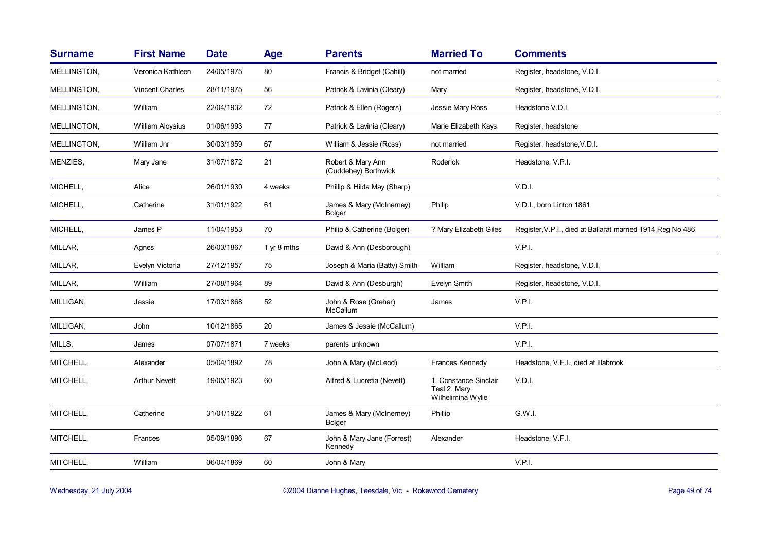| <b>Surname</b> | <b>First Name</b>      | <b>Date</b> | Age         | <b>Parents</b>                            | <b>Married To</b>                                          | <b>Comments</b>                                            |
|----------------|------------------------|-------------|-------------|-------------------------------------------|------------------------------------------------------------|------------------------------------------------------------|
| MELLINGTON,    | Veronica Kathleen      | 24/05/1975  | 80          | Francis & Bridget (Cahill)                | not married                                                | Register, headstone, V.D.I.                                |
| MELLINGTON,    | <b>Vincent Charles</b> | 28/11/1975  | 56          | Patrick & Lavinia (Cleary)                | Mary                                                       | Register, headstone, V.D.I.                                |
| MELLINGTON,    | William                | 22/04/1932  | 72          | Patrick & Ellen (Rogers)                  | Jessie Mary Ross                                           | Headstone, V.D.I.                                          |
| MELLINGTON,    | William Aloysius       | 01/06/1993  | 77          | Patrick & Lavinia (Cleary)                | Marie Elizabeth Kays                                       | Register, headstone                                        |
| MELLINGTON,    | William Jnr            | 30/03/1959  | 67          | William & Jessie (Ross)                   | not married                                                | Register, headstone, V.D.I.                                |
| MENZIES,       | Mary Jane              | 31/07/1872  | 21          | Robert & Mary Ann<br>(Cuddehey) Borthwick | Roderick                                                   | Headstone, V.P.I.                                          |
| MICHELL,       | Alice                  | 26/01/1930  | 4 weeks     | Phillip & Hilda May (Sharp)               |                                                            | V.D.I.                                                     |
| MICHELL,       | Catherine              | 31/01/1922  | 61          | James & Mary (McInerney)<br><b>Bolger</b> | Philip                                                     | V.D.I., born Linton 1861                                   |
| MICHELL,       | James P                | 11/04/1953  | 70          | Philip & Catherine (Bolger)               | ? Mary Elizabeth Giles                                     | Register, V.P.I., died at Ballarat married 1914 Reg No 486 |
| MILLAR,        | Agnes                  | 26/03/1867  | 1 yr 8 mths | David & Ann (Desborough)                  |                                                            | V.P.I.                                                     |
| MILLAR,        | Evelyn Victoria        | 27/12/1957  | 75          | Joseph & Maria (Batty) Smith              | William                                                    | Register, headstone, V.D.I.                                |
| MILLAR,        | William                | 27/08/1964  | 89          | David & Ann (Desburgh)                    | Evelyn Smith                                               | Register, headstone, V.D.I.                                |
| MILLIGAN,      | Jessie                 | 17/03/1868  | 52          | John & Rose (Grehar)<br>McCallum          | James                                                      | V.P.I.                                                     |
| MILLIGAN,      | <b>John</b>            | 10/12/1865  | 20          | James & Jessie (McCallum)                 |                                                            | V.P.I.                                                     |
| MILLS,         | James                  | 07/07/1871  | 7 weeks     | parents unknown                           |                                                            | V.P.I.                                                     |
| MITCHELL,      | Alexander              | 05/04/1892  | 78          | John & Mary (McLeod)                      | Frances Kennedy                                            | Headstone, V.F.I., died at Illabrook                       |
| MITCHELL,      | <b>Arthur Nevett</b>   | 19/05/1923  | 60          | Alfred & Lucretia (Nevett)                | 1. Constance Sinclair<br>Teal 2. Mary<br>Wilhelimina Wylie | V.D.I.                                                     |
| MITCHELL,      | Catherine              | 31/01/1922  | 61          | James & Mary (McInerney)<br><b>Bolger</b> | Phillip                                                    | G.W.I.                                                     |
| MITCHELL,      | Frances                | 05/09/1896  | 67          | John & Mary Jane (Forrest)<br>Kennedy     | Alexander                                                  | Headstone, V.F.I.                                          |
| MITCHELL,      | William                | 06/04/1869  | 60          | John & Mary                               |                                                            | V.P.I.                                                     |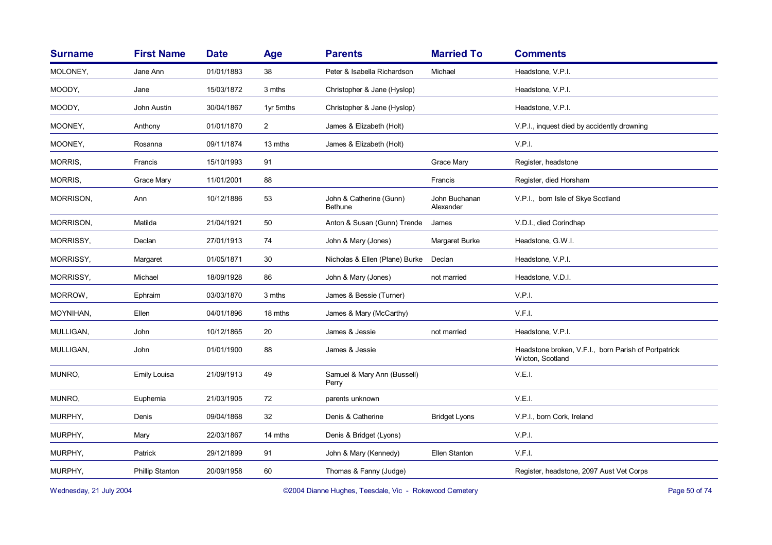| <b>Surname</b> | <b>First Name</b>   | <b>Date</b> | Age            | <b>Parents</b>                            | <b>Married To</b>          | <b>Comments</b>                                                          |
|----------------|---------------------|-------------|----------------|-------------------------------------------|----------------------------|--------------------------------------------------------------------------|
| MOLONEY,       | Jane Ann            | 01/01/1883  | 38             | Peter & Isabella Richardson               | Michael                    | Headstone, V.P.I.                                                        |
| MOODY,         | Jane                | 15/03/1872  | 3 mths         | Christopher & Jane (Hyslop)               |                            | Headstone, V.P.I.                                                        |
| MOODY,         | John Austin         | 30/04/1867  | 1yr 5mths      | Christopher & Jane (Hyslop)               |                            | Headstone, V.P.I.                                                        |
| MOONEY,        | Anthony             | 01/01/1870  | $\overline{2}$ | James & Elizabeth (Holt)                  |                            | V.P.I., inquest died by accidently drowning                              |
| MOONEY,        | Rosanna             | 09/11/1874  | 13 mths        | James & Elizabeth (Holt)                  |                            | V.P.I.                                                                   |
| MORRIS,        | Francis             | 15/10/1993  | 91             |                                           | <b>Grace Mary</b>          | Register, headstone                                                      |
| MORRIS,        | <b>Grace Mary</b>   | 11/01/2001  | 88             |                                           | Francis                    | Register, died Horsham                                                   |
| MORRISON,      | Ann                 | 10/12/1886  | 53             | John & Catherine (Gunn)<br><b>Bethune</b> | John Buchanan<br>Alexander | V.P.I., born Isle of Skye Scotland                                       |
| MORRISON,      | Matilda             | 21/04/1921  | 50             | Anton & Susan (Gunn) Trende               | James                      | V.D.I., died Corindhap                                                   |
| MORRISSY,      | Declan              | 27/01/1913  | 74             | John & Mary (Jones)                       | Margaret Burke             | Headstone, G.W.I.                                                        |
| MORRISSY,      | Margaret            | 01/05/1871  | 30             | Nicholas & Ellen (Plane) Burke            | Declan                     | Headstone, V.P.I.                                                        |
| MORRISSY,      | Michael             | 18/09/1928  | 86             | John & Mary (Jones)                       | not married                | Headstone, V.D.I.                                                        |
| MORROW,        | Ephraim             | 03/03/1870  | 3 mths         | James & Bessie (Turner)                   |                            | V.P.I.                                                                   |
| MOYNIHAN,      | Ellen               | 04/01/1896  | 18 mths        | James & Mary (McCarthy)                   |                            | V.F.I.                                                                   |
| MULLIGAN,      | John                | 10/12/1865  | 20             | James & Jessie                            | not married                | Headstone, V.P.I.                                                        |
| MULLIGAN,      | John                | 01/01/1900  | 88             | James & Jessie                            |                            | Headstone broken, V.F.I., born Parish of Portpatrick<br>Wicton, Scotland |
| MUNRO,         | <b>Emily Louisa</b> | 21/09/1913  | 49             | Samuel & Mary Ann (Bussell)<br>Perry      |                            | V.E.I.                                                                   |
| MUNRO,         | Euphemia            | 21/03/1905  | 72             | parents unknown                           |                            | V.E.I.                                                                   |
| MURPHY,        | Denis               | 09/04/1868  | 32             | Denis & Catherine                         | <b>Bridget Lyons</b>       | V.P.I., born Cork, Ireland                                               |
| MURPHY,        | Mary                | 22/03/1867  | 14 mths        | Denis & Bridget (Lyons)                   |                            | V.P.I.                                                                   |
| MURPHY,        | Patrick             | 29/12/1899  | 91             | John & Mary (Kennedy)                     | Ellen Stanton              | V.F.I.                                                                   |
| MURPHY,        | Phillip Stanton     | 20/09/1958  | 60             | Thomas & Fanny (Judge)                    |                            | Register, headstone, 2097 Aust Vet Corps                                 |
|                |                     |             |                |                                           |                            |                                                                          |

Wednesday, 21 July 2004 **Dianne Hughes, Teesdale, Vic - Rokewood Cemetery** Page 50 of 74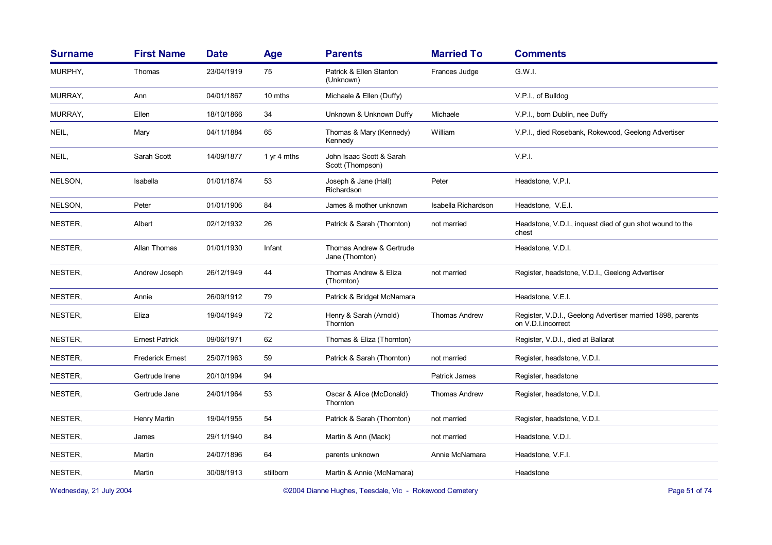| <b>Surname</b> | <b>First Name</b>       | <b>Date</b> | Age         | <b>Parents</b>                               | <b>Married To</b>    | <b>Comments</b>                                                                  |
|----------------|-------------------------|-------------|-------------|----------------------------------------------|----------------------|----------------------------------------------------------------------------------|
| MURPHY,        | Thomas                  | 23/04/1919  | 75          | Patrick & Ellen Stanton<br>(Unknown)         | Frances Judge        | G.W.I.                                                                           |
| MURRAY,        | Ann                     | 04/01/1867  | 10 mths     | Michaele & Ellen (Duffy)                     |                      | V.P.I., of Bulldog                                                               |
| MURRAY,        | Ellen                   | 18/10/1866  | 34          | Unknown & Unknown Duffy                      | Michaele             | V.P.I., born Dublin, nee Duffy                                                   |
| NEIL,          | Mary                    | 04/11/1884  | 65          | Thomas & Mary (Kennedy)<br>Kennedy           | William              | V.P.I., died Rosebank, Rokewood, Geelong Advertiser                              |
| NEIL,          | Sarah Scott             | 14/09/1877  | 1 yr 4 mths | John Isaac Scott & Sarah<br>Scott (Thompson) |                      | V.P.I.                                                                           |
| NELSON,        | Isabella                | 01/01/1874  | 53          | Joseph & Jane (Hall)<br>Richardson           | Peter                | Headstone, V.P.I.                                                                |
| NELSON,        | Peter                   | 01/01/1906  | 84          | James & mother unknown                       | Isabella Richardson  | Headstone, V.E.I.                                                                |
| NESTER,        | Albert                  | 02/12/1932  | 26          | Patrick & Sarah (Thornton)                   | not married          | Headstone, V.D.I., inquest died of gun shot wound to the<br>chest                |
| NESTER,        | Allan Thomas            | 01/01/1930  | Infant      | Thomas Andrew & Gertrude<br>Jane (Thornton)  |                      | Headstone, V.D.I.                                                                |
| NESTER,        | Andrew Joseph           | 26/12/1949  | 44          | Thomas Andrew & Eliza<br>(Thornton)          | not married          | Register, headstone, V.D.I., Geelong Advertiser                                  |
| NESTER,        | Annie                   | 26/09/1912  | 79          | Patrick & Bridget McNamara                   |                      | Headstone, V.E.I.                                                                |
| NESTER,        | Eliza                   | 19/04/1949  | 72          | Henry & Sarah (Arnold)<br>Thornton           | <b>Thomas Andrew</b> | Register, V.D.I., Geelong Advertiser married 1898, parents<br>on V.D.I.incorrect |
| NESTER,        | <b>Ernest Patrick</b>   | 09/06/1971  | 62          | Thomas & Eliza (Thornton)                    |                      | Register, V.D.I., died at Ballarat                                               |
| NESTER,        | <b>Frederick Ernest</b> | 25/07/1963  | 59          | Patrick & Sarah (Thornton)                   | not married          | Register, headstone, V.D.I.                                                      |
| NESTER,        | Gertrude Irene          | 20/10/1994  | 94          |                                              | Patrick James        | Register, headstone                                                              |
| NESTER,        | Gertrude Jane           | 24/01/1964  | 53          | Oscar & Alice (McDonald)<br>Thornton         | <b>Thomas Andrew</b> | Register, headstone, V.D.I.                                                      |
| NESTER,        | Henry Martin            | 19/04/1955  | 54          | Patrick & Sarah (Thornton)                   | not married          | Register, headstone, V.D.I.                                                      |
| NESTER,        | James                   | 29/11/1940  | 84          | Martin & Ann (Mack)                          | not married          | Headstone, V.D.I.                                                                |
| NESTER,        | Martin                  | 24/07/1896  | 64          | parents unknown                              | Annie McNamara       | Headstone, V.F.I.                                                                |
| NESTER,        | Martin                  | 30/08/1913  | stillborn   | Martin & Annie (McNamara)                    |                      | Headstone                                                                        |
|                |                         |             |             |                                              |                      |                                                                                  |

Wednesday, 21 July 2004 **Dianne Hughes, Teesdale, Vic - Rokewood Cemetery** Page 51 of 74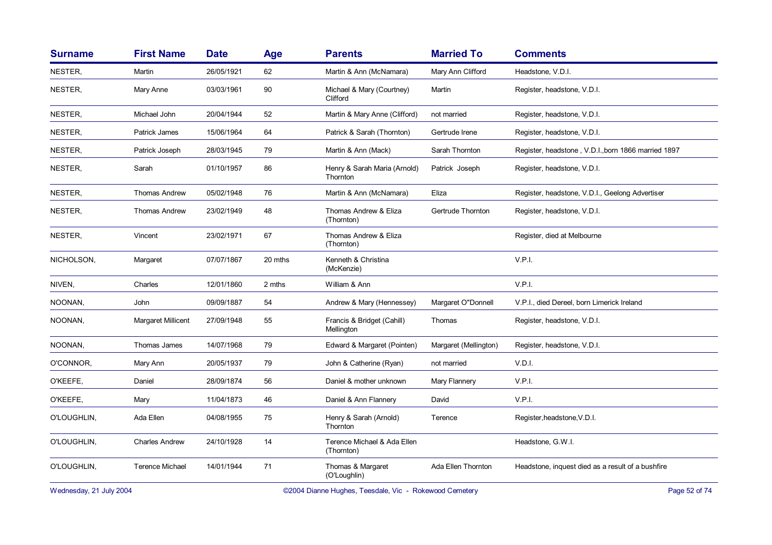| <b>Surname</b>          | <b>First Name</b>      | <b>Date</b>   | Age     | <b>Parents</b>                            | <b>Married To</b>     | <b>Comments</b>                                     |
|-------------------------|------------------------|---------------|---------|-------------------------------------------|-----------------------|-----------------------------------------------------|
| NESTER,                 | Martin                 | 26/05/1921    | 62      | Martin & Ann (McNamara)                   | Mary Ann Clifford     | Headstone, V.D.I.                                   |
| NESTER,                 | Mary Anne              | 03/03/1961    | 90      | Michael & Mary (Courtney)<br>Clifford     | Martin                | Register, headstone, V.D.I.                         |
| NESTER,                 | Michael John           | 20/04/1944    | 52      | Martin & Mary Anne (Clifford)             | not married           | Register, headstone, V.D.I.                         |
| NESTER,                 | Patrick James          | 15/06/1964    | 64      | Patrick & Sarah (Thornton)                | Gertrude Irene        | Register, headstone, V.D.I.                         |
| NESTER,                 | Patrick Joseph         | 28/03/1945    | 79      | Martin & Ann (Mack)                       | Sarah Thornton        | Register, headstone, V.D.I., born 1866 married 1897 |
| NESTER,                 | Sarah                  | 01/10/1957    | 86      | Henry & Sarah Maria (Arnold)<br>Thornton  | Patrick Joseph        | Register, headstone, V.D.I.                         |
| NESTER,                 | <b>Thomas Andrew</b>   | 05/02/1948    | 76      | Martin & Ann (McNamara)                   | Eliza                 | Register, headstone, V.D.I., Geelong Advertiser     |
| NESTER,                 | <b>Thomas Andrew</b>   | 23/02/1949    | 48      | Thomas Andrew & Eliza<br>(Thornton)       | Gertrude Thornton     | Register, headstone, V.D.I.                         |
| NESTER,                 | Vincent                | 23/02/1971    | 67      | Thomas Andrew & Eliza<br>(Thornton)       |                       | Register, died at Melbourne                         |
| NICHOLSON,              | Margaret               | 07/07/1867    | 20 mths | Kenneth & Christina<br>(McKenzie)         |                       | V.P.I.                                              |
| NIVEN,                  | Charles                | 12/01/1860    | 2 mths  | William & Ann                             |                       | V.P.I.                                              |
| NOONAN,                 | John                   | 09/09/1887    | 54      | Andrew & Mary (Hennessey)                 | Margaret O"Donnell    | V.P.I., died Dereel, born Limerick Ireland          |
| NOONAN,                 | Margaret Millicent     | 27/09/1948    | 55      | Francis & Bridget (Cahill)<br>Mellington  | Thomas                | Register, headstone, V.D.I.                         |
| NOONAN,                 | Thomas James           | 14/07/1968    | 79      | Edward & Margaret (Pointen)               | Margaret (Mellington) | Register, headstone, V.D.I.                         |
| O'CONNOR,               | Mary Ann               | 20/05/1937    | 79      | John & Catherine (Ryan)                   | not married           | V.D.I.                                              |
| O'KEEFE,                | Daniel                 | 28/09/1874    | 56      | Daniel & mother unknown                   | Mary Flannery         | V.P.I.                                              |
| O'KEEFE,                | Mary                   | 11/04/1873    | 46      | Daniel & Ann Flannery                     | David                 | V.P.I.                                              |
| O'LOUGHLIN,             | Ada Ellen              | 04/08/1955    | 75      | Henry & Sarah (Arnold)<br>Thornton        | Terence               | Register, headstone, V.D.I.                         |
| O'LOUGHLIN,             | <b>Charles Andrew</b>  | 24/10/1928    | 14      | Terence Michael & Ada Ellen<br>(Thornton) |                       | Headstone, G.W.I.                                   |
| O'LOUGHLIN,             | <b>Terence Michael</b> | 14/01/1944    | 71      | Thomas & Margaret<br>(O'Loughlin)         | Ada Ellen Thornton    | Headstone, inquest died as a result of a bushfire   |
| Wednesday, 21 July 2004 |                        | Page 52 of 74 |         |                                           |                       |                                                     |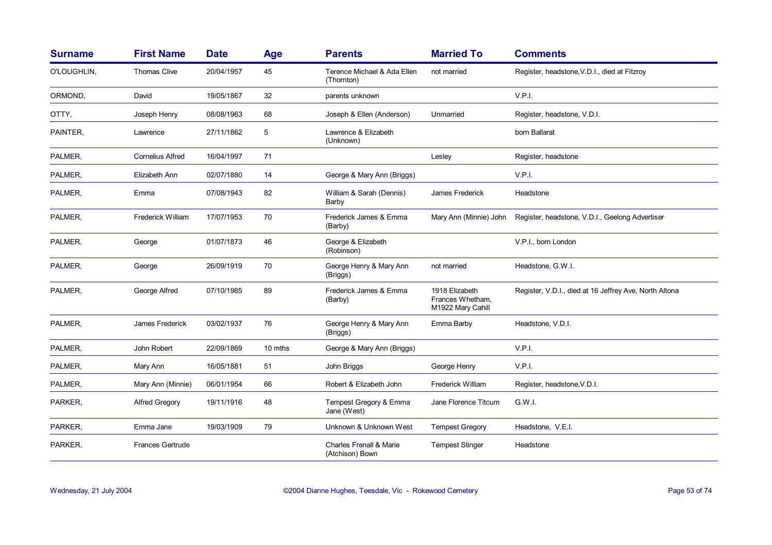| <b>Surname</b> | <b>First Name</b>       | <b>Date</b> | Age     | <b>Parents</b>                                        | <b>Married To</b>                                       | <b>Comments</b>                                        |
|----------------|-------------------------|-------------|---------|-------------------------------------------------------|---------------------------------------------------------|--------------------------------------------------------|
| O'LOUGHLIN,    | <b>Thomas Clive</b>     | 20/04/1957  | 45      | Terence Michael & Ada Ellen<br>(Thornton)             | not married                                             | Register, headstone, V.D.I., died at Fitzroy           |
| ORMOND,        | David                   | 19/05/1867  | 32      | parents unknown                                       |                                                         | V.P.I.                                                 |
| OTTY,          | Joseph Henry            | 08/08/1963  | 68      | Joseph & Ellen (Anderson)                             | Unmarried                                               | Register, headstone, V.D.I.                            |
| PAINTER,       | Lawrence                | 27/11/1862  | 5       | Lawrence & Elizabeth<br>(Unknown)                     |                                                         | born Ballarat                                          |
| PALMER,        | <b>Cornelius Alfred</b> | 16/04/1997  | 71      |                                                       | Lesley                                                  | Register, headstone                                    |
| PALMER,        | Elizabeth Ann           | 02/07/1880  | 14      | George & Mary Ann (Briggs)                            |                                                         | V.P.I.                                                 |
| PALMER,        | Emma                    | 07/08/1943  | 82      | William & Sarah (Dennis)<br>Barby                     | James Frederick                                         | Headstone                                              |
| PALMER,        | Frederick William       | 17/07/1953  | 70      | Frederick James & Emma<br>(Barby)                     | Mary Ann (Minnie) John                                  | Register, headstone, V.D.I., Geelong Advertiser        |
| PALMER,        | George                  | 01/07/1873  | 46      | George & Elizabeth<br>(Robinson)                      |                                                         | V.P.I., born London                                    |
| PALMER,        | George                  | 26/09/1919  | 70      | George Henry & Mary Ann<br>(Briggs)                   | not married                                             | Headstone, G.W.I.                                      |
| PALMER,        | George Alfred           | 07/10/1985  | 89      | Frederick James & Emma<br>(Barby)                     | 1918 Elizabeth<br>Frances Whetham,<br>M1922 Mary Cahill | Register, V.D.I., died at 16 Jeffrey Ave, North Altona |
| PALMER,        | James Frederick         | 03/02/1937  | 76      | George Henry & Mary Ann<br>(Briggs)                   | Emma Barby                                              | Headstone, V.D.I.                                      |
| PALMER,        | John Robert             | 22/09/1869  | 10 mths | George & Mary Ann (Briggs)                            |                                                         | V.P.I.                                                 |
| PALMER,        | Mary Ann                | 16/05/1881  | 51      | John Briggs                                           | George Henry                                            | V.P.I.                                                 |
| PALMER,        | Mary Ann (Minnie)       | 06/01/1954  | 66      | Robert & Elizabeth John                               | Frederick William                                       | Register, headstone, V.D.I.                            |
| PARKER,        | <b>Alfred Gregory</b>   | 19/11/1916  | 48      | Tempest Gregory & Emma<br>Jane (West)                 | Jane Florence Titcum                                    | G.W.I.                                                 |
| PARKER,        | Emma Jane               | 19/03/1909  | 79      | Unknown & Unknown West                                | <b>Tempest Gregory</b>                                  | Headstone, V.E.I.                                      |
| PARKER,        | Frances Gertrude        |             |         | <b>Charles Frenall &amp; Marie</b><br>(Atchison) Bown | <b>Tempest Stinger</b>                                  | Headstone                                              |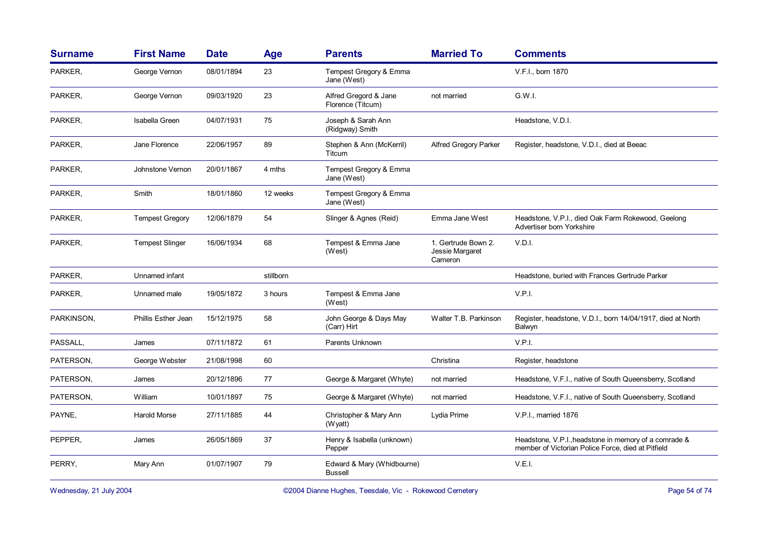| <b>Surname</b> | <b>First Name</b>      | <b>Date</b> | Age       | <b>Parents</b>                               | <b>Married To</b>                                 | <b>Comments</b>                                                                                             |
|----------------|------------------------|-------------|-----------|----------------------------------------------|---------------------------------------------------|-------------------------------------------------------------------------------------------------------------|
| PARKER,        | George Vernon          | 08/01/1894  | 23        | Tempest Gregory & Emma<br>Jane (West)        |                                                   | V.F.I., born 1870                                                                                           |
| PARKER,        | George Vernon          | 09/03/1920  | 23        | Alfred Gregord & Jane<br>Florence (Titcum)   | not married                                       | G.W.I.                                                                                                      |
| PARKER,        | Isabella Green         | 04/07/1931  | 75        | Joseph & Sarah Ann<br>(Ridgway) Smith        |                                                   | Headstone, V.D.I.                                                                                           |
| PARKER,        | Jane Florence          | 22/06/1957  | 89        | Stephen & Ann (McKerril)<br>Titcum           | Alfred Gregory Parker                             | Register, headstone, V.D.I., died at Beeac                                                                  |
| PARKER,        | Johnstone Vernon       | 20/01/1867  | 4 mths    | Tempest Gregory & Emma<br>Jane (West)        |                                                   |                                                                                                             |
| PARKER,        | Smith                  | 18/01/1860  | 12 weeks  | Tempest Gregory & Emma<br>Jane (West)        |                                                   |                                                                                                             |
| PARKER,        | <b>Tempest Gregory</b> | 12/06/1879  | 54        | Slinger & Agnes (Reid)                       | Emma Jane West                                    | Headstone, V.P.I., died Oak Farm Rokewood, Geelong<br>Advertiser born Yorkshire                             |
| PARKER,        | <b>Tempest Slinger</b> | 16/06/1934  | 68        | Tempest & Emma Jane<br>(West)                | 1. Gertrude Bown 2.<br>Jessie Margaret<br>Cameron | V.D.I.                                                                                                      |
| PARKER,        | Unnamed infant         |             | stillborn |                                              |                                                   | Headstone, buried with Frances Gertrude Parker                                                              |
| PARKER,        | Unnamed male           | 19/05/1872  | 3 hours   | Tempest & Emma Jane<br>(West)                |                                                   | V.P.I.                                                                                                      |
| PARKINSON,     | Phillis Esther Jean    | 15/12/1975  | 58        | John George & Days May<br>(Carr) Hirt        | Walter T.B. Parkinson                             | Register, headstone, V.D.I., born 14/04/1917, died at North<br>Balwyn                                       |
| PASSALL,       | James                  | 07/11/1872  | 61        | Parents Unknown                              |                                                   | V.P.I.                                                                                                      |
| PATERSON,      | George Webster         | 21/08/1998  | 60        |                                              | Christina                                         | Register, headstone                                                                                         |
| PATERSON,      | James                  | 20/12/1896  | 77        | George & Margaret (Whyte)                    | not married                                       | Headstone, V.F.I., native of South Queensberry, Scotland                                                    |
| PATERSON,      | William                | 10/01/1897  | 75        | George & Margaret (Whyte)                    | not married                                       | Headstone, V.F.I., native of South Queensberry, Scotland                                                    |
| PAYNE,         | <b>Harold Morse</b>    | 27/11/1885  | 44        | Christopher & Mary Ann<br>(Wyatt)            | Lydia Prime                                       | V.P.I., married 1876                                                                                        |
| PEPPER,        | James                  | 26/05/1869  | 37        | Henry & Isabella (unknown)<br>Pepper         |                                                   | Headstone, V.P.I., headstone in memory of a comrade &<br>member of Victorian Police Force, died at Pitfield |
| PERRY.         | Mary Ann               | 01/07/1907  | 79        | Edward & Mary (Whidbourne)<br><b>Bussell</b> |                                                   | V.E.I.                                                                                                      |

Wednesday, 21 July 2004 **Dianne Hughes, Teesdale, Vic - Rokewood Cemetery** Page 54 of 74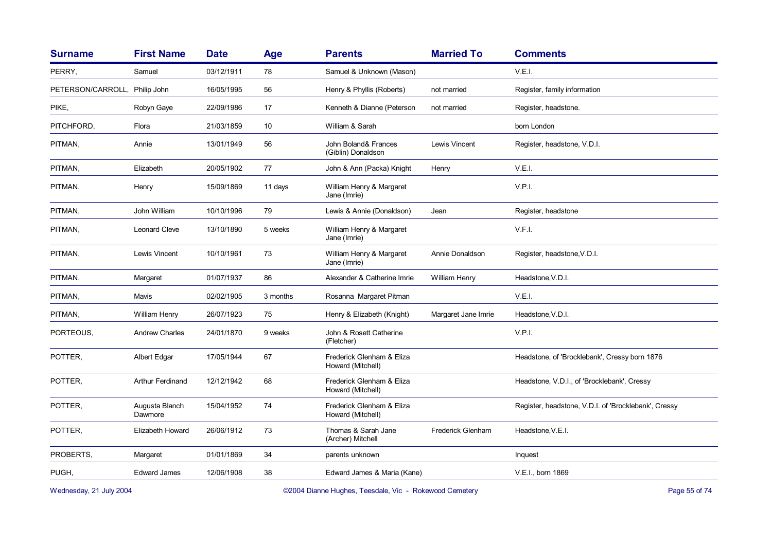| <b>Surname</b>                                                                    | <b>First Name</b>         | <b>Date</b> | Age      | <b>Parents</b>                                 | <b>Married To</b>   | <b>Comments</b>                                      |
|-----------------------------------------------------------------------------------|---------------------------|-------------|----------|------------------------------------------------|---------------------|------------------------------------------------------|
| PERRY.                                                                            | Samuel                    | 03/12/1911  | 78       | Samuel & Unknown (Mason)                       |                     | V.E.I.                                               |
| PETERSON/CARROLL, Philip John                                                     |                           | 16/05/1995  | 56       | Henry & Phyllis (Roberts)                      | not married         | Register, family information                         |
| PIKE,                                                                             | Robyn Gaye                | 22/09/1986  | 17       | Kenneth & Dianne (Peterson                     | not married         | Register, headstone.                                 |
| PITCHFORD,                                                                        | Flora                     | 21/03/1859  | 10       | William & Sarah                                |                     | born London                                          |
| PITMAN,                                                                           | Annie                     | 13/01/1949  | 56       | John Boland& Frances<br>(Giblin) Donaldson     | Lewis Vincent       | Register, headstone, V.D.I.                          |
| PITMAN,                                                                           | Elizabeth                 | 20/05/1902  | 77       | John & Ann (Packa) Knight                      | Henry               | V.E.I.                                               |
| PITMAN,                                                                           | Henry                     | 15/09/1869  | 11 days  | William Henry & Margaret<br>Jane (Imrie)       |                     | V.P.I.                                               |
| PITMAN,                                                                           | John William              | 10/10/1996  | 79       | Lewis & Annie (Donaldson)                      | Jean                | Register, headstone                                  |
| PITMAN,                                                                           | <b>Leonard Cleve</b>      | 13/10/1890  | 5 weeks  | William Henry & Margaret<br>Jane (Imrie)       |                     | V.F.I.                                               |
| PITMAN,                                                                           | Lewis Vincent             | 10/10/1961  | 73       | William Henry & Margaret<br>Jane (Imrie)       | Annie Donaldson     | Register, headstone, V.D.I.                          |
| PITMAN,                                                                           | Margaret                  | 01/07/1937  | 86       | Alexander & Catherine Imrie                    | William Henry       | Headstone, V.D.I.                                    |
| PITMAN,                                                                           | Mavis                     | 02/02/1905  | 3 months | Rosanna Margaret Pitman                        |                     | V.E.I.                                               |
| PITMAN,                                                                           | William Henry             | 26/07/1923  | 75       | Henry & Elizabeth (Knight)                     | Margaret Jane Imrie | Headstone, V.D.I.                                    |
| PORTEOUS,                                                                         | <b>Andrew Charles</b>     | 24/01/1870  | 9 weeks  | John & Rosett Catherine<br>(Fletcher)          |                     | V.P.I.                                               |
| POTTER,                                                                           | Albert Edgar              | 17/05/1944  | 67       | Frederick Glenham & Eliza<br>Howard (Mitchell) |                     | Headstone, of 'Brocklebank', Cressy born 1876        |
| POTTER.                                                                           | <b>Arthur Ferdinand</b>   | 12/12/1942  | 68       | Frederick Glenham & Eliza<br>Howard (Mitchell) |                     | Headstone, V.D.I., of 'Brocklebank', Cressy          |
| POTTER,                                                                           | Augusta Blanch<br>Dawmore | 15/04/1952  | 74       | Frederick Glenham & Eliza<br>Howard (Mitchell) |                     | Register, headstone, V.D.I. of 'Brocklebank', Cressy |
| POTTER,                                                                           | Elizabeth Howard          | 26/06/1912  | 73       | Thomas & Sarah Jane<br>(Archer) Mitchell       | Frederick Glenham   | Headstone, V.E.I.                                    |
| PROBERTS,                                                                         | Margaret                  | 01/01/1869  | 34       | parents unknown                                |                     | Inquest                                              |
| PUGH,                                                                             | <b>Edward James</b>       | 12/06/1908  | 38       | Edward James & Maria (Kane)                    |                     | V.E.I., born 1869                                    |
| Wednesday, 21 July 2004<br>©2004 Dianne Hughes, Teesdale, Vic - Rokewood Cemetery |                           |             |          |                                                |                     | Page 55 of 74                                        |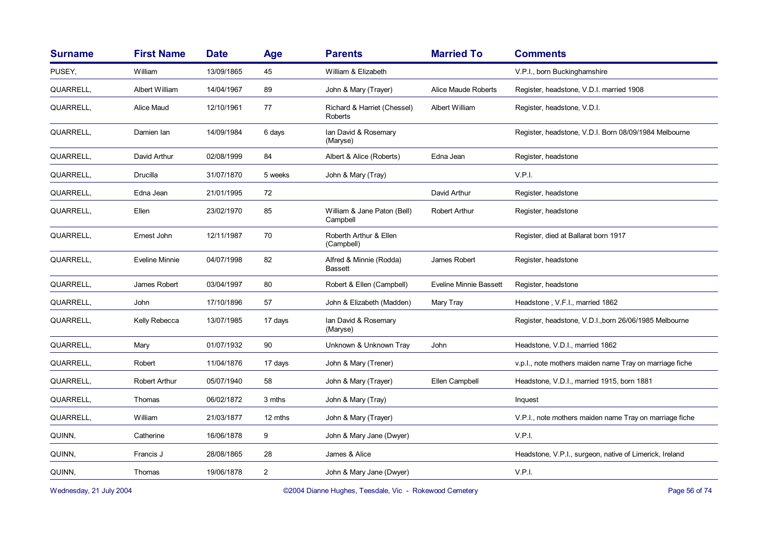| <b>Surname</b> | <b>First Name</b>    | <b>Date</b> | Age            | <b>Parents</b>                            | <b>Married To</b>             | <b>Comments</b>                                         |
|----------------|----------------------|-------------|----------------|-------------------------------------------|-------------------------------|---------------------------------------------------------|
| PUSEY,         | William              | 13/09/1865  | 45             | William & Elizabeth                       |                               | V.P.I., born Buckinghamshire                            |
| QUARRELL,      | Albert William       | 14/04/1967  | 89             | John & Mary (Trayer)                      | <b>Alice Maude Roberts</b>    | Register, headstone, V.D.I. married 1908                |
| QUARRELL,      | Alice Maud           | 12/10/1961  | 77             | Richard & Harriet (Chessel)<br>Roberts    | Albert William                | Register, headstone, V.D.I.                             |
| QUARRELL,      | Damien Ian           | 14/09/1984  | 6 days         | Ian David & Rosemary<br>(Maryse)          |                               | Register, headstone, V.D.I. Born 08/09/1984 Melbourne   |
| QUARRELL,      | David Arthur         | 02/08/1999  | 84             | Albert & Alice (Roberts)                  | Edna Jean                     | Register, headstone                                     |
| QUARRELL,      | Drucilla             | 31/07/1870  | 5 weeks        | John & Mary (Tray)                        |                               | V.P.I.                                                  |
| QUARRELL,      | Edna Jean            | 21/01/1995  | 72             |                                           | David Arthur                  | Register, headstone                                     |
| QUARRELL,      | Ellen                | 23/02/1970  | 85             | William & Jane Paton (Bell)<br>Campbell   | <b>Robert Arthur</b>          | Register, headstone                                     |
| QUARRELL,      | Ernest John          | 12/11/1987  | 70             | Roberth Arthur & Ellen<br>(Campbell)      |                               | Register, died at Ballarat born 1917                    |
| QUARRELL,      | Eveline Minnie       | 04/07/1998  | 82             | Alfred & Minnie (Rodda)<br><b>Bassett</b> | James Robert                  | Register, headstone                                     |
| QUARRELL,      | James Robert         | 03/04/1997  | 80             | Robert & Ellen (Campbell)                 | <b>Eveline Minnie Bassett</b> | Register, headstone                                     |
| QUARRELL,      | John                 | 17/10/1896  | 57             | John & Elizabeth (Madden)                 | Mary Tray                     | Headstone, V.F.I., married 1862                         |
| QUARRELL,      | Kelly Rebecca        | 13/07/1985  | 17 days        | Ian David & Rosemary<br>(Maryse)          |                               | Register, headstone, V.D.I., born 26/06/1985 Melbourne  |
| QUARRELL,      | Mary                 | 01/07/1932  | 90             | Unknown & Unknown Tray                    | John                          | Headstone, V.D.I., married 1862                         |
| QUARRELL,      | Robert               | 11/04/1876  | 17 days        | John & Mary (Trener)                      |                               | v.p.l., note mothers maiden name Tray on marriage fiche |
| QUARRELL,      | <b>Robert Arthur</b> | 05/07/1940  | 58             | John & Mary (Trayer)                      | Ellen Campbell                | Headstone, V.D.I., married 1915, born 1881              |
| QUARRELL,      | Thomas               | 06/02/1872  | 3 mths         | John & Mary (Tray)                        |                               | Inquest                                                 |
| QUARRELL,      | William              | 21/03/1877  | 12 mths        | John & Mary (Trayer)                      |                               | V.P.I., note mothers maiden name Tray on marriage fiche |
| QUINN,         | Catherine            | 16/06/1878  | 9              | John & Mary Jane (Dwyer)                  |                               | V.P.I.                                                  |
| QUINN,         | Francis J            | 28/08/1865  | 28             | James & Alice                             |                               | Headstone, V.P.I., surgeon, native of Limerick, Ireland |
| QUINN,         | Thomas               | 19/06/1878  | $\overline{2}$ | John & Mary Jane (Dwyer)                  |                               | V.P.I.                                                  |
|                |                      |             |                |                                           |                               |                                                         |

Wednesday, 21 July 2004 **Dianne Hughes, Teesdale, Vic - Rokewood Cemetery** Page 56 of 74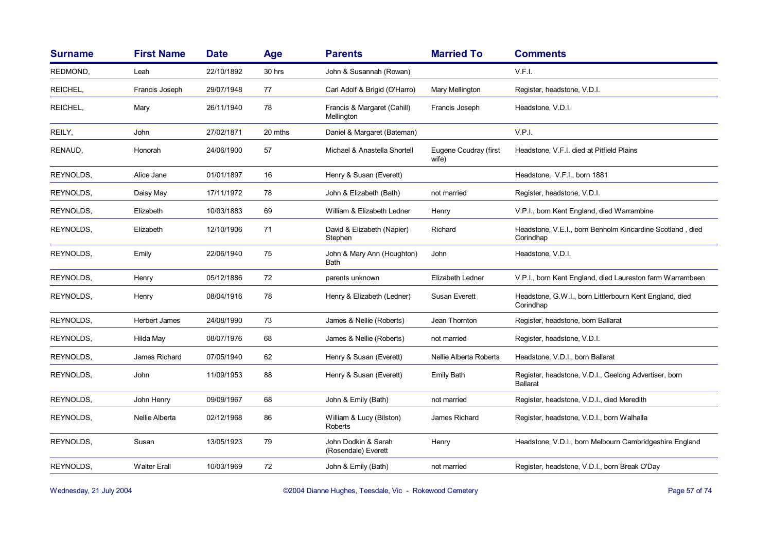| <b>Surname</b>   | <b>First Name</b>    | <b>Date</b> | <b>Age</b> | <b>Parents</b>                             | <b>Married To</b>              | <b>Comments</b>                                                          |
|------------------|----------------------|-------------|------------|--------------------------------------------|--------------------------------|--------------------------------------------------------------------------|
| REDMOND,         | Leah                 | 22/10/1892  | 30 hrs     | John & Susannah (Rowan)                    |                                | V.F.I.                                                                   |
| REICHEL,         | Francis Joseph       | 29/07/1948  | 77         | Carl Adolf & Brigid (O'Harro)              | Mary Mellington                | Register, headstone, V.D.I.                                              |
| REICHEL,         | Mary                 | 26/11/1940  | 78         | Francis & Margaret (Cahill)<br>Mellington  | Francis Joseph                 | Headstone, V.D.I.                                                        |
| REILY,           | John                 | 27/02/1871  | 20 mths    | Daniel & Margaret (Bateman)                |                                | V.P.I.                                                                   |
| RENAUD,          | Honorah              | 24/06/1900  | 57         | Michael & Anastella Shortell               | Eugene Coudray (first<br>wife) | Headstone, V.F.I. died at Pitfield Plains                                |
| REYNOLDS,        | Alice Jane           | 01/01/1897  | 16         | Henry & Susan (Everett)                    |                                | Headstone, V.F.I., born 1881                                             |
| <b>REYNOLDS,</b> | Daisy May            | 17/11/1972  | 78         | John & Elizabeth (Bath)                    | not married                    | Register, headstone, V.D.I.                                              |
| REYNOLDS,        | Elizabeth            | 10/03/1883  | 69         | William & Elizabeth Ledner                 | Henry                          | V.P.I., born Kent England, died Warrambine                               |
| REYNOLDS,        | Elizabeth            | 12/10/1906  | 71         | David & Elizabeth (Napier)<br>Stephen      | Richard                        | Headstone, V.E.I., born Benholm Kincardine Scotland, died<br>Corindhap   |
| REYNOLDS,        | Emily                | 22/06/1940  | 75         | John & Mary Ann (Houghton)<br>Bath         | John                           | Headstone, V.D.I.                                                        |
| REYNOLDS,        | Henry                | 05/12/1886  | 72         | parents unknown                            | Elizabeth Ledner               | V.P.I., born Kent England, died Laureston farm Warrambeen                |
| REYNOLDS,        | Henry                | 08/04/1916  | 78         | Henry & Elizabeth (Ledner)                 | Susan Everett                  | Headstone, G.W.I., born Littlerbourn Kent England, died<br>Corindhap     |
| REYNOLDS,        | <b>Herbert James</b> | 24/08/1990  | 73         | James & Nellie (Roberts)                   | Jean Thornton                  | Register, headstone, born Ballarat                                       |
| REYNOLDS,        | Hilda May            | 08/07/1976  | 68         | James & Nellie (Roberts)                   | not married                    | Register, headstone, V.D.I.                                              |
| REYNOLDS,        | James Richard        | 07/05/1940  | 62         | Henry & Susan (Everett)                    | Nellie Alberta Roberts         | Headstone, V.D.I., born Ballarat                                         |
| REYNOLDS,        | John                 | 11/09/1953  | 88         | Henry & Susan (Everett)                    | <b>Emily Bath</b>              | Register, headstone, V.D.I., Geelong Advertiser, born<br><b>Ballarat</b> |
| REYNOLDS.        | John Henry           | 09/09/1967  | 68         | John & Emily (Bath)                        | not married                    | Register, headstone, V.D.I., died Meredith                               |
| REYNOLDS,        | Nellie Alberta       | 02/12/1968  | 86         | William & Lucy (Bilston)<br><b>Roberts</b> | James Richard                  | Register, headstone, V.D.I., born Walhalla                               |
| REYNOLDS,        | Susan                | 13/05/1923  | 79         | John Dodkin & Sarah<br>(Rosendale) Everett | Henry                          | Headstone, V.D.I., born Melbourn Cambridgeshire England                  |
| REYNOLDS,        | <b>Walter Erall</b>  | 10/03/1969  | 72         | John & Emily (Bath)                        | not married                    | Register, headstone, V.D.I., born Break O'Day                            |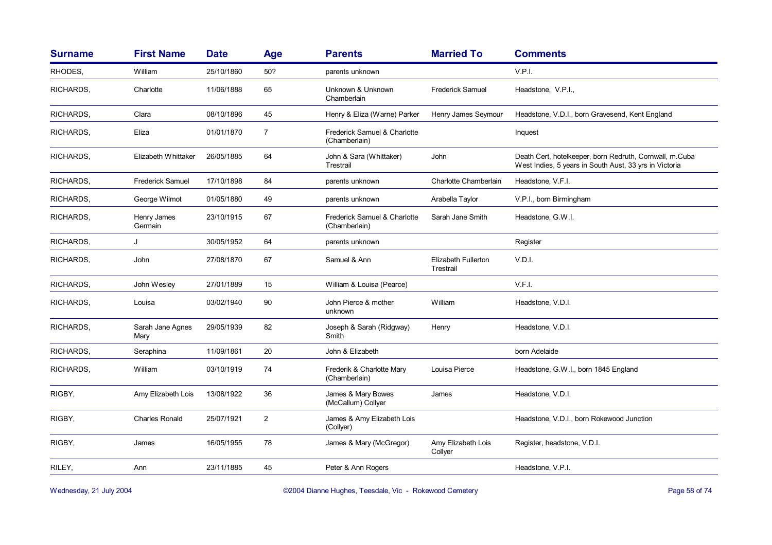| <b>Surname</b> | <b>First Name</b>        | <b>Date</b> | <b>Age</b>     | <b>Parents</b>                                | <b>Married To</b>                       | <b>Comments</b>                                                                                                   |
|----------------|--------------------------|-------------|----------------|-----------------------------------------------|-----------------------------------------|-------------------------------------------------------------------------------------------------------------------|
| RHODES,        | William                  | 25/10/1860  | 50?            | parents unknown                               |                                         | V.P.I.                                                                                                            |
| RICHARDS,      | Charlotte                | 11/06/1888  | 65             | Unknown & Unknown<br>Chamberlain              | <b>Frederick Samuel</b>                 | Headstone, V.P.I.,                                                                                                |
| RICHARDS,      | Clara                    | 08/10/1896  | 45             | Henry & Eliza (Warne) Parker                  | Henry James Seymour                     | Headstone, V.D.I., born Gravesend, Kent England                                                                   |
| RICHARDS,      | Eliza                    | 01/01/1870  | $\overline{7}$ | Frederick Samuel & Charlotte<br>(Chamberlain) |                                         | Inquest                                                                                                           |
| RICHARDS,      | Elizabeth Whittaker      | 26/05/1885  | 64             | John & Sara (Whittaker)<br>Trestrail          | John                                    | Death Cert, hotelkeeper, born Redruth, Cornwall, m.Cuba<br>West Indies, 5 years in South Aust, 33 yrs in Victoria |
| RICHARDS,      | <b>Frederick Samuel</b>  | 17/10/1898  | 84             | parents unknown                               | Charlotte Chamberlain                   | Headstone, V.F.I.                                                                                                 |
| RICHARDS.      | George Wilmot            | 01/05/1880  | 49             | parents unknown                               | Arabella Taylor                         | V.P.I., born Birmingham                                                                                           |
| RICHARDS,      | Henry James<br>Germain   | 23/10/1915  | 67             | Frederick Samuel & Charlotte<br>(Chamberlain) | Sarah Jane Smith                        | Headstone, G.W.I.                                                                                                 |
| RICHARDS,      | J                        | 30/05/1952  | 64             | parents unknown                               |                                         | Register                                                                                                          |
| RICHARDS,      | John                     | 27/08/1870  | 67             | Samuel & Ann                                  | <b>Elizabeth Fullerton</b><br>Trestrail | V.D.I.                                                                                                            |
| RICHARDS,      | John Wesley              | 27/01/1889  | 15             | William & Louisa (Pearce)                     |                                         | V.F.I.                                                                                                            |
| RICHARDS,      | Louisa                   | 03/02/1940  | 90             | John Pierce & mother<br>unknown               | William                                 | Headstone, V.D.I.                                                                                                 |
| RICHARDS,      | Sarah Jane Agnes<br>Mary | 29/05/1939  | 82             | Joseph & Sarah (Ridgway)<br>Smith             | Henry                                   | Headstone, V.D.I.                                                                                                 |
| RICHARDS,      | Seraphina                | 11/09/1861  | 20             | John & Elizabeth                              |                                         | born Adelaide                                                                                                     |
| RICHARDS,      | William                  | 03/10/1919  | 74             | Frederik & Charlotte Mary<br>(Chamberlain)    | Louisa Pierce                           | Headstone, G.W.I., born 1845 England                                                                              |
| RIGBY,         | Amy Elizabeth Lois       | 13/08/1922  | 36             | James & Mary Bowes<br>(McCallum) Collyer      | James                                   | Headstone, V.D.I.                                                                                                 |
| RIGBY,         | <b>Charles Ronald</b>    | 25/07/1921  | $\overline{2}$ | James & Amy Elizabeth Lois<br>(Collyer)       |                                         | Headstone, V.D.I., born Rokewood Junction                                                                         |
| RIGBY,         | James                    | 16/05/1955  | 78             | James & Mary (McGregor)                       | Amy Elizabeth Lois<br>Collyer           | Register, headstone, V.D.I.                                                                                       |
| RILEY,         | Ann                      | 23/11/1885  | 45             | Peter & Ann Rogers                            |                                         | Headstone, V.P.I.                                                                                                 |
|                |                          |             |                |                                               |                                         |                                                                                                                   |

Wednesday, 21 July 2004 **Dianne Hughes, Teesdale, Vic - Rokewood Cemetery** Page 58 of 74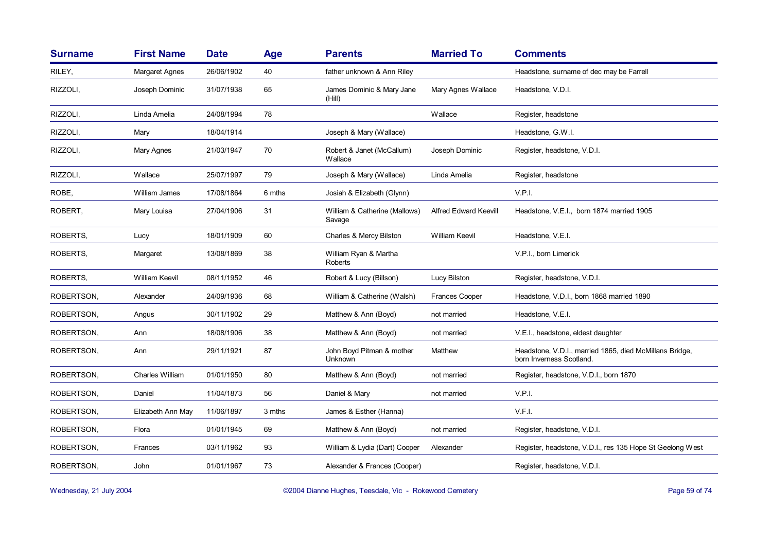| <b>Surname</b> | <b>First Name</b> | <b>Date</b> | Age    | <b>Parents</b>                          | <b>Married To</b>            | <b>Comments</b>                                                                     |
|----------------|-------------------|-------------|--------|-----------------------------------------|------------------------------|-------------------------------------------------------------------------------------|
| RILEY,         | Margaret Agnes    | 26/06/1902  | 40     | father unknown & Ann Riley              |                              | Headstone, surname of dec may be Farrell                                            |
| RIZZOLI,       | Joseph Dominic    | 31/07/1938  | 65     | James Dominic & Mary Jane<br>(Hill)     | Mary Agnes Wallace           | Headstone, V.D.I.                                                                   |
| RIZZOLI,       | Linda Amelia      | 24/08/1994  | 78     |                                         | Wallace                      | Register, headstone                                                                 |
| RIZZOLI,       | Mary              | 18/04/1914  |        | Joseph & Mary (Wallace)                 |                              | Headstone, G.W.I.                                                                   |
| RIZZOLI,       | Mary Agnes        | 21/03/1947  | 70     | Robert & Janet (McCallum)<br>Wallace    | Joseph Dominic               | Register, headstone, V.D.I.                                                         |
| RIZZOLI.       | Wallace           | 25/07/1997  | 79     | Joseph & Mary (Wallace)                 | Linda Amelia                 | Register, headstone                                                                 |
| ROBE.          | William James     | 17/08/1864  | 6 mths | Josiah & Elizabeth (Glynn)              |                              | V.P.I.                                                                              |
| ROBERT,        | Mary Louisa       | 27/04/1906  | 31     | William & Catherine (Mallows)<br>Savage | <b>Alfred Edward Keevill</b> | Headstone, V.E.I., born 1874 married 1905                                           |
| ROBERTS.       | Lucy              | 18/01/1909  | 60     | Charles & Mercy Bilston                 | <b>William Keevil</b>        | Headstone, V.E.I.                                                                   |
| ROBERTS.       | Margaret          | 13/08/1869  | 38     | William Ryan & Martha<br>Roberts        |                              | V.P.I., born Limerick                                                               |
| ROBERTS.       | William Keevil    | 08/11/1952  | 46     | Robert & Lucy (Billson)                 | Lucy Bilston                 | Register, headstone, V.D.I.                                                         |
| ROBERTSON,     | Alexander         | 24/09/1936  | 68     | William & Catherine (Walsh)             | <b>Frances Cooper</b>        | Headstone, V.D.I., born 1868 married 1890                                           |
| ROBERTSON.     | Angus             | 30/11/1902  | 29     | Matthew & Ann (Boyd)                    | not married                  | Headstone, V.E.I.                                                                   |
| ROBERTSON,     | Ann               | 18/08/1906  | 38     | Matthew & Ann (Boyd)                    | not married                  | V.E.I., headstone, eldest daughter                                                  |
| ROBERTSON,     | Ann               | 29/11/1921  | 87     | John Boyd Pitman & mother<br>Unknown    | Matthew                      | Headstone, V.D.I., married 1865, died McMillans Bridge,<br>born Inverness Scotland. |
| ROBERTSON,     | Charles William   | 01/01/1950  | 80     | Matthew & Ann (Boyd)                    | not married                  | Register, headstone, V.D.I., born 1870                                              |
| ROBERTSON,     | Daniel            | 11/04/1873  | 56     | Daniel & Mary                           | not married                  | V.P.I.                                                                              |
| ROBERTSON,     | Elizabeth Ann May | 11/06/1897  | 3 mths | James & Esther (Hanna)                  |                              | V.F.I.                                                                              |
| ROBERTSON,     | Flora             | 01/01/1945  | 69     | Matthew & Ann (Boyd)                    | not married                  | Register, headstone, V.D.I.                                                         |
| ROBERTSON,     | Frances           | 03/11/1962  | 93     | William & Lydia (Dart) Cooper           | Alexander                    | Register, headstone, V.D.I., res 135 Hope St Geelong West                           |
| ROBERTSON,     | John              | 01/01/1967  | 73     | Alexander & Frances (Cooper)            |                              | Register, headstone, V.D.I.                                                         |

Wednesday, 21 July 2004 **Dianne Hughes, Teesdale, Vic - Rokewood Cemetery** Page 59 of 74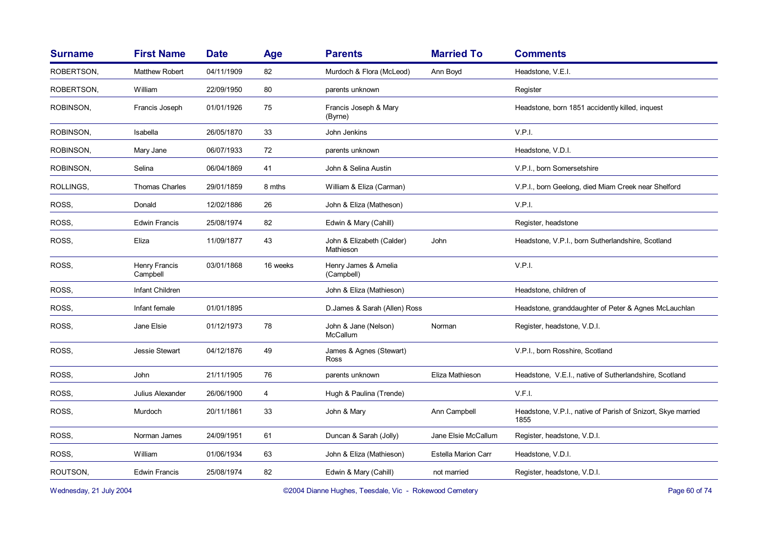| <b>Surname</b> | <b>First Name</b>         | <b>Date</b> | Age      | <b>Parents</b>                          | <b>Married To</b>          | <b>Comments</b>                                                      |
|----------------|---------------------------|-------------|----------|-----------------------------------------|----------------------------|----------------------------------------------------------------------|
| ROBERTSON.     | <b>Matthew Robert</b>     | 04/11/1909  | 82       | Murdoch & Flora (McLeod)                | Ann Boyd                   | Headstone, V.E.I.                                                    |
| ROBERTSON,     | William                   | 22/09/1950  | 80       | parents unknown                         |                            | Register                                                             |
| ROBINSON,      | Francis Joseph            | 01/01/1926  | 75       | Francis Joseph & Mary<br>(Byrne)        |                            | Headstone, born 1851 accidently killed, inquest                      |
| ROBINSON,      | Isabella                  | 26/05/1870  | 33       | John Jenkins                            |                            | V.P.I.                                                               |
| ROBINSON,      | Mary Jane                 | 06/07/1933  | 72       | parents unknown                         |                            | Headstone, V.D.I.                                                    |
| ROBINSON,      | Selina                    | 06/04/1869  | 41       | John & Selina Austin                    |                            | V.P.I., born Somersetshire                                           |
| ROLLINGS,      | <b>Thomas Charles</b>     | 29/01/1859  | 8 mths   | William & Eliza (Carman)                |                            | V.P.I., born Geelong, died Miam Creek near Shelford                  |
| ROSS,          | Donald                    | 12/02/1886  | 26       | John & Eliza (Matheson)                 |                            | V.P.I.                                                               |
| ROSS,          | <b>Edwin Francis</b>      | 25/08/1974  | 82       | Edwin & Mary (Cahill)                   |                            | Register, headstone                                                  |
| ROSS,          | Eliza                     | 11/09/1877  | 43       | John & Elizabeth (Calder)<br>Mathieson  | John                       | Headstone, V.P.I., born Sutherlandshire, Scotland                    |
| ROSS.          | Henry Francis<br>Campbell | 03/01/1868  | 16 weeks | Henry James & Amelia<br>(Campbell)      |                            | V.P.I.                                                               |
| ROSS,          | Infant Children           |             |          | John & Eliza (Mathieson)                |                            | Headstone, children of                                               |
| ROSS,          | Infant female             | 01/01/1895  |          | D. James & Sarah (Allen) Ross           |                            | Headstone, granddaughter of Peter & Agnes McLauchlan                 |
| ROSS,          | Jane Elsie                | 01/12/1973  | 78       | John & Jane (Nelson)<br><b>McCallum</b> | Norman                     | Register, headstone, V.D.I.                                          |
| ROSS,          | Jessie Stewart            | 04/12/1876  | 49       | James & Agnes (Stewart)<br><b>Ross</b>  |                            | V.P.I., born Rosshire, Scotland                                      |
| ROSS.          | John                      | 21/11/1905  | 76       | parents unknown                         | Eliza Mathieson            | Headstone, V.E.I., native of Sutherlandshire, Scotland               |
| ROSS,          | Julius Alexander          | 26/06/1900  | 4        | Hugh & Paulina (Trende)                 |                            | V.F.I.                                                               |
| ROSS,          | Murdoch                   | 20/11/1861  | 33       | John & Mary                             | Ann Campbell               | Headstone, V.P.I., native of Parish of Snizort, Skye married<br>1855 |
| ROSS,          | Norman James              | 24/09/1951  | 61       | Duncan & Sarah (Jolly)                  | Jane Elsie McCallum        | Register, headstone, V.D.I.                                          |
| ROSS.          | William                   | 01/06/1934  | 63       | John & Eliza (Mathieson)                | <b>Estella Marion Carr</b> | Headstone, V.D.I.                                                    |
| ROUTSON,       | <b>Edwin Francis</b>      | 25/08/1974  | 82       | Edwin & Mary (Cahill)                   | not married                | Register, headstone, V.D.I.                                          |
|                |                           |             |          |                                         |                            |                                                                      |

Wednesday, 21 July 2004 **Dianne Hughes, Teesdale, Vic - Rokewood Cemetery** Page 60 of 74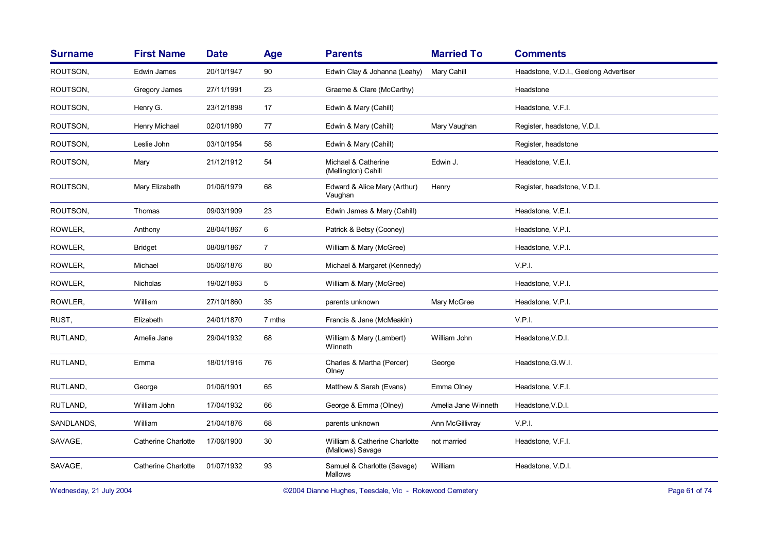| <b>Surname</b> | <b>First Name</b>          | <b>Date</b> | Age            | <b>Parents</b>                                    | <b>Married To</b>   | <b>Comments</b>                       |
|----------------|----------------------------|-------------|----------------|---------------------------------------------------|---------------------|---------------------------------------|
| ROUTSON,       | Edwin James                | 20/10/1947  | 90             | Edwin Clay & Johanna (Leahy)                      | Mary Cahill         | Headstone, V.D.I., Geelong Advertiser |
| ROUTSON,       | Gregory James              | 27/11/1991  | 23             | Graeme & Clare (McCarthy)                         |                     | Headstone                             |
| ROUTSON,       | Henry G.                   | 23/12/1898  | 17             | Edwin & Mary (Cahill)                             |                     | Headstone, V.F.I.                     |
| ROUTSON,       | Henry Michael              | 02/01/1980  | 77             | Edwin & Mary (Cahill)                             | Mary Vaughan        | Register, headstone, V.D.I.           |
| ROUTSON,       | Leslie John                | 03/10/1954  | 58             | Edwin & Mary (Cahill)                             |                     | Register, headstone                   |
| ROUTSON,       | Mary                       | 21/12/1912  | 54             | Michael & Catherine<br>(Mellington) Cahill        | Edwin J.            | Headstone, V.E.I.                     |
| ROUTSON,       | Mary Elizabeth             | 01/06/1979  | 68             | Edward & Alice Mary (Arthur)<br>Vaughan           | Henry               | Register, headstone, V.D.I.           |
| ROUTSON,       | Thomas                     | 09/03/1909  | 23             | Edwin James & Mary (Cahill)                       |                     | Headstone, V.E.I.                     |
| ROWLER,        | Anthony                    | 28/04/1867  | 6              | Patrick & Betsy (Cooney)                          |                     | Headstone, V.P.I.                     |
| ROWLER,        | <b>Bridget</b>             | 08/08/1867  | $\overline{7}$ | William & Mary (McGree)                           |                     | Headstone, V.P.I.                     |
| ROWLER,        | Michael                    | 05/06/1876  | 80             | Michael & Margaret (Kennedy)                      |                     | V.P.I.                                |
| ROWLER,        | Nicholas                   | 19/02/1863  | 5              | William & Mary (McGree)                           |                     | Headstone, V.P.I.                     |
| ROWLER,        | William                    | 27/10/1860  | 35             | parents unknown                                   | Mary McGree         | Headstone, V.P.I.                     |
| RUST,          | Elizabeth                  | 24/01/1870  | 7 mths         | Francis & Jane (McMeakin)                         |                     | V.P.I.                                |
| RUTLAND,       | Amelia Jane                | 29/04/1932  | 68             | William & Mary (Lambert)<br>Winneth               | William John        | Headstone, V.D.I.                     |
| RUTLAND,       | Emma                       | 18/01/1916  | 76             | Charles & Martha (Percer)<br>Olney                | George              | Headstone, G.W.I.                     |
| RUTLAND,       | George                     | 01/06/1901  | 65             | Matthew & Sarah (Evans)                           | Emma Olney          | Headstone, V.F.I.                     |
| RUTLAND,       | William John               | 17/04/1932  | 66             | George & Emma (Olney)                             | Amelia Jane Winneth | Headstone, V.D.I.                     |
| SANDLANDS,     | William                    | 21/04/1876  | 68             | parents unknown                                   | Ann McGillivray     | V.P.I.                                |
| SAVAGE,        | <b>Catherine Charlotte</b> | 17/06/1900  | 30             | William & Catherine Charlotte<br>(Mallows) Savage | not married         | Headstone, V.F.I.                     |
| SAVAGE,        | Catherine Charlotte        | 01/07/1932  | 93             | Samuel & Charlotte (Savage)<br>Mallows            | William             | Headstone, V.D.I.                     |

Wednesday, 21 July 2004 **Dianne Hughes, Teesdale, Vic - Rokewood Cemetery** Page 61 of 74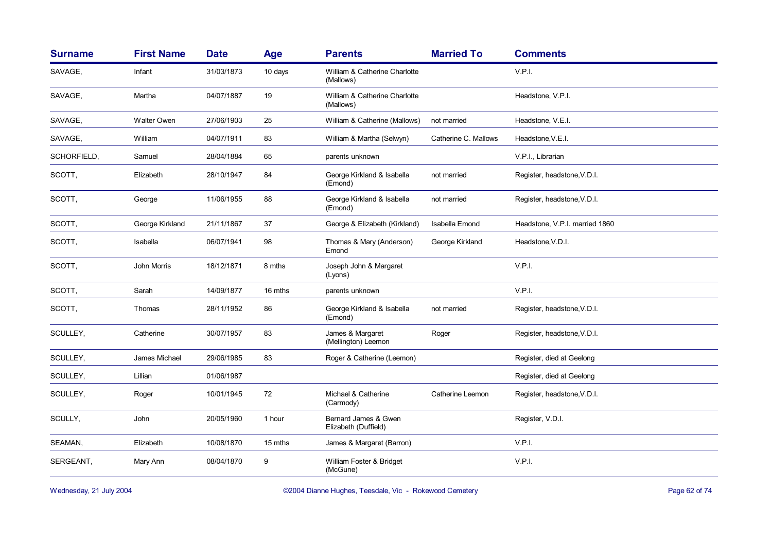| <b>Surname</b> | <b>First Name</b>  | <b>Date</b> | <b>Age</b> | <b>Parents</b>                               | <b>Married To</b>    | <b>Comments</b>                |
|----------------|--------------------|-------------|------------|----------------------------------------------|----------------------|--------------------------------|
| SAVAGE,        | Infant             | 31/03/1873  | 10 days    | William & Catherine Charlotte<br>(Mallows)   |                      | V.P.I.                         |
| SAVAGE,        | Martha             | 04/07/1887  | 19         | William & Catherine Charlotte<br>(Mallows)   |                      | Headstone, V.P.I.              |
| SAVAGE,        | <b>Walter Owen</b> | 27/06/1903  | 25         | William & Catherine (Mallows)                | not married          | Headstone, V.E.I.              |
| SAVAGE.        | William            | 04/07/1911  | 83         | William & Martha (Selwyn)                    | Catherine C. Mallows | Headstone, V.E.I.              |
| SCHORFIELD,    | Samuel             | 28/04/1884  | 65         | parents unknown                              |                      | V.P.I., Librarian              |
| SCOTT,         | Elizabeth          | 28/10/1947  | 84         | George Kirkland & Isabella<br>(Emond)        | not married          | Register, headstone, V.D.I.    |
| SCOTT,         | George             | 11/06/1955  | 88         | George Kirkland & Isabella<br>(Emond)        | not married          | Register, headstone, V.D.I.    |
| SCOTT,         | George Kirkland    | 21/11/1867  | 37         | George & Elizabeth (Kirkland)                | Isabella Emond       | Headstone, V.P.I. married 1860 |
| SCOTT,         | Isabella           | 06/07/1941  | 98         | Thomas & Mary (Anderson)<br>Emond            | George Kirkland      | Headstone, V.D.I.              |
| SCOTT,         | John Morris        | 18/12/1871  | 8 mths     | Joseph John & Margaret<br>(Lyons)            |                      | V.P.I.                         |
| SCOTT.         | Sarah              | 14/09/1877  | 16 mths    | parents unknown                              |                      | V.P.I.                         |
| SCOTT,         | Thomas             | 28/11/1952  | 86         | George Kirkland & Isabella<br>(Emond)        | not married          | Register, headstone, V.D.I.    |
| SCULLEY,       | Catherine          | 30/07/1957  | 83         | James & Margaret<br>(Mellington) Leemon      | Roger                | Register, headstone, V.D.I.    |
| SCULLEY,       | James Michael      | 29/06/1985  | 83         | Roger & Catherine (Leemon)                   |                      | Register, died at Geelong      |
| SCULLEY,       | Lillian            | 01/06/1987  |            |                                              |                      | Register, died at Geelong      |
| SCULLEY,       | Roger              | 10/01/1945  | 72         | Michael & Catherine<br>(Carmody)             | Catherine Leemon     | Register, headstone, V.D.I.    |
| SCULLY,        | John               | 20/05/1960  | 1 hour     | Bernard James & Gwen<br>Elizabeth (Duffield) |                      | Register, V.D.I.               |
| SEAMAN,        | Elizabeth          | 10/08/1870  | 15 mths    | James & Margaret (Barron)                    |                      | V.P.I.                         |
| SERGEANT,      | Mary Ann           | 08/04/1870  | 9          | William Foster & Bridget<br>(McGune)         |                      | V.P.I.                         |

Wednesday, 21 July 2004 **Dianne Hughes, Teesdale, Vic - Rokewood Cemetery** Page 62 of 74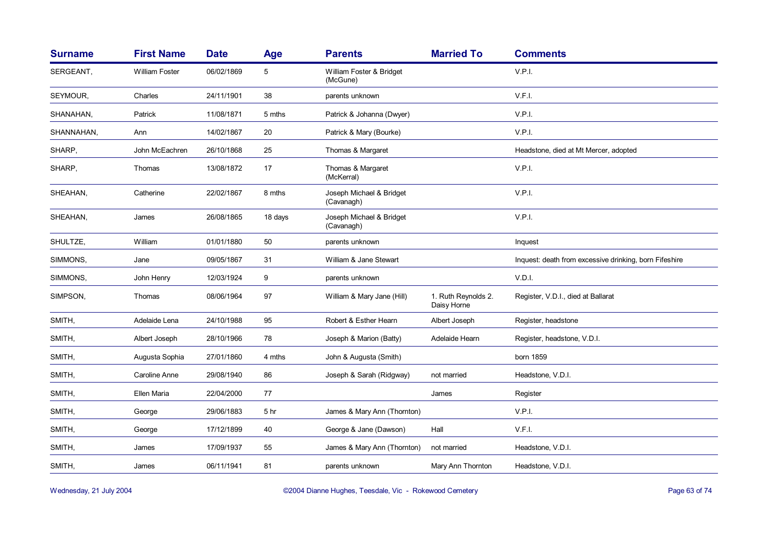| <b>Surname</b> | <b>First Name</b>     | <b>Date</b> | Age             | <b>Parents</b>                         | <b>Married To</b>                  | <b>Comments</b>                                        |
|----------------|-----------------------|-------------|-----------------|----------------------------------------|------------------------------------|--------------------------------------------------------|
| SERGEANT,      | <b>William Foster</b> | 06/02/1869  | 5               | William Foster & Bridget<br>(McGune)   |                                    | V.P.I.                                                 |
| SEYMOUR,       | Charles               | 24/11/1901  | 38              | parents unknown                        |                                    | V.F.I.                                                 |
| SHANAHAN,      | Patrick               | 11/08/1871  | 5 mths          | Patrick & Johanna (Dwyer)              |                                    | V.P.I.                                                 |
| SHANNAHAN,     | Ann                   | 14/02/1867  | 20              | Patrick & Mary (Bourke)                |                                    | V.P.I.                                                 |
| SHARP.         | John McEachren        | 26/10/1868  | 25              | Thomas & Margaret                      |                                    | Headstone, died at Mt Mercer, adopted                  |
| SHARP,         | Thomas                | 13/08/1872  | 17              | Thomas & Margaret<br>(McKerral)        |                                    | V.P.I.                                                 |
| SHEAHAN,       | Catherine             | 22/02/1867  | 8 mths          | Joseph Michael & Bridget<br>(Cavanagh) |                                    | V.P.I.                                                 |
| SHEAHAN,       | James                 | 26/08/1865  | 18 days         | Joseph Michael & Bridget<br>(Cavanagh) |                                    | V.P.I.                                                 |
| SHULTZE,       | William               | 01/01/1880  | 50              | parents unknown                        |                                    | Inquest                                                |
| SIMMONS,       | Jane                  | 09/05/1867  | 31              | William & Jane Stewart                 |                                    | Inquest: death from excessive drinking, born Fifeshire |
| SIMMONS,       | John Henry            | 12/03/1924  | 9               | parents unknown                        |                                    | V.D.I.                                                 |
| SIMPSON,       | Thomas                | 08/06/1964  | 97              | William & Mary Jane (Hill)             | 1. Ruth Reynolds 2.<br>Daisy Horne | Register, V.D.I., died at Ballarat                     |
| SMITH,         | Adelaide Lena         | 24/10/1988  | 95              | Robert & Esther Hearn                  | Albert Joseph                      | Register, headstone                                    |
| SMITH,         | Albert Joseph         | 28/10/1966  | 78              | Joseph & Marion (Batty)                | Adelaide Hearn                     | Register, headstone, V.D.I.                            |
| SMITH,         | Augusta Sophia        | 27/01/1860  | 4 mths          | John & Augusta (Smith)                 |                                    | born 1859                                              |
| SMITH,         | Caroline Anne         | 29/08/1940  | 86              | Joseph & Sarah (Ridgway)               | not married                        | Headstone, V.D.I.                                      |
| SMITH,         | Ellen Maria           | 22/04/2000  | 77              |                                        | James                              | Register                                               |
| SMITH,         | George                | 29/06/1883  | 5 <sub>hr</sub> | James & Mary Ann (Thornton)            |                                    | V.P.I.                                                 |
| SMITH,         | George                | 17/12/1899  | 40              | George & Jane (Dawson)                 | Hall                               | V.F.I.                                                 |
| SMITH,         | James                 | 17/09/1937  | 55              | James & Mary Ann (Thornton)            | not married                        | Headstone, V.D.I.                                      |
| SMITH,         | James                 | 06/11/1941  | 81              | parents unknown                        | Mary Ann Thornton                  | Headstone, V.D.I.                                      |

Wednesday, 21 July 2004 **Dianne Hughes, Teesdale, Vic - Rokewood Cemetery** Page 63 of 74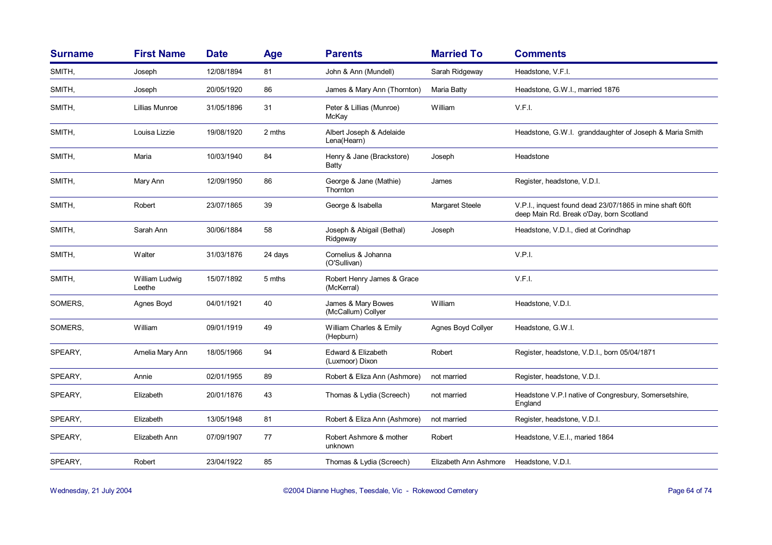| <b>First Name</b>        | <b>Date</b> | <b>Age</b> | <b>Parents</b>                           | <b>Married To</b>         | <b>Comments</b>                                                                                      |
|--------------------------|-------------|------------|------------------------------------------|---------------------------|------------------------------------------------------------------------------------------------------|
| Joseph                   | 12/08/1894  | 81         | John & Ann (Mundell)                     | Sarah Ridgeway            | Headstone, V.F.I.                                                                                    |
| Joseph                   | 20/05/1920  | 86         | James & Mary Ann (Thornton)              | Maria Batty               | Headstone, G.W.I., married 1876                                                                      |
| Lillias Munroe           | 31/05/1896  | 31         | Peter & Lillias (Munroe)<br>McKay        | William                   | V.F.I.                                                                                               |
| Louisa Lizzie            | 19/08/1920  | 2 mths     | Albert Joseph & Adelaide<br>Lena(Hearn)  |                           | Headstone, G.W.I. granddaughter of Joseph & Maria Smith                                              |
| Maria                    | 10/03/1940  | 84         | Henry & Jane (Brackstore)<br>Batty       | Joseph                    | Headstone                                                                                            |
| Mary Ann                 | 12/09/1950  | 86         | George & Jane (Mathie)<br>Thornton       | James                     | Register, headstone, V.D.I.                                                                          |
| Robert                   | 23/07/1865  | 39         | George & Isabella                        | Margaret Steele           | V.P.I., inquest found dead 23/07/1865 in mine shaft 60ft<br>deep Main Rd. Break o'Day, born Scotland |
| Sarah Ann                | 30/06/1884  | 58         | Joseph & Abigail (Bethal)<br>Ridgeway    | Joseph                    | Headstone, V.D.I., died at Corindhap                                                                 |
| Walter                   | 31/03/1876  | 24 days    | Cornelius & Johanna<br>(O'Sullivan)      |                           | V.P.I.                                                                                               |
| William Ludwig<br>Leethe | 15/07/1892  | 5 mths     | Robert Henry James & Grace<br>(McKerral) |                           | V.F.I.                                                                                               |
| Agnes Boyd               | 04/01/1921  | 40         | James & Mary Bowes<br>(McCallum) Collyer | William                   | Headstone, V.D.I.                                                                                    |
| William                  | 09/01/1919  | 49         | William Charles & Emily<br>(Hepburn)     | <b>Agnes Boyd Collyer</b> | Headstone, G.W.I.                                                                                    |
| Amelia Mary Ann          | 18/05/1966  | 94         | Edward & Elizabeth<br>(Luxmoor) Dixon    | Robert                    | Register, headstone, V.D.I., born 05/04/1871                                                         |
| Annie                    | 02/01/1955  | 89         | Robert & Eliza Ann (Ashmore)             | not married               | Register, headstone, V.D.I.                                                                          |
| Elizabeth                | 20/01/1876  | 43         | Thomas & Lydia (Screech)                 | not married               | Headstone V.P.I native of Congresbury, Somersetshire,<br>England                                     |
| Elizabeth                | 13/05/1948  | 81         | Robert & Eliza Ann (Ashmore)             | not married               | Register, headstone, V.D.I.                                                                          |
| Elizabeth Ann            | 07/09/1907  | 77         | Robert Ashmore & mother<br>unknown       | Robert                    | Headstone, V.E.I., maried 1864                                                                       |
| Robert                   | 23/04/1922  | 85         | Thomas & Lydia (Screech)                 | Elizabeth Ann Ashmore     | Headstone, V.D.I.                                                                                    |
|                          |             |            |                                          |                           |                                                                                                      |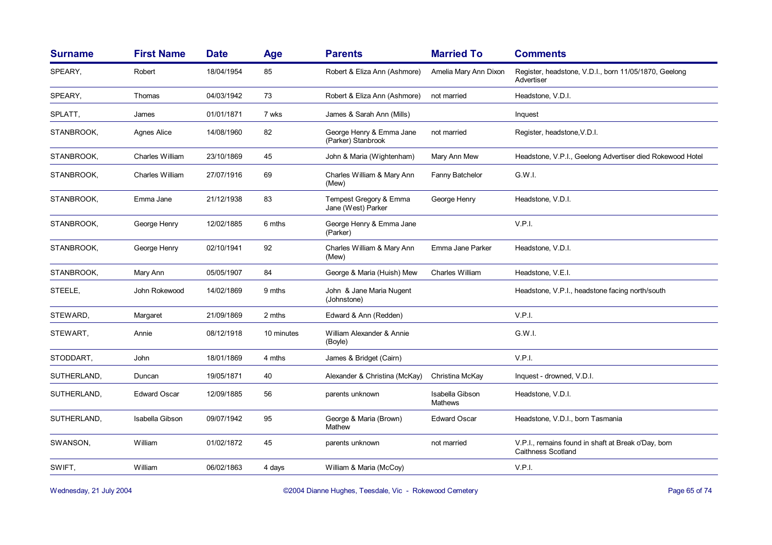| <b>Surname</b> | <b>First Name</b>   | <b>Date</b> | <b>Age</b> | <b>Parents</b>                                 | <b>Married To</b>                 | <b>Comments</b>                                                                  |
|----------------|---------------------|-------------|------------|------------------------------------------------|-----------------------------------|----------------------------------------------------------------------------------|
| SPEARY,        | Robert              | 18/04/1954  | 85         | Robert & Eliza Ann (Ashmore)                   | Amelia Mary Ann Dixon             | Register, headstone, V.D.I., born 11/05/1870, Geelong<br>Advertiser              |
| SPEARY,        | Thomas              | 04/03/1942  | 73         | Robert & Eliza Ann (Ashmore)                   | not married                       | Headstone, V.D.I.                                                                |
| SPLATT,        | James               | 01/01/1871  | 7 wks      | James & Sarah Ann (Mills)                      |                                   | Inquest                                                                          |
| STANBROOK,     | Agnes Alice         | 14/08/1960  | 82         | George Henry & Emma Jane<br>(Parker) Stanbrook | not married                       | Register, headstone, V.D.I.                                                      |
| STANBROOK,     | Charles William     | 23/10/1869  | 45         | John & Maria (Wightenham)                      | Mary Ann Mew                      | Headstone, V.P.I., Geelong Advertiser died Rokewood Hotel                        |
| STANBROOK,     | Charles William     | 27/07/1916  | 69         | Charles William & Mary Ann<br>(Mew)            | Fanny Batchelor                   | G.W.I.                                                                           |
| STANBROOK,     | Emma Jane           | 21/12/1938  | 83         | Tempest Gregory & Emma<br>Jane (West) Parker   | George Henry                      | Headstone, V.D.I.                                                                |
| STANBROOK,     | George Henry        | 12/02/1885  | 6 mths     | George Henry & Emma Jane<br>(Parker)           |                                   | V.P.I.                                                                           |
| STANBROOK,     | George Henry        | 02/10/1941  | 92         | Charles William & Mary Ann<br>(Mew)            | Emma Jane Parker                  | Headstone, V.D.I.                                                                |
| STANBROOK,     | Mary Ann            | 05/05/1907  | 84         | George & Maria (Huish) Mew                     | <b>Charles William</b>            | Headstone, V.E.I.                                                                |
| STEELE,        | John Rokewood       | 14/02/1869  | 9 mths     | John & Jane Maria Nugent<br>(Johnstone)        |                                   | Headstone, V.P.I., headstone facing north/south                                  |
| STEWARD,       | Margaret            | 21/09/1869  | 2 mths     | Edward & Ann (Redden)                          |                                   | V.P.I.                                                                           |
| STEWART,       | Annie               | 08/12/1918  | 10 minutes | William Alexander & Annie<br>(Boyle)           |                                   | G.W.I.                                                                           |
| STODDART,      | John                | 18/01/1869  | 4 mths     | James & Bridget (Cairn)                        |                                   | V.P.I.                                                                           |
| SUTHERLAND,    | Duncan              | 19/05/1871  | 40         | Alexander & Christina (McKay)                  | Christina McKay                   | Inquest - drowned, V.D.I.                                                        |
| SUTHERLAND,    | <b>Edward Oscar</b> | 12/09/1885  | 56         | parents unknown                                | Isabella Gibson<br><b>Mathews</b> | Headstone, V.D.I.                                                                |
| SUTHERLAND,    | Isabella Gibson     | 09/07/1942  | 95         | George & Maria (Brown)<br>Mathew               | <b>Edward Oscar</b>               | Headstone, V.D.I., born Tasmania                                                 |
| SWANSON,       | William             | 01/02/1872  | 45         | parents unknown                                | not married                       | V.P.I., remains found in shaft at Break o'Day, born<br><b>Caithness Scotland</b> |
| SWIFT,         | William             | 06/02/1863  | 4 days     | William & Maria (McCoy)                        |                                   | V.P.I.                                                                           |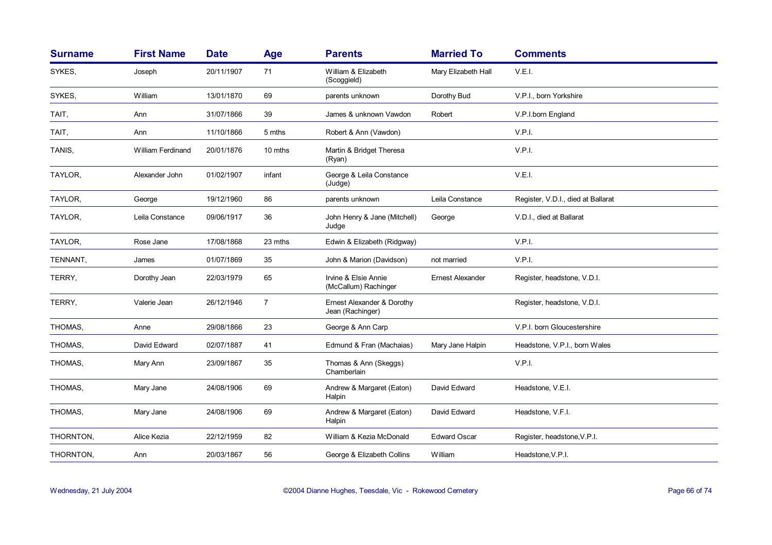| <b>Surname</b> | <b>First Name</b>        | <b>Date</b> | <b>Age</b>     | <b>Parents</b>                                 | <b>Married To</b>       | <b>Comments</b>                    |
|----------------|--------------------------|-------------|----------------|------------------------------------------------|-------------------------|------------------------------------|
| SYKES.         | Joseph                   | 20/11/1907  | 71             | William & Elizabeth<br>(Scoggield)             | Mary Elizabeth Hall     | V.E.I.                             |
| SYKES.         | William                  | 13/01/1870  | 69             | parents unknown                                | Dorothy Bud             | V.P.I., born Yorkshire             |
| TAIT,          | Ann                      | 31/07/1866  | 39             | James & unknown Vawdon                         | Robert                  | V.P.I.born England                 |
| TAIT,          | Ann                      | 11/10/1866  | 5 mths         | Robert & Ann (Vawdon)                          |                         | V.P.I.                             |
| TANIS,         | <b>William Ferdinand</b> | 20/01/1876  | 10 mths        | Martin & Bridget Theresa<br>(Ryan)             |                         | V.P.I.                             |
| TAYLOR,        | Alexander John           | 01/02/1907  | infant         | George & Leila Constance<br>(Judge)            |                         | V.E.I.                             |
| TAYLOR,        | George                   | 19/12/1960  | 86             | parents unknown                                | Leila Constance         | Register, V.D.I., died at Ballarat |
| TAYLOR,        | Leila Constance          | 09/06/1917  | 36             | John Henry & Jane (Mitchell)<br>Judge          | George                  | V.D.I., died at Ballarat           |
| TAYLOR,        | Rose Jane                | 17/08/1868  | 23 mths        | Edwin & Elizabeth (Ridgway)                    |                         | V.P.I.                             |
| TENNANT,       | James                    | 01/07/1869  | 35             | John & Marion (Davidson)                       | not married             | V.P.I.                             |
| TERRY,         | Dorothy Jean             | 22/03/1979  | 65             | Irvine & Elsie Annie<br>(McCallum) Rachinger   | <b>Ernest Alexander</b> | Register, headstone, V.D.I.        |
| TERRY.         | Valerie Jean             | 26/12/1946  | $\overline{7}$ | Ernest Alexander & Dorothy<br>Jean (Rachinger) |                         | Register, headstone, V.D.I.        |
| THOMAS,        | Anne                     | 29/08/1866  | 23             | George & Ann Carp                              |                         | V.P.I. born Gloucestershire        |
| THOMAS,        | David Edward             | 02/07/1887  | 41             | Edmund & Fran (Machaias)                       | Mary Jane Halpin        | Headstone, V.P.I., born Wales      |
| THOMAS,        | Mary Ann                 | 23/09/1867  | 35             | Thomas & Ann (Skeggs)<br>Chamberlain           |                         | V.P.I.                             |
| THOMAS,        | Mary Jane                | 24/08/1906  | 69             | Andrew & Margaret (Eaton)<br>Halpin            | David Edward            | Headstone, V.E.I.                  |
| THOMAS,        | Mary Jane                | 24/08/1906  | 69             | Andrew & Margaret (Eaton)<br>Halpin            | David Edward            | Headstone, V.F.I.                  |
| THORNTON,      | Alice Kezia              | 22/12/1959  | 82             | William & Kezia McDonald                       | <b>Edward Oscar</b>     | Register, headstone, V.P.I.        |
| THORNTON,      | Ann                      | 20/03/1867  | 56             | George & Elizabeth Collins                     | William                 | Headstone, V.P.I.                  |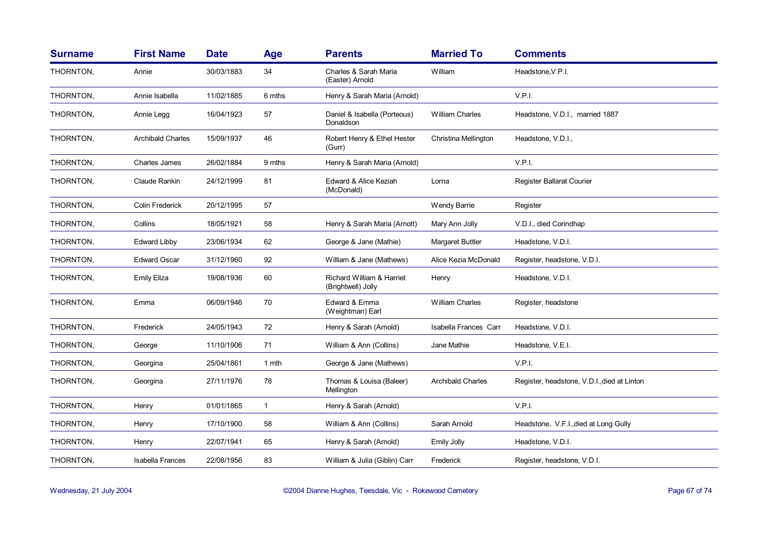| <b>Surname</b> | <b>First Name</b>        | <b>Date</b> | Age          | <b>Parents</b>                                  | <b>Married To</b>        | <b>Comments</b>                             |
|----------------|--------------------------|-------------|--------------|-------------------------------------------------|--------------------------|---------------------------------------------|
| THORNTON,      | Annie                    | 30/03/1883  | 34           | Charles & Sarah Maria<br>(Easter) Arnold        | William                  | Headstone, V.P.I.                           |
| THORNTON,      | Annie Isabella           | 11/02/1885  | 6 mths       | Henry & Sarah Maria (Arnold)                    |                          | V.P.I.                                      |
| THORNTON,      | Annie Legg               | 16/04/1923  | 57           | Daniel & Isabella (Porteous)<br>Donaldson       | <b>William Charles</b>   | Headstone, V.D.I., married 1887             |
| THORNTON,      | <b>Archibald Charles</b> | 15/09/1937  | 46           | Robert Henry & Ethel Hester<br>(Gurr)           | Christina Mellington     | Headstone, V.D.I.,                          |
| THORNTON,      | Charles James            | 26/02/1884  | 9 mths       | Henry & Sarah Maria (Arnold)                    |                          | V.P.I.                                      |
| THORNTON,      | Claude Rankin            | 24/12/1999  | 81           | Edward & Alice Keziah<br>(McDonald)             | Lorna                    | Register Ballarat Courier                   |
| THORNTON,      | <b>Colin Frederick</b>   | 20/12/1995  | 57           |                                                 | <b>Wendy Barrie</b>      | Register                                    |
| THORNTON,      | Collins                  | 18/05/1921  | 58           | Henry & Sarah Maria (Arnott)                    | Mary Ann Jolly           | V.D.I., died Corindhap                      |
| THORNTON,      | <b>Edward Libby</b>      | 23/06/1934  | 62           | George & Jane (Mathie)                          | Margaret Buttler         | Headstone, V.D.I.                           |
| THORNTON,      | <b>Edward Oscar</b>      | 31/12/1960  | 92           | William & Jane (Mathews)                        | Alice Kezia McDonald     | Register, headstone, V.D.I.                 |
| THORNTON,      | <b>Emily Eliza</b>       | 19/08/1936  | 60           | Richard William & Harriet<br>(Brightwell) Jolly | Henry                    | Headstone, V.D.I.                           |
| THORNTON,      | Emma                     | 06/09/1946  | 70           | Edward & Emma<br>(Weightman) Earl               | William Charles          | Register, headstone                         |
| THORNTON,      | Frederick                | 24/05/1943  | 72           | Henry & Sarah (Arnold)                          | Isabella Frances Carr    | Headstone, V.D.I.                           |
| THORNTON,      | George                   | 11/10/1906  | 71           | William & Ann (Collins)                         | Jane Mathie              | Headstone, V.E.I.                           |
| THORNTON,      | Georgina                 | 25/04/1861  | 1 mth        | George & Jane (Mathews)                         |                          | V.P.I.                                      |
| THORNTON,      | Georgina                 | 27/11/1976  | 78           | Thomas & Louisa (Baleer)<br>Mellington          | <b>Archibald Charles</b> | Register, headstone, V.D.I., died at Linton |
| THORNTON,      | Henry                    | 01/01/1865  | $\mathbf{1}$ | Henry & Sarah (Arnold)                          |                          | V.P.I.                                      |
| THORNTON,      | Henry                    | 17/10/1900  | 58           | William & Ann (Collins)                         | Sarah Arnold             | Headstone, V.F.I., died at Long Gully       |
| THORNTON,      | Henry                    | 22/07/1941  | 65           | Henry & Sarah (Arnold)                          | Emily Jolly              | Headstone, V.D.I.                           |
| THORNTON,      | <b>Isabella Frances</b>  | 22/08/1956  | 83           | William & Julia (Giblin) Carr                   | Frederick                | Register, headstone, V.D.I.                 |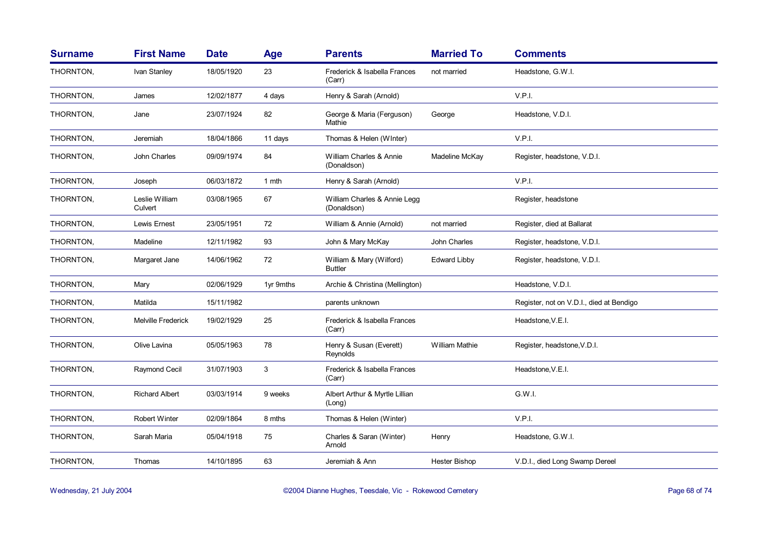| <b>Surname</b> | <b>First Name</b>         | <b>Date</b> | Age       | <b>Parents</b>                              | <b>Married To</b>    | <b>Comments</b>                          |
|----------------|---------------------------|-------------|-----------|---------------------------------------------|----------------------|------------------------------------------|
| THORNTON,      | Ivan Stanley              | 18/05/1920  | 23        | Frederick & Isabella Frances<br>(Carr)      | not married          | Headstone, G.W.I.                        |
| THORNTON,      | James                     | 12/02/1877  | 4 days    | Henry & Sarah (Arnold)                      |                      | V.P.I.                                   |
| THORNTON,      | Jane                      | 23/07/1924  | 82        | George & Maria (Ferguson)<br>Mathie         | George               | Headstone, V.D.I.                        |
| THORNTON,      | Jeremiah                  | 18/04/1866  | 11 days   | Thomas & Helen (Winter)                     |                      | V.P.I.                                   |
| THORNTON,      | John Charles              | 09/09/1974  | 84        | William Charles & Annie<br>(Donaldson)      | Madeline McKay       | Register, headstone, V.D.I.              |
| THORNTON,      | Joseph                    | 06/03/1872  | 1 mth     | Henry & Sarah (Arnold)                      |                      | V.P.I.                                   |
| THORNTON,      | Leslie William<br>Culvert | 03/08/1965  | 67        | William Charles & Annie Legg<br>(Donaldson) |                      | Register, headstone                      |
| THORNTON,      | Lewis Ernest              | 23/05/1951  | 72        | William & Annie (Arnold)                    | not married          | Register, died at Ballarat               |
| THORNTON,      | Madeline                  | 12/11/1982  | 93        | John & Mary McKay                           | John Charles         | Register, headstone, V.D.I.              |
| THORNTON,      | Margaret Jane             | 14/06/1962  | 72        | William & Mary (Wilford)<br><b>Buttler</b>  | <b>Edward Libby</b>  | Register, headstone, V.D.I.              |
| THORNTON,      | Mary                      | 02/06/1929  | 1yr 9mths | Archie & Christina (Mellington)             |                      | Headstone, V.D.I.                        |
| THORNTON,      | Matilda                   | 15/11/1982  |           | parents unknown                             |                      | Register, not on V.D.I., died at Bendigo |
| THORNTON,      | Melville Frederick        | 19/02/1929  | 25        | Frederick & Isabella Frances<br>(Carr)      |                      | Headstone, V.E.I.                        |
| THORNTON,      | Olive Lavina              | 05/05/1963  | 78        | Henry & Susan (Everett)<br>Reynolds         | William Mathie       | Register, headstone, V.D.I.              |
| THORNTON,      | Raymond Cecil             | 31/07/1903  | 3         | Frederick & Isabella Frances<br>(Carr)      |                      | Headstone, V.E.I.                        |
| THORNTON,      | <b>Richard Albert</b>     | 03/03/1914  | 9 weeks   | Albert Arthur & Myrtle Lillian<br>(Long)    |                      | G.W.I.                                   |
| THORNTON,      | Robert Winter             | 02/09/1864  | 8 mths    | Thomas & Helen (Winter)                     |                      | V.P.I.                                   |
| THORNTON,      | Sarah Maria               | 05/04/1918  | 75        | Charles & Saran (Winter)<br>Arnold          | Henry                | Headstone, G.W.I.                        |
| THORNTON,      | Thomas                    | 14/10/1895  | 63        | Jeremiah & Ann                              | <b>Hester Bishop</b> | V.D.I., died Long Swamp Dereel           |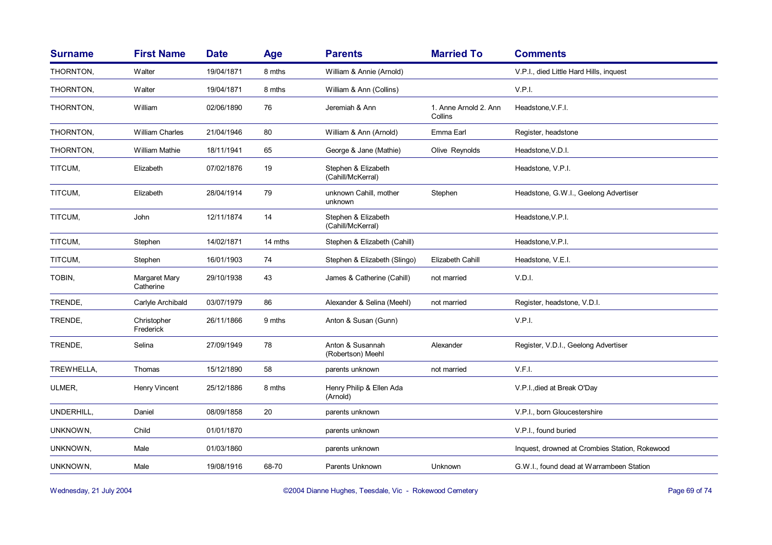| <b>Surname</b> | <b>First Name</b>          | <b>Date</b> | <b>Age</b> | <b>Parents</b>                           | <b>Married To</b>                | <b>Comments</b>                                |
|----------------|----------------------------|-------------|------------|------------------------------------------|----------------------------------|------------------------------------------------|
| THORNTON,      | Walter                     | 19/04/1871  | 8 mths     | William & Annie (Arnold)                 |                                  | V.P.I., died Little Hard Hills, inquest        |
| THORNTON,      | Walter                     | 19/04/1871  | 8 mths     | William & Ann (Collins)                  |                                  | V.P.I.                                         |
| THORNTON,      | William                    | 02/06/1890  | 76         | Jeremiah & Ann                           | 1. Anne Arnold 2. Ann<br>Collins | Headstone, V.F.I.                              |
| THORNTON,      | <b>William Charles</b>     | 21/04/1946  | 80         | William & Ann (Arnold)                   | Emma Earl                        | Register, headstone                            |
| THORNTON,      | William Mathie             | 18/11/1941  | 65         | George & Jane (Mathie)                   | Olive Reynolds                   | Headstone, V.D.I.                              |
| TITCUM,        | Elizabeth                  | 07/02/1876  | 19         | Stephen & Elizabeth<br>(Cahill/McKerral) |                                  | Headstone, V.P.I.                              |
| TITCUM,        | Elizabeth                  | 28/04/1914  | 79         | unknown Cahill, mother<br>unknown        | Stephen                          | Headstone, G.W.I., Geelong Advertiser          |
| TITCUM,        | John                       | 12/11/1874  | 14         | Stephen & Elizabeth<br>(Cahill/McKerral) |                                  | Headstone, V.P.I.                              |
| TITCUM,        | Stephen                    | 14/02/1871  | 14 mths    | Stephen & Elizabeth (Cahill)             |                                  | Headstone, V.P.I.                              |
| TITCUM,        | Stephen                    | 16/01/1903  | 74         | Stephen & Elizabeth (Slingo)             | Elizabeth Cahill                 | Headstone, V.E.I.                              |
| TOBIN,         | Margaret Mary<br>Catherine | 29/10/1938  | 43         | James & Catherine (Cahill)               | not married                      | V.D.I.                                         |
| TRENDE,        | Carlyle Archibald          | 03/07/1979  | 86         | Alexander & Selina (Meehl)               | not married                      | Register, headstone, V.D.I.                    |
| TRENDE,        | Christopher<br>Frederick   | 26/11/1866  | 9 mths     | Anton & Susan (Gunn)                     |                                  | V.P.I.                                         |
| TRENDE,        | Selina                     | 27/09/1949  | 78         | Anton & Susannah<br>(Robertson) Meehl    | Alexander                        | Register, V.D.I., Geelong Advertiser           |
| TREWHELLA,     | Thomas                     | 15/12/1890  | 58         | parents unknown                          | not married                      | V.F.I.                                         |
| ULMER,         | <b>Henry Vincent</b>       | 25/12/1886  | 8 mths     | Henry Philip & Ellen Ada<br>(Arnold)     |                                  | V.P.I., died at Break O'Day                    |
| UNDERHILL,     | Daniel                     | 08/09/1858  | 20         | parents unknown                          |                                  | V.P.I., born Gloucestershire                   |
| UNKNOWN,       | Child                      | 01/01/1870  |            | parents unknown                          |                                  | V.P.I., found buried                           |
| UNKNOWN,       | Male                       | 01/03/1860  |            | parents unknown                          |                                  | Inquest, drowned at Crombies Station, Rokewood |
| UNKNOWN,       | Male                       | 19/08/1916  | 68-70      | Parents Unknown                          | Unknown                          | G.W.I., found dead at Warrambeen Station       |

Wednesday, 21 July 2004 **Dianne Hughes, Teesdale, Vic - Rokewood Cemetery** Page 69 of 74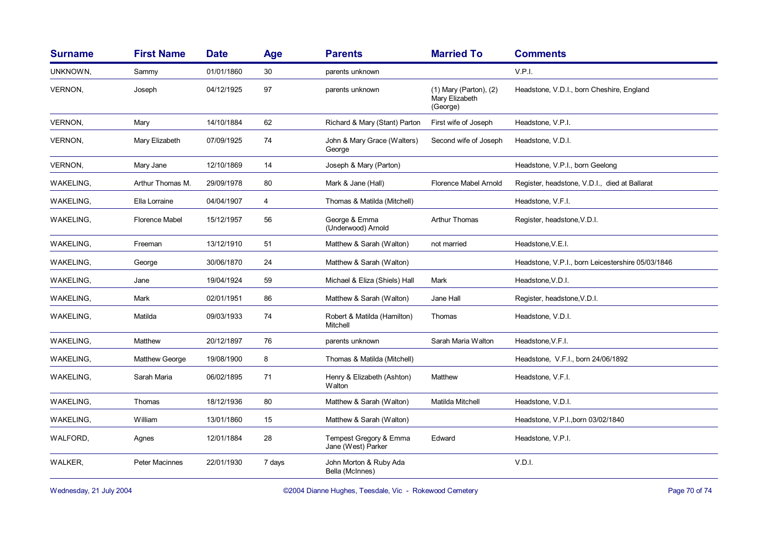| <b>Surname</b>   | <b>First Name</b>     | <b>Date</b> | Age    | <b>Parents</b>                               | <b>Married To</b>                                        | <b>Comments</b>                                   |
|------------------|-----------------------|-------------|--------|----------------------------------------------|----------------------------------------------------------|---------------------------------------------------|
| UNKNOWN,         | Sammy                 | 01/01/1860  | 30     | parents unknown                              |                                                          | V.P.I.                                            |
| <b>VERNON,</b>   | Joseph                | 04/12/1925  | 97     | parents unknown                              | $(1)$ Mary (Parton), $(2)$<br>Mary Elizabeth<br>(George) | Headstone, V.D.I., born Cheshire, England         |
| <b>VERNON,</b>   | Mary                  | 14/10/1884  | 62     | Richard & Mary (Stant) Parton                | First wife of Joseph                                     | Headstone, V.P.I.                                 |
| VERNON,          | Mary Elizabeth        | 07/09/1925  | 74     | John & Mary Grace (Walters)<br>George        | Second wife of Joseph                                    | Headstone, V.D.I.                                 |
| VERNON,          | Mary Jane             | 12/10/1869  | 14     | Joseph & Mary (Parton)                       |                                                          | Headstone, V.P.I., born Geelong                   |
| WAKELING,        | Arthur Thomas M.      | 29/09/1978  | 80     | Mark & Jane (Hall)                           | Florence Mabel Arnold                                    | Register, headstone, V.D.I., died at Ballarat     |
| <b>WAKELING,</b> | Ella Lorraine         | 04/04/1907  | 4      | Thomas & Matilda (Mitchell)                  |                                                          | Headstone, V.F.I.                                 |
| WAKELING,        | <b>Florence Mabel</b> | 15/12/1957  | 56     | George & Emma<br>(Underwood) Arnold          | <b>Arthur Thomas</b>                                     | Register, headstone, V.D.I.                       |
| <b>WAKELING,</b> | Freeman               | 13/12/1910  | 51     | Matthew & Sarah (Walton)                     | not married                                              | Headstone, V.E.I.                                 |
| WAKELING,        | George                | 30/06/1870  | 24     | Matthew & Sarah (Walton)                     |                                                          | Headstone, V.P.I., born Leicestershire 05/03/1846 |
| WAKELING,        | Jane                  | 19/04/1924  | 59     | Michael & Eliza (Shiels) Hall                | Mark                                                     | Headstone, V.D.I.                                 |
| <b>WAKELING,</b> | Mark                  | 02/01/1951  | 86     | Matthew & Sarah (Walton)                     | Jane Hall                                                | Register, headstone, V.D.I.                       |
| WAKELING,        | Matilda               | 09/03/1933  | 74     | Robert & Matilda (Hamilton)<br>Mitchell      | Thomas                                                   | Headstone, V.D.I.                                 |
| WAKELING,        | Matthew               | 20/12/1897  | 76     | parents unknown                              | Sarah Maria Walton                                       | Headstone, V.F.I.                                 |
| <b>WAKELING,</b> | Matthew George        | 19/08/1900  | 8      | Thomas & Matilda (Mitchell)                  |                                                          | Headstone, V.F.I., born 24/06/1892                |
| WAKELING,        | Sarah Maria           | 06/02/1895  | 71     | Henry & Elizabeth (Ashton)<br>Walton         | Matthew                                                  | Headstone, V.F.I.                                 |
| WAKELING,        | Thomas                | 18/12/1936  | 80     | Matthew & Sarah (Walton)                     | Matilda Mitchell                                         | Headstone, V.D.I.                                 |
| <b>WAKELING,</b> | William               | 13/01/1860  | 15     | Matthew & Sarah (Walton)                     |                                                          | Headstone, V.P.I., born 03/02/1840                |
| WALFORD,         | Agnes                 | 12/01/1884  | 28     | Tempest Gregory & Emma<br>Jane (West) Parker | Edward                                                   | Headstone, V.P.I.                                 |
| WALKER,          | <b>Peter Macinnes</b> | 22/01/1930  | 7 days | John Morton & Ruby Ada<br>Bella (McInnes)    |                                                          | V.D.I.                                            |

Wednesday, 21 July 2004 **Dianne Hughes, Teesdale, Vic - Rokewood Cemetery** Page 70 of 74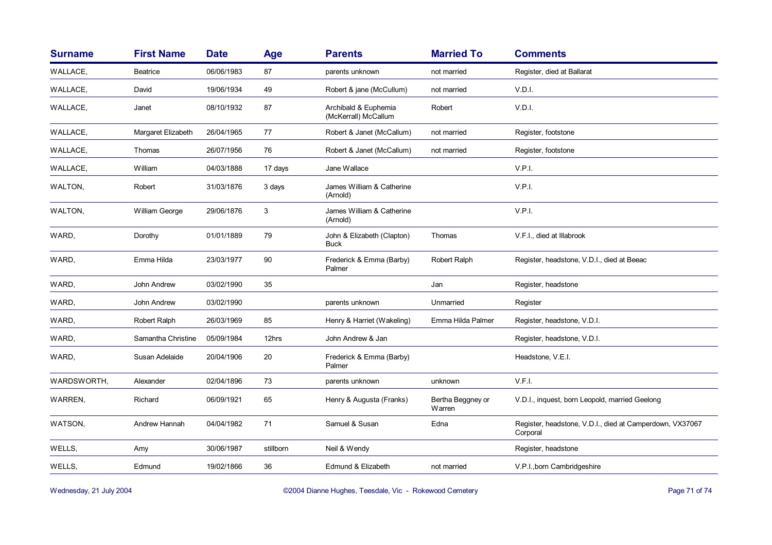| <b>Surname</b> | <b>First Name</b>  | <b>Date</b> | Age       | <b>Parents</b>                               | <b>Married To</b>           | <b>Comments</b>                                                      |
|----------------|--------------------|-------------|-----------|----------------------------------------------|-----------------------------|----------------------------------------------------------------------|
| WALLACE,       | <b>Beatrice</b>    | 06/06/1983  | 87        | parents unknown                              | not married                 | Register, died at Ballarat                                           |
| WALLACE,       | David              | 19/06/1934  | 49        | Robert & jane (McCullum)                     | not married                 | V.D.I.                                                               |
| WALLACE,       | Janet              | 08/10/1932  | 87        | Archibald & Euphemia<br>(McKerrall) McCallum | Robert                      | V.D.I.                                                               |
| WALLACE,       | Margaret Elizabeth | 26/04/1965  | 77        | Robert & Janet (McCallum)                    | not married                 | Register, footstone                                                  |
| WALLACE,       | Thomas             | 26/07/1956  | 76        | Robert & Janet (McCallum)                    | not married                 | Register, footstone                                                  |
| WALLACE,       | William            | 04/03/1888  | 17 days   | Jane Wallace                                 |                             | V.P.I.                                                               |
| WALTON,        | Robert             | 31/03/1876  | 3 days    | James William & Catherine<br>(Arnold)        |                             | V.P.I.                                                               |
| WALTON,        | William George     | 29/06/1876  | 3         | James William & Catherine<br>(Arnold)        |                             | V.P.I.                                                               |
| WARD,          | Dorothy            | 01/01/1889  | 79        | John & Elizabeth (Clapton)<br><b>Buck</b>    | Thomas                      | V.F.I., died at Illabrook                                            |
| WARD,          | Emma Hilda         | 23/03/1977  | 90        | Frederick & Emma (Barby)<br>Palmer           | Robert Ralph                | Register, headstone, V.D.I., died at Beeac                           |
| WARD,          | John Andrew        | 03/02/1990  | 35        |                                              | Jan                         | Register, headstone                                                  |
| WARD,          | John Andrew        | 03/02/1990  |           | parents unknown                              | Unmarried                   | Register                                                             |
| WARD,          | Robert Ralph       | 26/03/1969  | 85        | Henry & Harriet (Wakeling)                   | Emma Hilda Palmer           | Register, headstone, V.D.I.                                          |
| WARD,          | Samantha Christine | 05/09/1984  | 12hrs     | John Andrew & Jan                            |                             | Register, headstone, V.D.I.                                          |
| WARD,          | Susan Adelaide     | 20/04/1906  | 20        | Frederick & Emma (Barby)<br>Palmer           |                             | Headstone, V.E.I.                                                    |
| WARDSWORTH,    | Alexander          | 02/04/1896  | 73        | parents unknown                              | unknown                     | V.F.I.                                                               |
| WARREN,        | Richard            | 06/09/1921  | 65        | Henry & Augusta (Franks)                     | Bertha Beggney or<br>Warren | V.D.I., inquest, born Leopold, married Geelong                       |
| WATSON,        | Andrew Hannah      | 04/04/1982  | 71        | Samuel & Susan                               | Edna                        | Register, headstone, V.D.I., died at Camperdown, VX37067<br>Corporal |
| WELLS,         | Amy                | 30/06/1987  | stillborn | Neil & Wendy                                 |                             | Register, headstone                                                  |
| WELLS,         | Edmund             | 19/02/1866  | 36        | Edmund & Elizabeth                           | not married                 | V.P.I., born Cambridgeshire                                          |

Wednesday, 21 July 2004 **Dianne Hughes, Teesdale, Vic - Rokewood Cemetery** Page 71 of 74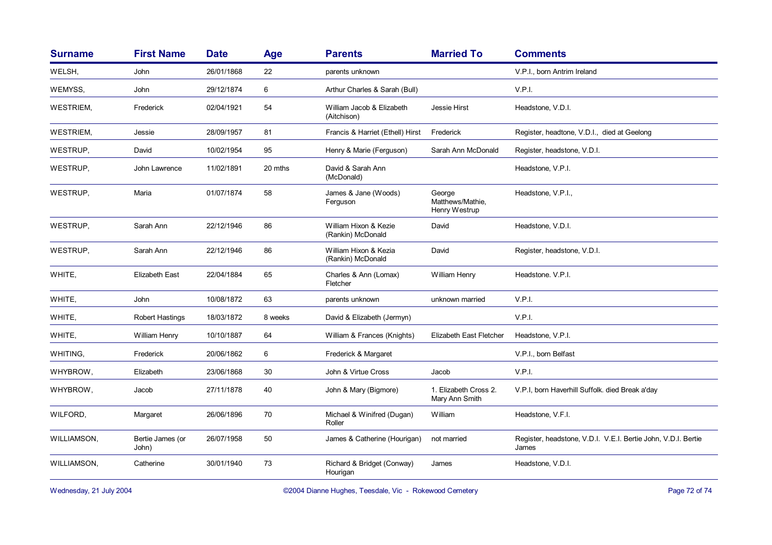| <b>Surname</b>   | <b>First Name</b>         | <b>Date</b> | Age     | <b>Parents</b>                             | <b>Married To</b>                           | <b>Comments</b>                                                        |
|------------------|---------------------------|-------------|---------|--------------------------------------------|---------------------------------------------|------------------------------------------------------------------------|
| WELSH,           | John                      | 26/01/1868  | 22      | parents unknown                            |                                             | V.P.I., born Antrim Ireland                                            |
| WEMYSS,          | John                      | 29/12/1874  | 6       | Arthur Charles & Sarah (Bull)              |                                             | V.P.I.                                                                 |
| <b>WESTRIEM,</b> | Frederick                 | 02/04/1921  | 54      | William Jacob & Elizabeth<br>(Aitchison)   | Jessie Hirst                                | Headstone, V.D.I.                                                      |
| <b>WESTRIEM,</b> | Jessie                    | 28/09/1957  | 81      | Francis & Harriet (Ethell) Hirst           | Frederick                                   | Register, headtone, V.D.I., died at Geelong                            |
| WESTRUP,         | David                     | 10/02/1954  | 95      | Henry & Marie (Ferguson)                   | Sarah Ann McDonald                          | Register, headstone, V.D.I.                                            |
| WESTRUP,         | John Lawrence             | 11/02/1891  | 20 mths | David & Sarah Ann<br>(McDonald)            |                                             | Headstone, V.P.I.                                                      |
| WESTRUP,         | Maria                     | 01/07/1874  | 58      | James & Jane (Woods)<br>Ferguson           | George<br>Matthews/Mathie,<br>Henry Westrup | Headstone, V.P.I.,                                                     |
| WESTRUP,         | Sarah Ann                 | 22/12/1946  | 86      | William Hixon & Kezie<br>(Rankin) McDonald | David                                       | Headstone, V.D.I.                                                      |
| WESTRUP,         | Sarah Ann                 | 22/12/1946  | 86      | William Hixon & Kezia<br>(Rankin) McDonald | David                                       | Register, headstone, V.D.I.                                            |
| WHITE,           | <b>Elizabeth East</b>     | 22/04/1884  | 65      | Charles & Ann (Lomax)<br>Fletcher          | William Henry                               | Headstone, V.P.I.                                                      |
| WHITE,           | John                      | 10/08/1872  | 63      | parents unknown                            | unknown married                             | V.P.I.                                                                 |
| WHITE,           | Robert Hastings           | 18/03/1872  | 8 weeks | David & Elizabeth (Jermyn)                 |                                             | V.P.I.                                                                 |
| WHITE,           | William Henry             | 10/10/1887  | 64      | William & Frances (Knights)                | Elizabeth East Fletcher                     | Headstone, V.P.I.                                                      |
| WHITING,         | Frederick                 | 20/06/1862  | 6       | Frederick & Margaret                       |                                             | V.P.I., born Belfast                                                   |
| WHYBROW,         | Elizabeth                 | 23/06/1868  | 30      | John & Virtue Cross                        | Jacob                                       | V.P.I.                                                                 |
| WHYBROW,         | Jacob                     | 27/11/1878  | 40      | John & Mary (Bigmore)                      | 1. Elizabeth Cross 2.<br>Mary Ann Smith     | V.P.I, born Haverhill Suffolk. died Break a'day                        |
| WILFORD,         | Margaret                  | 26/06/1896  | 70      | Michael & Winifred (Dugan)<br>Roller       | William                                     | Headstone, V.F.I.                                                      |
| WILLIAMSON,      | Bertie James (or<br>John) | 26/07/1958  | 50      | James & Catherine (Hourigan)               | not married                                 | Register, headstone, V.D.I. V.E.I. Bertie John, V.D.I. Bertie<br>James |
| WILLIAMSON,      | Catherine                 | 30/01/1940  | 73      | Richard & Bridget (Conway)<br>Hourigan     | James                                       | Headstone, V.D.I.                                                      |
|                  |                           |             |         |                                            |                                             |                                                                        |

Wednesday, 21 July 2004 **Dianne Hughes, Teesdale, Vic - Rokewood Cemetery** Page 72 of 74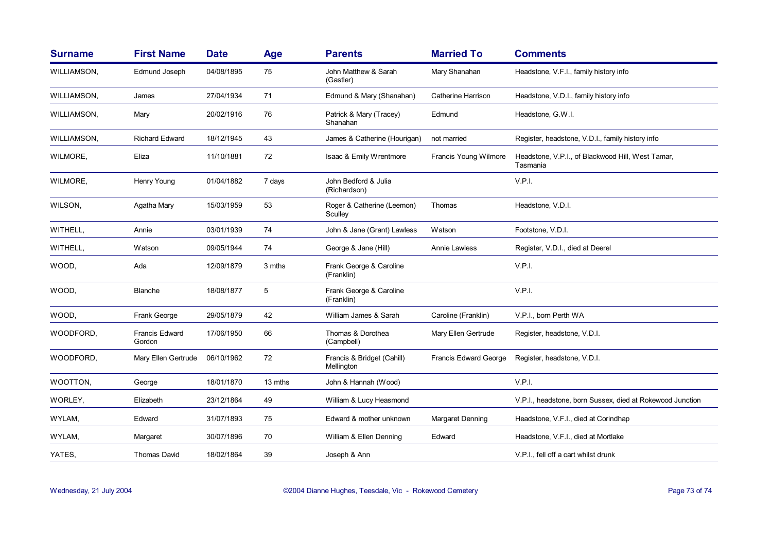| <b>Surname</b> | <b>First Name</b>        | <b>Date</b> | Age     | <b>Parents</b>                           | <b>Married To</b>            | <b>Comments</b>                                               |
|----------------|--------------------------|-------------|---------|------------------------------------------|------------------------------|---------------------------------------------------------------|
| WILLIAMSON,    | Edmund Joseph            | 04/08/1895  | 75      | John Matthew & Sarah<br>(Gastler)        | Mary Shanahan                | Headstone, V.F.I., family history info                        |
| WILLIAMSON,    | James                    | 27/04/1934  | 71      | Edmund & Mary (Shanahan)                 | Catherine Harrison           | Headstone, V.D.I., family history info                        |
| WILLIAMSON,    | Mary                     | 20/02/1916  | 76      | Patrick & Mary (Tracey)<br>Shanahan      | Edmund                       | Headstone, G.W.I.                                             |
| WILLIAMSON,    | <b>Richard Edward</b>    | 18/12/1945  | 43      | James & Catherine (Hourigan)             | not married                  | Register, headstone, V.D.I., family history info              |
| WILMORE,       | Eliza                    | 11/10/1881  | 72      | Isaac & Emily Wrentmore                  | Francis Young Wilmore        | Headstone, V.P.I., of Blackwood Hill, West Tamar,<br>Tasmania |
| WILMORE,       | Henry Young              | 01/04/1882  | 7 days  | John Bedford & Julia<br>(Richardson)     |                              | V.P.I.                                                        |
| WILSON,        | Agatha Mary              | 15/03/1959  | 53      | Roger & Catherine (Leemon)<br>Sculley    | Thomas                       | Headstone, V.D.I.                                             |
| WITHELL,       | Annie                    | 03/01/1939  | 74      | John & Jane (Grant) Lawless              | Watson                       | Footstone, V.D.I.                                             |
| WITHELL,       | Watson                   | 09/05/1944  | 74      | George & Jane (Hill)                     | Annie Lawless                | Register, V.D.I., died at Deerel                              |
| WOOD.          | Ada                      | 12/09/1879  | 3 mths  | Frank George & Caroline<br>(Franklin)    |                              | V.P.I.                                                        |
| WOOD,          | <b>Blanche</b>           | 18/08/1877  | 5       | Frank George & Caroline<br>(Franklin)    |                              | V.P.I.                                                        |
| WOOD.          | Frank George             | 29/05/1879  | 42      | William James & Sarah                    | Caroline (Franklin)          | V.P.I., born Perth WA                                         |
| WOODFORD,      | Francis Edward<br>Gordon | 17/06/1950  | 66      | Thomas & Dorothea<br>(Campbell)          | Mary Ellen Gertrude          | Register, headstone, V.D.I.                                   |
| WOODFORD,      | Mary Ellen Gertrude      | 06/10/1962  | 72      | Francis & Bridget (Cahill)<br>Mellington | <b>Francis Edward George</b> | Register, headstone, V.D.I.                                   |
| WOOTTON,       | George                   | 18/01/1870  | 13 mths | John & Hannah (Wood)                     |                              | V.P.I.                                                        |
| WORLEY,        | Elizabeth                | 23/12/1864  | 49      | William & Lucy Heasmond                  |                              | V.P.I., headstone, born Sussex, died at Rokewood Junction     |
| WYLAM,         | Edward                   | 31/07/1893  | 75      | Edward & mother unknown                  | Margaret Denning             | Headstone, V.F.I., died at Corindhap                          |
| WYLAM,         | Margaret                 | 30/07/1896  | 70      | William & Ellen Denning                  | Edward                       | Headstone, V.F.I., died at Mortlake                           |
| YATES,         | <b>Thomas David</b>      | 18/02/1864  | 39      | Joseph & Ann                             |                              | V.P.I., fell off a cart whilst drunk                          |